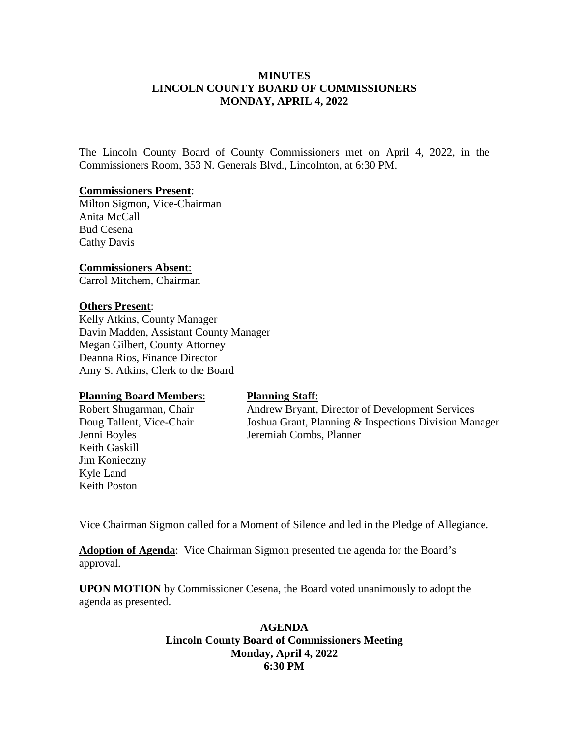#### **MINUTES LINCOLN COUNTY BOARD OF COMMISSIONERS MONDAY, APRIL 4, 2022**

The Lincoln County Board of County Commissioners met on April 4, 2022, in the Commissioners Room, 353 N. Generals Blvd., Lincolnton, at 6:30 PM.

#### **Commissioners Present**:

Milton Sigmon, Vice-Chairman Anita McCall Bud Cesena Cathy Davis

**Commissioners Absent**: Carrol Mitchem, Chairman

#### **Others Present**:

Kelly Atkins, County Manager Davin Madden, Assistant County Manager Megan Gilbert, County Attorney Deanna Rios, Finance Director Amy S. Atkins, Clerk to the Board

#### **Planning Board Members**: **Planning Staff**:

Jenni Boyles Jeremiah Combs, Planner Keith Gaskill Jim Konieczny Kyle Land Keith Poston

Robert Shugarman, Chair Andrew Bryant, Director of Development Services Doug Tallent, Vice-Chair Joshua Grant, Planning & Inspections Division Manager

Vice Chairman Sigmon called for a Moment of Silence and led in the Pledge of Allegiance.

**Adoption of Agenda**: Vice Chairman Sigmon presented the agenda for the Board's approval.

**UPON MOTION** by Commissioner Cesena, the Board voted unanimously to adopt the agenda as presented.

> **AGENDA Lincoln County Board of Commissioners Meeting Monday, April 4, 2022 6:30 PM**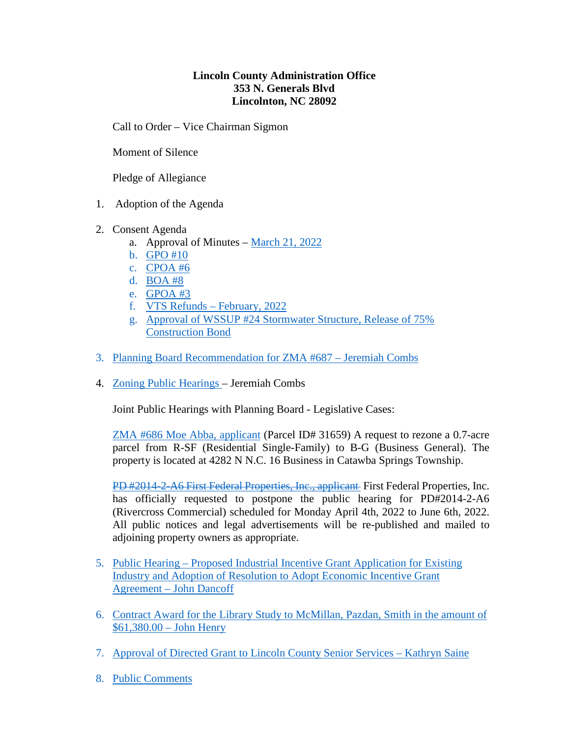#### **Lincoln County Administration Office 353 N. Generals Blvd Lincolnton, NC 28092**

Call to Order – Vice Chairman Sigmon

Moment of Silence

Pledge of Allegiance

- 1. Adoption of the Agenda
- 2. Consent Agenda
	- a. Approval of Minutes [March 21, 2022](https://www.lincolncounty.org/DocumentCenter/View/18791/040422Item2a)
	- b. [GPO #10](https://www.lincolncounty.org/DocumentCenter/View/18761/040422Item2b)
	- c. [CPOA #6](https://www.lincolncounty.org/DocumentCenter/View/18762/040422Item2c)
	- d. [BOA #8](https://www.lincolncounty.org/DocumentCenter/View/18763/040422Item2d)
	- e. [GPOA #3](https://www.lincolncounty.org/DocumentCenter/View/18764/040422Item2e)
	- f. [VTS Refunds –](https://www.lincolncounty.org/DocumentCenter/View/18765/040422Item2f) February, 2022
	- g. [Approval of WSSUP #24 Stormwater Structure, Release of 75%](https://www.lincolncounty.org/DocumentCenter/View/18766/040422Item2g)  [Construction Bond](https://www.lincolncounty.org/DocumentCenter/View/18766/040422Item2g)
- 3. [Planning Board Recommendation for ZMA #687 –](https://www.lincolncounty.org/DocumentCenter/View/18783/040422Item3) Jeremiah Combs
- 4. [Zoning Public Hearings](https://www.lincolncounty.org/DocumentCenter/View/18768/040422Item4) Jeremiah Combs

Joint Public Hearings with Planning Board - Legislative Cases:

[ZMA #686 Moe Abba, applicant](https://www.lincolncounty.org/DocumentCenter/View/18769/040422Item4a) (Parcel ID# 31659) A request to rezone a 0.7-acre parcel from R-SF (Residential Single-Family) to B-G (Business General). The property is located at 4282 N N.C. 16 Business in Catawba Springs Township.

PD #2014-2-A6 First Federal Properties, Inc., applicant First Federal Properties, Inc. has officially requested to postpone the public hearing for PD#2014-2-A6 (Rivercross Commercial) scheduled for Monday April 4th, 2022 to June 6th, 2022. All public notices and legal advertisements will be re-published and mailed to adjoining property owners as appropriate.

- 5. Public Hearing [Proposed Industrial Incentive Grant Application for Existing](https://www.lincolncounty.org/DocumentCenter/View/18771/040422Item5)  [Industry and Adoption of Resolution to Adopt Economic Incentive Grant](https://www.lincolncounty.org/DocumentCenter/View/18771/040422Item5)  [Agreement](https://www.lincolncounty.org/DocumentCenter/View/18771/040422Item5) – John Dancoff
- 6. [Contract Award for the Library Study to McMillan,](https://www.lincolncounty.org/DocumentCenter/View/18772/040422Item6) Pazdan, Smith in the amount of [\\$61,380.00 –](https://www.lincolncounty.org/DocumentCenter/View/18772/040422Item6) John Henry
- 7. [Approval of Directed Grant to Lincoln County Senior Services](https://www.lincolncounty.org/DocumentCenter/View/18773/040422Item7) Kathryn Saine
- 8. Public Comments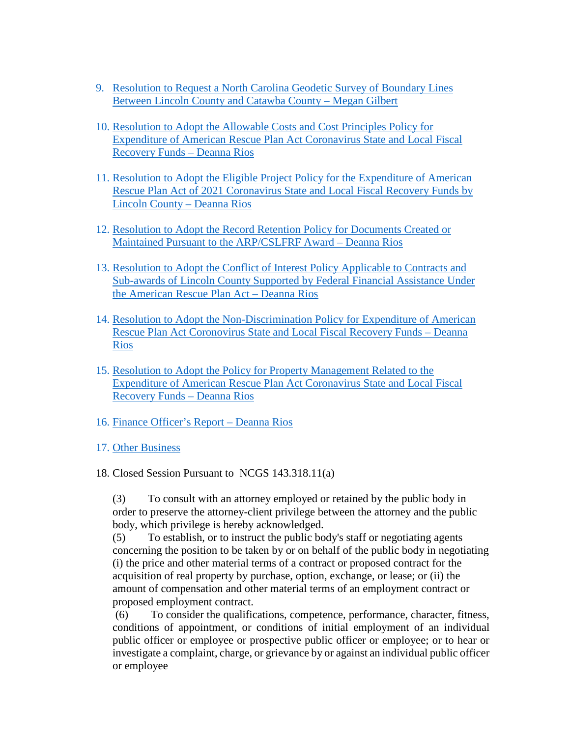- 9. [Resolution to Request a North Carolina Geodetic Survey of Boundary Lines](https://www.lincolncounty.org/DocumentCenter/View/18774/040422Item9)  [Between Lincoln County and Catawba County](https://www.lincolncounty.org/DocumentCenter/View/18774/040422Item9) – Megan Gilbert
- 10. [Resolution to Adopt the Allowable Costs and Cost Principles Policy for](https://www.lincolncounty.org/DocumentCenter/View/18775/040422Item10)  [Expenditure of American Rescue Plan Act Coronavirus State and Local Fiscal](https://www.lincolncounty.org/DocumentCenter/View/18775/040422Item10)  [Recovery Funds](https://www.lincolncounty.org/DocumentCenter/View/18775/040422Item10) – Deanna Rios
- 11. [Resolution to Adopt the Eligible Project Policy for the Expenditure of American](https://www.lincolncounty.org/DocumentCenter/View/18776/040422Item11)  [Rescue Plan Act of 2021 Coronavirus State and Local Fiscal Recovery Funds by](https://www.lincolncounty.org/DocumentCenter/View/18776/040422Item11)  [Lincoln County](https://www.lincolncounty.org/DocumentCenter/View/18776/040422Item11) – Deanna Rios
- 12. [Resolution to Adopt the Record Retention Policy for Documents Created or](https://www.lincolncounty.org/DocumentCenter/View/18777/040422Item12)  [Maintained Pursuant to the ARP/CSLFRF Award](https://www.lincolncounty.org/DocumentCenter/View/18777/040422Item12) – Deanna Rios
- 13. [Resolution to Adopt the Conflict of Interest Policy Applicable to Contracts and](https://www.lincolncounty.org/DocumentCenter/View/18778/040422Item13)  [Sub-awards of Lincoln County Supported by Federal Financial Assistance Under](https://www.lincolncounty.org/DocumentCenter/View/18778/040422Item13)  [the American Rescue Plan Act](https://www.lincolncounty.org/DocumentCenter/View/18778/040422Item13) – Deanna Rios
- 14. [Resolution to Adopt the Non-Discrimination Policy for Expenditure of American](https://www.lincolncounty.org/DocumentCenter/View/18779/040422Item14)  [Rescue Plan Act Coronovirus State and Local Fiscal Recovery Funds –](https://www.lincolncounty.org/DocumentCenter/View/18779/040422Item14) Deanna Rios
- 15. [Resolution to Adopt the Policy for Property Management Related to the](https://www.lincolncounty.org/DocumentCenter/View/18780/040422Item15)  [Expenditure of American Rescue Plan Act Coronavirus State and Local Fiscal](https://www.lincolncounty.org/DocumentCenter/View/18780/040422Item15)  [Recovery Funds](https://www.lincolncounty.org/DocumentCenter/View/18780/040422Item15) – Deanna Rios
- 16. [Finance Officer's Report](https://www.lincolncounty.org/DocumentCenter/View/18781/040422Item16) Deanna Rios
- 17. Other Business

#### 18. Closed Session Pursuant to NCGS 143.318.11(a)

(3) To consult with an attorney employed or retained by the public body in order to preserve the attorney-client privilege between the attorney and the public body, which privilege is hereby acknowledged.

(5) To establish, or to instruct the public body's staff or negotiating agents concerning the position to be taken by or on behalf of the public body in negotiating (i) the price and other material terms of a contract or proposed contract for the acquisition of real property by purchase, option, exchange, or lease; or (ii) the amount of compensation and other material terms of an employment contract or proposed employment contract.

(6) To consider the qualifications, competence, performance, character, fitness, conditions of appointment, or conditions of initial employment of an individual public officer or employee or prospective public officer or employee; or to hear or investigate a complaint, charge, or grievance by or against an individual public officer or employee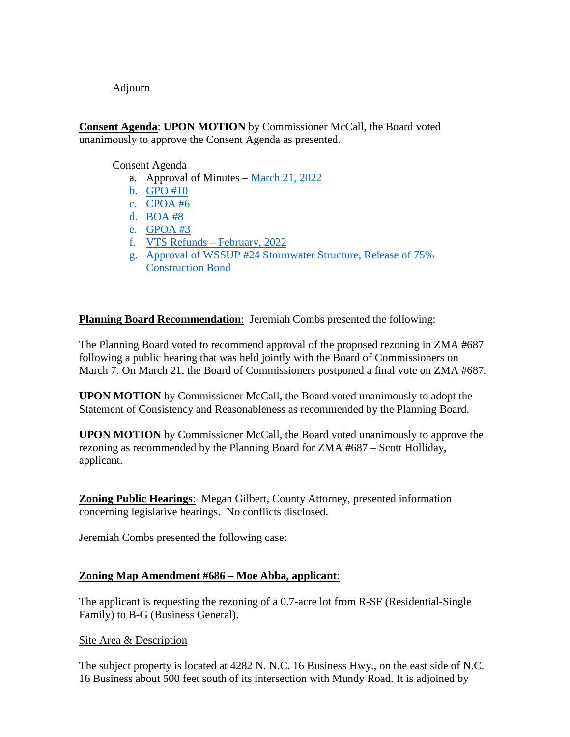Adjourn

**Consent Agenda**: **UPON MOTION** by Commissioner McCall, the Board voted unanimously to approve the Consent Agenda as presented.

Consent Agenda

- a. Approval of Minutes [March 21, 2022](https://www.lincolncounty.org/DocumentCenter/View/18791/040422Item2a)
- b. [GPO #10](https://www.lincolncounty.org/DocumentCenter/View/18761/040422Item2b)
- c. [CPOA #6](https://www.lincolncounty.org/DocumentCenter/View/18762/040422Item2c)
- d. [BOA #8](https://www.lincolncounty.org/DocumentCenter/View/18763/040422Item2d)
- e. [GPOA #3](https://www.lincolncounty.org/DocumentCenter/View/18764/040422Item2e)
- f. [VTS Refunds –](https://www.lincolncounty.org/DocumentCenter/View/18765/040422Item2f) February, 2022
- g. [Approval of WSSUP #24 Stormwater Structure, Release of 75%](https://www.lincolncounty.org/DocumentCenter/View/18766/040422Item2g)  [Construction Bond](https://www.lincolncounty.org/DocumentCenter/View/18766/040422Item2g)

**Planning Board Recommendation:** Jeremiah Combs presented the following:

The Planning Board voted to recommend approval of the proposed rezoning in ZMA #687 following a public hearing that was held jointly with the Board of Commissioners on March 7. On March 21, the Board of Commissioners postponed a final vote on ZMA #687.

**UPON MOTION** by Commissioner McCall, the Board voted unanimously to adopt the Statement of Consistency and Reasonableness as recommended by the Planning Board.

**UPON MOTION** by Commissioner McCall, the Board voted unanimously to approve the rezoning as recommended by the Planning Board for ZMA #687 – Scott Holliday, applicant.

**Zoning Public Hearings**: Megan Gilbert, County Attorney, presented information concerning legislative hearings. No conflicts disclosed.

Jeremiah Combs presented the following case:

## **Zoning Map Amendment #686 – Moe Abba, applicant**:

The applicant is requesting the rezoning of a 0.7-acre lot from R-SF (Residential-Single Family) to B-G (Business General).

#### Site Area & Description

The subject property is located at 4282 N. N.C. 16 Business Hwy., on the east side of N.C. 16 Business about 500 feet south of its intersection with Mundy Road. It is adjoined by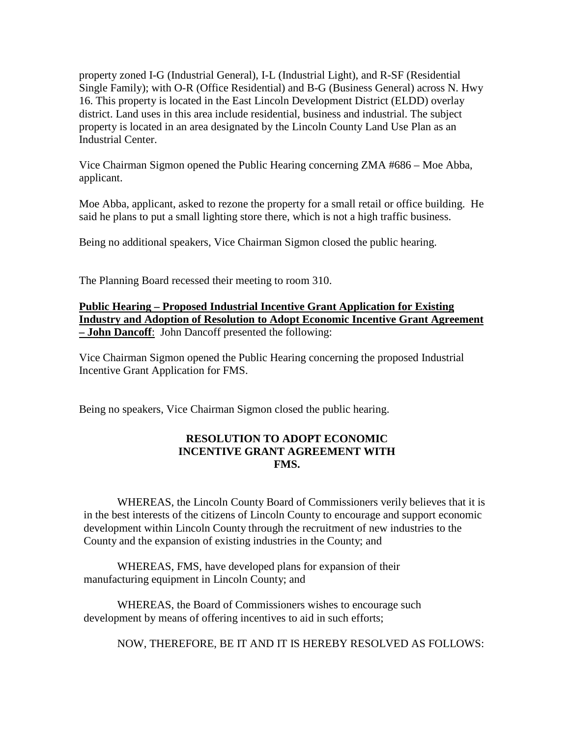property zoned I-G (Industrial General), I-L (Industrial Light), and R-SF (Residential Single Family); with O-R (Office Residential) and B-G (Business General) across N. Hwy 16. This property is located in the East Lincoln Development District (ELDD) overlay district. Land uses in this area include residential, business and industrial. The subject property is located in an area designated by the Lincoln County Land Use Plan as an Industrial Center.

Vice Chairman Sigmon opened the Public Hearing concerning ZMA #686 – Moe Abba, applicant.

Moe Abba, applicant, asked to rezone the property for a small retail or office building. He said he plans to put a small lighting store there, which is not a high traffic business.

Being no additional speakers, Vice Chairman Sigmon closed the public hearing.

The Planning Board recessed their meeting to room 310.

#### **Public Hearing – [Proposed Industrial Incentive Grant Application for Existing](https://www.lincolncounty.org/DocumentCenter/View/18771/040422Item5)  Industry and Adoption of Resolution [to Adopt Economic Incentive Grant Agreement](https://www.lincolncounty.org/DocumentCenter/View/18771/040422Item5) – John Dancoff**: John Dancoff presented the following:

Vice Chairman Sigmon opened the Public Hearing concerning the proposed Industrial Incentive Grant Application for FMS.

Being no speakers, Vice Chairman Sigmon closed the public hearing.

#### **RESOLUTION TO ADOPT ECONOMIC INCENTIVE GRANT AGREEMENT WITH FMS.**

WHEREAS, the Lincoln County Board of Commissioners verily believes that it is in the best interests of the citizens of Lincoln County to encourage and support economic development within Lincoln County through the recruitment of new industries to the County and the expansion of existing industries in the County; and

WHEREAS, FMS, have developed plans for expansion of their manufacturing equipment in Lincoln County; and

WHEREAS, the Board of Commissioners wishes to encourage such development by means of offering incentives to aid in such efforts;

NOW, THEREFORE, BE IT AND IT IS HEREBY RESOLVED AS FOLLOWS: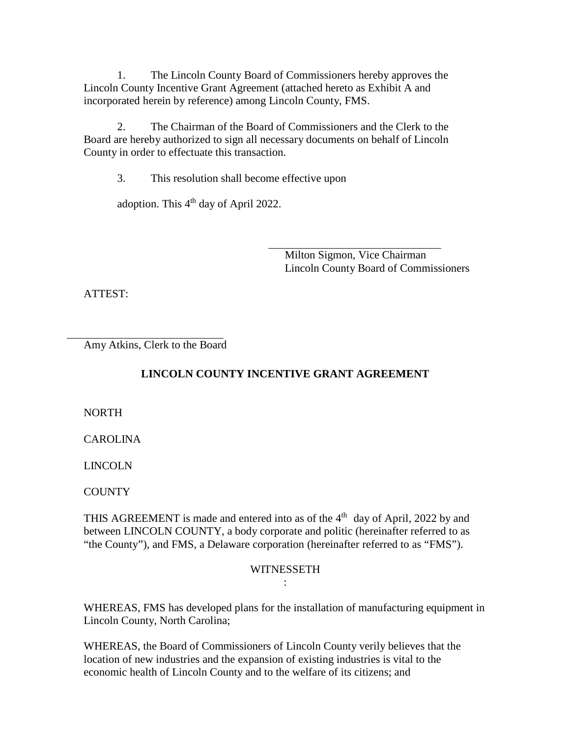1. The Lincoln County Board of Commissioners hereby approves the Lincoln County Incentive Grant Agreement (attached hereto as Exhibit A and incorporated herein by reference) among Lincoln County, FMS.

2. The Chairman of the Board of Commissioners and the Clerk to the Board are hereby authorized to sign all necessary documents on behalf of Lincoln County in order to effectuate this transaction.

3. This resolution shall become effective upon

adoption. This  $4<sup>th</sup>$  day of April 2022.

Milton Sigmon, Vice Chairman Lincoln County Board of Commissioners

ATTEST:

Amy Atkins, Clerk to the Board

#### **LINCOLN COUNTY INCENTIVE GRANT AGREEMENT**

NORTH

CAROLINA

LINCOLN

**COUNTY** 

THIS AGREEMENT is made and entered into as of the 4<sup>th</sup> day of April, 2022 by and between LINCOLN COUNTY, a body corporate and politic (hereinafter referred to as "the County"), and FMS, a Delaware corporation (hereinafter referred to as "FMS").

#### **WITNESSETH** :

WHEREAS, FMS has developed plans for the installation of manufacturing equipment in Lincoln County, North Carolina;

WHEREAS, the Board of Commissioners of Lincoln County verily believes that the location of new industries and the expansion of existing industries is vital to the economic health of Lincoln County and to the welfare of its citizens; and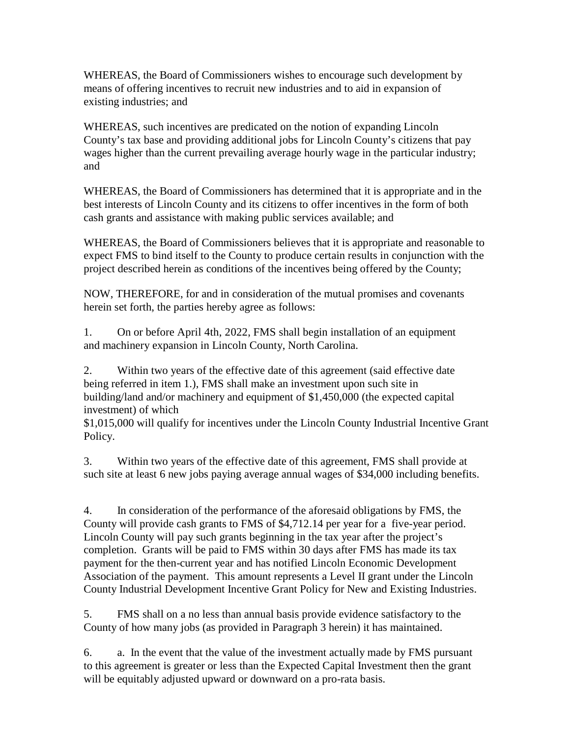WHEREAS, the Board of Commissioners wishes to encourage such development by means of offering incentives to recruit new industries and to aid in expansion of existing industries; and

WHEREAS, such incentives are predicated on the notion of expanding Lincoln County's tax base and providing additional jobs for Lincoln County's citizens that pay wages higher than the current prevailing average hourly wage in the particular industry; and

WHEREAS, the Board of Commissioners has determined that it is appropriate and in the best interests of Lincoln County and its citizens to offer incentives in the form of both cash grants and assistance with making public services available; and

WHEREAS, the Board of Commissioners believes that it is appropriate and reasonable to expect FMS to bind itself to the County to produce certain results in conjunction with the project described herein as conditions of the incentives being offered by the County;

NOW, THEREFORE, for and in consideration of the mutual promises and covenants herein set forth, the parties hereby agree as follows:

1. On or before April 4th, 2022, FMS shall begin installation of an equipment and machinery expansion in Lincoln County, North Carolina.

2. Within two years of the effective date of this agreement (said effective date being referred in item 1.), FMS shall make an investment upon such site in building/land and/or machinery and equipment of \$1,450,000 (the expected capital investment) of which

\$1,015,000 will qualify for incentives under the Lincoln County Industrial Incentive Grant Policy.

3. Within two years of the effective date of this agreement, FMS shall provide at such site at least 6 new jobs paying average annual wages of \$34,000 including benefits.

4. In consideration of the performance of the aforesaid obligations by FMS, the County will provide cash grants to FMS of \$4,712.14 per year for a five-year period. Lincoln County will pay such grants beginning in the tax year after the project's completion. Grants will be paid to FMS within 30 days after FMS has made its tax payment for the then-current year and has notified Lincoln Economic Development Association of the payment. This amount represents a Level II grant under the Lincoln County Industrial Development Incentive Grant Policy for New and Existing Industries.

5. FMS shall on a no less than annual basis provide evidence satisfactory to the County of how many jobs (as provided in Paragraph 3 herein) it has maintained.

6. a. In the event that the value of the investment actually made by FMS pursuant to this agreement is greater or less than the Expected Capital Investment then the grant will be equitably adjusted upward or downward on a pro-rata basis.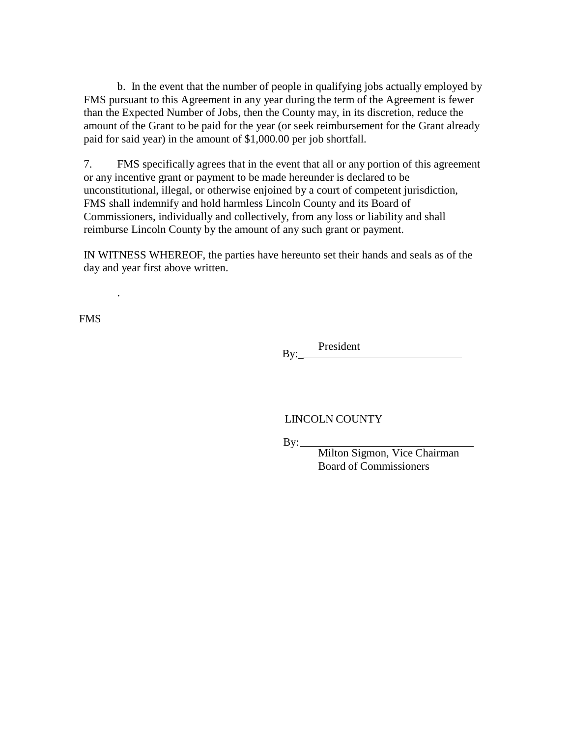b. In the event that the number of people in qualifying jobs actually employed by FMS pursuant to this Agreement in any year during the term of the Agreement is fewer than the Expected Number of Jobs, then the County may, in its discretion, reduce the amount of the Grant to be paid for the year (or seek reimbursement for the Grant already paid for said year) in the amount of \$1,000.00 per job shortfall.

7. FMS specifically agrees that in the event that all or any portion of this agreement or any incentive grant or payment to be made hereunder is declared to be unconstitutional, illegal, or otherwise enjoined by a court of competent jurisdiction, FMS shall indemnify and hold harmless Lincoln County and its Board of Commissioners, individually and collectively, from any loss or liability and shall reimburse Lincoln County by the amount of any such grant or payment.

IN WITNESS WHEREOF, the parties have hereunto set their hands and seals as of the day and year first above written.

FMS

.

 $\mathbf{B} \mathbf{v}$ : President

## LINCOLN COUNTY

 $By:$ 

Milton Sigmon, Vice Chairman Board of Commissioners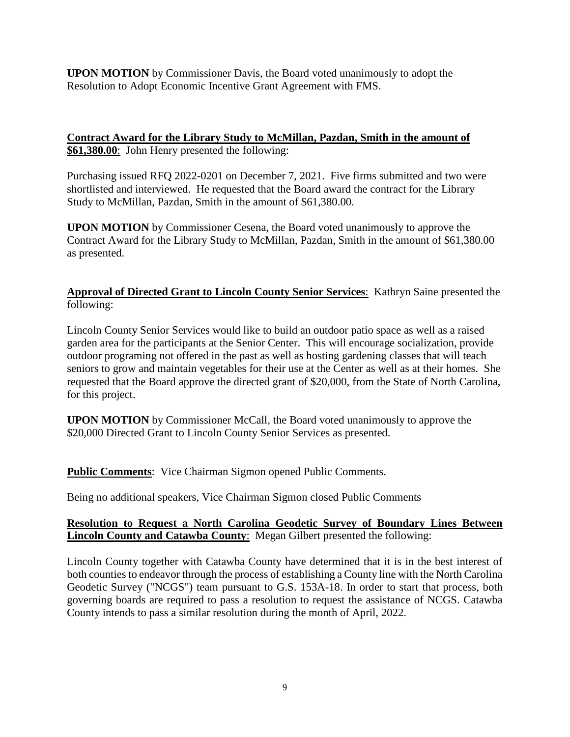**UPON MOTION** by Commissioner Davis, the Board voted unanimously to adopt the Resolution to Adopt Economic Incentive Grant Agreement with FMS.

**Contract Award for the Library Study to McMillan, Pazdan, Smith in the amount of \$61,380.00**: John Henry presented the following:

Purchasing issued RFQ 2022-0201 on December 7, 2021. Five firms submitted and two were shortlisted and interviewed. He requested that the Board award the contract for the Library Study to McMillan, Pazdan, Smith in the amount of \$61,380.00.

**UPON MOTION** by Commissioner Cesena, the Board voted unanimously to approve the Contract Award for the Library Study to McMillan, Pazdan, Smith in the amount of \$61,380.00 as presented.

**Approval of Directed Grant to Lincoln County Senior Services**: Kathryn Saine presented the following:

Lincoln County Senior Services would like to build an outdoor patio space as well as a raised garden area for the participants at the Senior Center. This will encourage socialization, provide outdoor programing not offered in the past as well as hosting gardening classes that will teach seniors to grow and maintain vegetables for their use at the Center as well as at their homes. She requested that the Board approve the directed grant of \$20,000, from the State of North Carolina, for this project.

**UPON MOTION** by Commissioner McCall, the Board voted unanimously to approve the \$20,000 Directed Grant to Lincoln County Senior Services as presented.

**Public Comments**: Vice Chairman Sigmon opened Public Comments.

Being no additional speakers, Vice Chairman Sigmon closed Public Comments

**Resolution to Request a North Carolina Geodetic Survey of Boundary Lines Between Lincoln County and Catawba County**: Megan Gilbert presented the following:

Lincoln County together with Catawba County have determined that it is in the best interest of both counties to endeavor through the process of establishing a County line with the North Carolina Geodetic Survey ("NCGS") team pursuant to G.S. 153A-18. In order to start that process, both governing boards are required to pass a resolution to request the assistance of NCGS. Catawba County intends to pass a similar resolution during the month of April, 2022.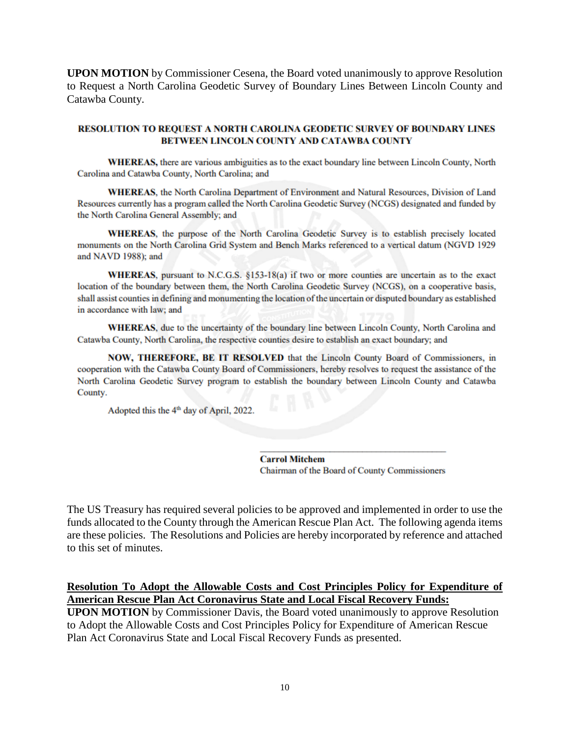**UPON MOTION** by Commissioner Cesena, the Board voted unanimously to approve Resolution to Request a North Carolina Geodetic Survey of Boundary Lines Between Lincoln County and Catawba County.

#### RESOLUTION TO REOUEST A NORTH CAROLINA GEODETIC SURVEY OF BOUNDARY LINES **RETWEEN LINCOLN COUNTY AND CATAWRA COUNTY**

WHEREAS, there are various ambiguities as to the exact boundary line between Lincoln County, North Carolina and Catawba County, North Carolina; and

WHEREAS, the North Carolina Department of Environment and Natural Resources, Division of Land Resources currently has a program called the North Carolina Geodetic Survey (NCGS) designated and funded by the North Carolina General Assembly; and

WHEREAS, the purpose of the North Carolina Geodetic Survey is to establish precisely located monuments on the North Carolina Grid System and Bench Marks referenced to a vertical datum (NGVD 1929 and NAVD 1988); and

WHEREAS, pursuant to N.C.G.S. §153-18(a) if two or more counties are uncertain as to the exact location of the boundary between them, the North Carolina Geodetic Survey (NCGS), on a cooperative basis, shall assist counties in defining and monumenting the location of the uncertain or disputed boundary as established in accordance with law: and

WHEREAS, due to the uncertainty of the boundary line between Lincoln County, North Carolina and Catawba County, North Carolina, the respective counties desire to establish an exact boundary; and

NOW, THEREFORE, BE IT RESOLVED that the Lincoln County Board of Commissioners, in cooperation with the Catawba County Board of Commissioners, hereby resolves to request the assistance of the North Carolina Geodetic Survey program to establish the boundary between Lincoln County and Catawba County.

Adopted this the 4<sup>th</sup> day of April, 2022.

**Carrol Mitchem** Chairman of the Board of County Commissioners

The US Treasury has required several policies to be approved and implemented in order to use the funds allocated to the County through the American Rescue Plan Act. The following agenda items are these policies. The Resolutions and Policies are hereby incorporated by reference and attached to this set of minutes.

#### **Resolution To Adopt the Allowable Costs and Cost Principles Policy for Expenditure of American Rescue Plan Act Coronavirus State and Local Fiscal Recovery Funds:**

**UPON MOTION** by Commissioner Davis, the Board voted unanimously to approve Resolution to Adopt the Allowable Costs and Cost Principles Policy for Expenditure of American Rescue Plan Act Coronavirus State and Local Fiscal Recovery Funds as presented.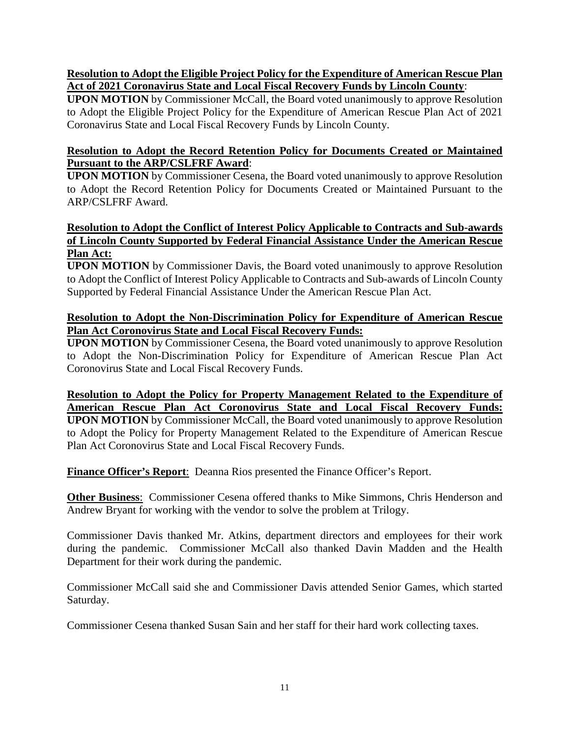#### **Resolution to Adopt the Eligible Project Policy for the Expenditure of American Rescue Plan Act of 2021 Coronavirus State and Local Fiscal Recovery Funds by Lincoln County**:

**UPON MOTION** by Commissioner McCall, the Board voted unanimously to approve Resolution to Adopt the Eligible Project Policy for the Expenditure of American Rescue Plan Act of 2021 Coronavirus State and Local Fiscal Recovery Funds by Lincoln County.

## **Resolution to Adopt the Record Retention Policy for Documents Created or Maintained Pursuant to the ARP/CSLFRF Award**:

**UPON MOTION** by Commissioner Cesena, the Board voted unanimously to approve Resolution to Adopt the Record Retention Policy for Documents Created or Maintained Pursuant to the ARP/CSLFRF Award.

## **Resolution to Adopt the Conflict of Interest Policy Applicable to Contracts and Sub-awards of Lincoln County Supported by Federal Financial Assistance Under the American Rescue Plan Act:**

**UPON MOTION** by Commissioner Davis, the Board voted unanimously to approve Resolution to Adopt the Conflict of Interest Policy Applicable to Contracts and Sub-awards of Lincoln County Supported by Federal Financial Assistance Under the American Rescue Plan Act.

## **Resolution to Adopt the Non-Discrimination Policy for Expenditure of American Rescue Plan Act Coronovirus State and Local Fiscal Recovery Funds:**

**UPON MOTION** by Commissioner Cesena, the Board voted unanimously to approve Resolution to Adopt the Non-Discrimination Policy for Expenditure of American Rescue Plan Act Coronovirus State and Local Fiscal Recovery Funds.

**Resolution to Adopt the Policy for Property Management Related to the Expenditure of American Rescue Plan Act Coronovirus State and Local Fiscal Recovery Funds: UPON MOTION** by Commissioner McCall, the Board voted unanimously to approve Resolution to Adopt the Policy for Property Management Related to the Expenditure of American Rescue Plan Act Coronovirus State and Local Fiscal Recovery Funds.

**Finance Officer's Report**: Deanna Rios presented the Finance Officer's Report.

**Other Business**: Commissioner Cesena offered thanks to Mike Simmons, Chris Henderson and Andrew Bryant for working with the vendor to solve the problem at Trilogy.

Commissioner Davis thanked Mr. Atkins, department directors and employees for their work during the pandemic. Commissioner McCall also thanked Davin Madden and the Health Department for their work during the pandemic.

Commissioner McCall said she and Commissioner Davis attended Senior Games, which started Saturday.

Commissioner Cesena thanked Susan Sain and her staff for their hard work collecting taxes.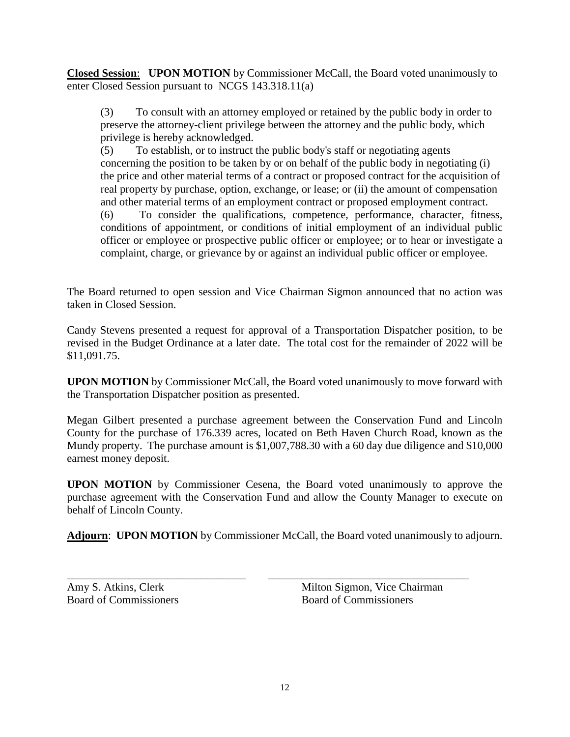**Closed Session**: **UPON MOTION** by Commissioner McCall, the Board voted unanimously to enter Closed Session pursuant to NCGS 143.318.11(a)

(3) To consult with an attorney employed or retained by the public body in order to preserve the attorney-client privilege between the attorney and the public body, which privilege is hereby acknowledged.

(5) To establish, or to instruct the public body's staff or negotiating agents concerning the position to be taken by or on behalf of the public body in negotiating (i) the price and other material terms of a contract or proposed contract for the acquisition of real property by purchase, option, exchange, or lease; or (ii) the amount of compensation and other material terms of an employment contract or proposed employment contract. (6) To consider the qualifications, competence, performance, character, fitness, conditions of appointment, or conditions of initial employment of an individual public officer or employee or prospective public officer or employee; or to hear or investigate a complaint, charge, or grievance by or against an individual public officer or employee.

The Board returned to open session and Vice Chairman Sigmon announced that no action was taken in Closed Session.

Candy Stevens presented a request for approval of a Transportation Dispatcher position, to be revised in the Budget Ordinance at a later date. The total cost for the remainder of 2022 will be \$11,091.75.

**UPON MOTION** by Commissioner McCall, the Board voted unanimously to move forward with the Transportation Dispatcher position as presented.

Megan Gilbert presented a purchase agreement between the Conservation Fund and Lincoln County for the purchase of 176.339 acres, located on Beth Haven Church Road, known as the Mundy property. The purchase amount is \$1,007,788.30 with a 60 day due diligence and \$10,000 earnest money deposit.

**UPON MOTION** by Commissioner Cesena, the Board voted unanimously to approve the purchase agreement with the Conservation Fund and allow the County Manager to execute on behalf of Lincoln County.

Adjourn: **UPON MOTION** by Commissioner McCall, the Board voted unanimously to adjourn.

Board of Commissioners

\_\_\_\_\_\_\_\_\_\_\_\_\_\_\_\_\_\_\_\_\_\_\_\_\_\_\_\_\_\_\_\_ \_\_\_\_\_\_\_\_\_\_\_\_\_\_\_\_\_\_\_\_\_\_\_\_\_\_\_\_\_\_\_\_\_\_\_\_ Amy S. Atkins, Clerk Milton Sigmon, Vice Chairman<br>Board of Commissioners Board of Commissioners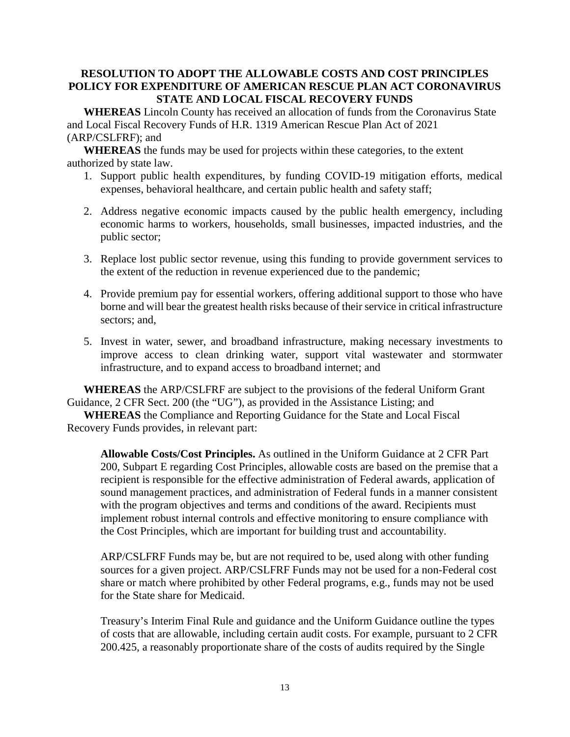#### **RESOLUTION TO ADOPT THE ALLOWABLE COSTS AND COST PRINCIPLES POLICY FOR EXPENDITURE OF AMERICAN RESCUE PLAN ACT CORONAVIRUS STATE AND LOCAL FISCAL RECOVERY FUNDS**

**WHEREAS** Lincoln County has received an allocation of funds from the Coronavirus State and Local Fiscal Recovery Funds of H.R. 1319 American Rescue Plan Act of 2021 (ARP/CSLFRF); and

**WHEREAS** the funds may be used for projects within these categories, to the extent authorized by state law.

- 1. Support public health expenditures, by funding COVID-19 mitigation efforts, medical expenses, behavioral healthcare, and certain public health and safety staff;
- 2. Address negative economic impacts caused by the public health emergency, including economic harms to workers, households, small businesses, impacted industries, and the public sector;
- 3. Replace lost public sector revenue, using this funding to provide government services to the extent of the reduction in revenue experienced due to the pandemic;
- 4. Provide premium pay for essential workers, offering additional support to those who have borne and will bear the greatest health risks because of their service in critical infrastructure sectors; and
- 5. Invest in water, sewer, and broadband infrastructure, making necessary investments to improve access to clean drinking water, support vital wastewater and stormwater infrastructure, and to expand access to broadband internet; and

**WHEREAS** the ARP/CSLFRF are subject to the provisions of the federal Uniform Grant Guidance, 2 CFR Sect. 200 (the "UG"), as provided in the Assistance Listing; and

**WHEREAS** the Compliance and Reporting Guidance for the State and Local Fiscal Recovery Funds provides, in relevant part:

**Allowable Costs/Cost Principles.** As outlined in the Uniform Guidance at 2 CFR Part 200, Subpart E regarding Cost Principles, allowable costs are based on the premise that a recipient is responsible for the effective administration of Federal awards, application of sound management practices, and administration of Federal funds in a manner consistent with the program objectives and terms and conditions of the award. Recipients must implement robust internal controls and effective monitoring to ensure compliance with the Cost Principles, which are important for building trust and accountability.

ARP/CSLFRF Funds may be, but are not required to be, used along with other funding sources for a given project. ARP/CSLFRF Funds may not be used for a non-Federal cost share or match where prohibited by other Federal programs, e.g., funds may not be used for the State share for Medicaid.

Treasury's Interim Final Rule and guidance and the Uniform Guidance outline the types of costs that are allowable, including certain audit costs. For example, pursuant to 2 CFR 200.425, a reasonably proportionate share of the costs of audits required by the Single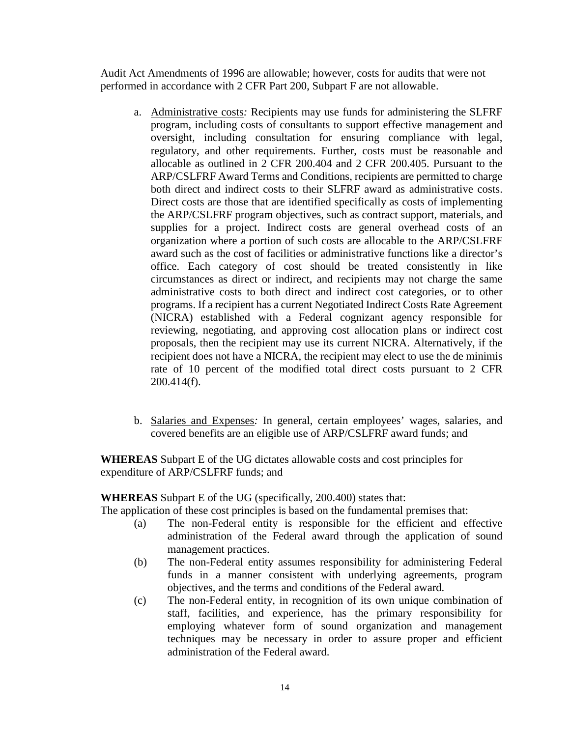Audit Act Amendments of 1996 are allowable; however, costs for audits that were not performed in accordance with 2 CFR Part 200, Subpart F are not allowable.

- a. Administrative costs*:* Recipients may use funds for administering the SLFRF program, including costs of consultants to support effective management and oversight, including consultation for ensuring compliance with legal, regulatory, and other requirements. Further, costs must be reasonable and allocable as outlined in 2 CFR 200.404 and 2 CFR 200.405. Pursuant to the ARP/CSLFRF Award Terms and Conditions, recipients are permitted to charge both direct and indirect costs to their SLFRF award as administrative costs. Direct costs are those that are identified specifically as costs of implementing the ARP/CSLFRF program objectives, such as contract support, materials, and supplies for a project. Indirect costs are general overhead costs of an organization where a portion of such costs are allocable to the ARP/CSLFRF award such as the cost of facilities or administrative functions like a director's office. Each category of cost should be treated consistently in like circumstances as direct or indirect, and recipients may not charge the same administrative costs to both direct and indirect cost categories, or to other programs. If a recipient has a current Negotiated Indirect Costs Rate Agreement (NICRA) established with a Federal cognizant agency responsible for reviewing, negotiating, and approving cost allocation plans or indirect cost proposals, then the recipient may use its current NICRA. Alternatively, if the recipient does not have a NICRA, the recipient may elect to use the de minimis rate of 10 percent of the modified total direct costs pursuant to 2 CFR 200.414(f).
- b. Salaries and Expenses*:* In general, certain employees' wages, salaries, and covered benefits are an eligible use of ARP/CSLFRF award funds; and

**WHEREAS** Subpart E of the UG dictates allowable costs and cost principles for expenditure of ARP/CSLFRF funds; and

**WHEREAS** Subpart E of the UG (specifically, 200.400) states that:

The application of these cost principles is based on the fundamental premises that:

- (a) The non-Federal entity is responsible for the efficient and effective administration of the Federal award through the application of sound management practices.
- (b) The non-Federal entity assumes responsibility for administering Federal funds in a manner consistent with underlying agreements, program objectives, and the terms and conditions of the Federal award.
- (c) The non-Federal entity, in recognition of its own unique combination of staff, facilities, and experience, has the primary responsibility for employing whatever form of sound organization and management techniques may be necessary in order to assure proper and efficient administration of the Federal award.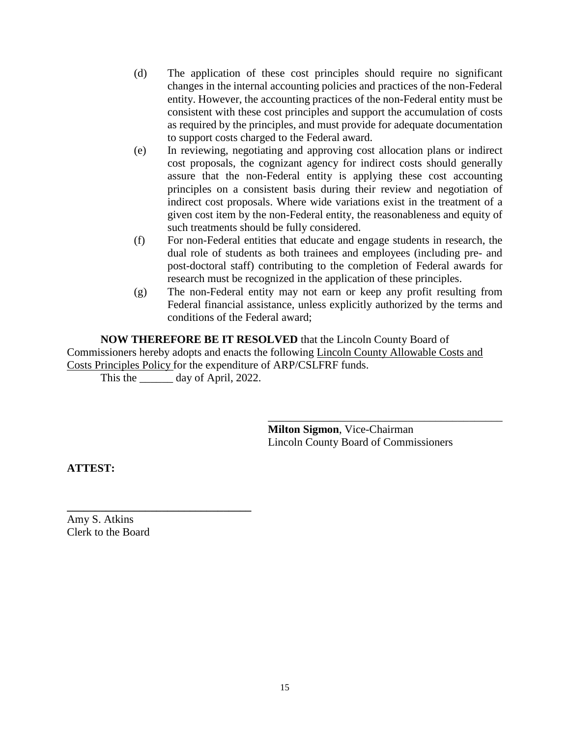- (d) The application of these cost principles should require no significant changes in the internal accounting policies and practices of the non-Federal entity. However, the accounting practices of the non-Federal entity must be consistent with these cost principles and support the accumulation of costs as required by the principles, and must provide for adequate documentation to support costs charged to the Federal award.
- (e) In reviewing, negotiating and approving cost allocation plans or indirect cost proposals, the cognizant agency for indirect costs should generally assure that the non-Federal entity is applying these cost accounting principles on a consistent basis during their review and negotiation of indirect cost proposals. Where wide variations exist in the treatment of a given cost item by the non-Federal entity, the reasonableness and equity of such treatments should be fully considered.
- (f) For non-Federal entities that educate and engage students in research, the dual role of students as both trainees and employees (including pre- and post-doctoral staff) contributing to the completion of Federal awards for research must be recognized in the application of these principles.
- (g) The non-Federal entity may not earn or keep any profit resulting from Federal financial assistance, unless explicitly authorized by the terms and conditions of the Federal award;

**NOW THEREFORE BE IT RESOLVED** that the Lincoln County Board of Commissioners hereby adopts and enacts the following Lincoln County Allowable Costs and Costs Principles Policy for the expenditure of ARP/CSLFRF funds.

This the <u>equal</u> day of April, 2022.

\_\_\_\_\_\_\_\_\_\_\_\_\_\_\_\_\_\_\_\_\_\_\_\_\_\_\_\_\_\_\_\_\_\_\_\_\_\_\_\_\_\_ **Milton Sigmon**, Vice-Chairman Lincoln County Board of Commissioners

**ATTEST:**

**\_\_\_\_\_\_\_\_\_\_\_\_\_\_\_\_\_\_\_\_\_\_\_\_\_\_\_\_\_\_\_\_\_** Amy S. Atkins Clerk to the Board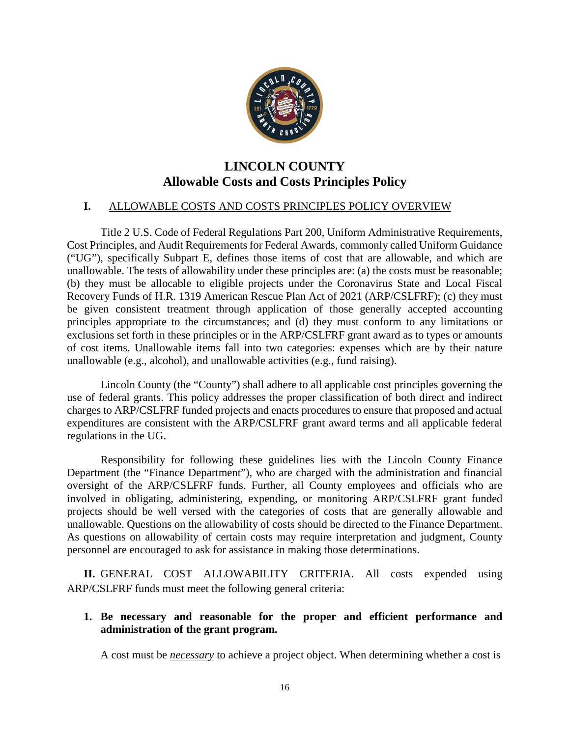

# **LINCOLN COUNTY Allowable Costs and Costs Principles Policy**

# **I.** ALLOWABLE COSTS AND COSTS PRINCIPLES POLICY OVERVIEW

Title 2 U.S. Code of Federal Regulations Part 200, Uniform Administrative Requirements, Cost Principles, and Audit Requirements for Federal Awards, commonly called Uniform Guidance ("UG"), specifically Subpart E, defines those items of cost that are allowable, and which are unallowable. The tests of allowability under these principles are: (a) the costs must be reasonable; (b) they must be allocable to eligible projects under the Coronavirus State and Local Fiscal Recovery Funds of H.R. 1319 American Rescue Plan Act of 2021 (ARP/CSLFRF); (c) they must be given consistent treatment through application of those generally accepted accounting principles appropriate to the circumstances; and (d) they must conform to any limitations or exclusions set forth in these principles or in the ARP/CSLFRF grant award as to types or amounts of cost items. Unallowable items fall into two categories: expenses which are by their nature unallowable (e.g., alcohol), and unallowable activities (e.g., fund raising).

Lincoln County (the "County") shall adhere to all applicable cost principles governing the use of federal grants. This policy addresses the proper classification of both direct and indirect charges to ARP/CSLFRF funded projects and enacts procedures to ensure that proposed and actual expenditures are consistent with the ARP/CSLFRF grant award terms and all applicable federal regulations in the UG.

Responsibility for following these guidelines lies with the Lincoln County Finance Department (the "Finance Department"), who are charged with the administration and financial oversight of the ARP/CSLFRF funds. Further, all County employees and officials who are involved in obligating, administering, expending, or monitoring ARP/CSLFRF grant funded projects should be well versed with the categories of costs that are generally allowable and unallowable. Questions on the allowability of costs should be directed to the Finance Department. As questions on allowability of certain costs may require interpretation and judgment, County personnel are encouraged to ask for assistance in making those determinations.

**II.** GENERAL COST ALLOWABILITY CRITERIA. All costs expended using ARP/CSLFRF funds must meet the following general criteria:

#### **1. Be necessary and reasonable for the proper and efficient performance and administration of the grant program.**

A cost must be *necessary* to achieve a project object. When determining whether a cost is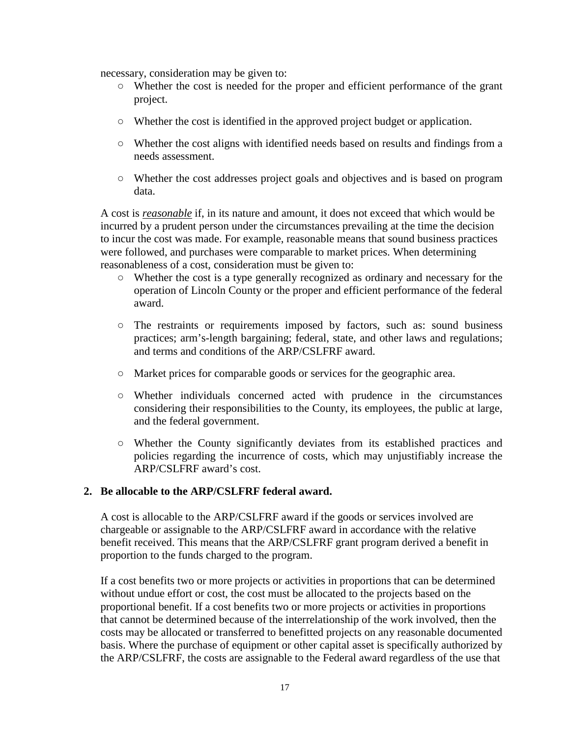necessary, consideration may be given to:

- Whether the cost is needed for the proper and efficient performance of the grant project.
- Whether the cost is identified in the approved project budget or application.
- Whether the cost aligns with identified needs based on results and findings from a needs assessment.
- Whether the cost addresses project goals and objectives and is based on program data.

A cost is *reasonable* if, in its nature and amount, it does not exceed that which would be incurred by a prudent person under the circumstances prevailing at the time the decision to incur the cost was made. For example, reasonable means that sound business practices were followed, and purchases were comparable to market prices. When determining reasonableness of a cost, consideration must be given to:

- Whether the cost is a type generally recognized as ordinary and necessary for the operation of Lincoln County or the proper and efficient performance of the federal award.
- The restraints or requirements imposed by factors, such as: sound business practices; arm's-length bargaining; federal, state, and other laws and regulations; and terms and conditions of the ARP/CSLFRF award.
- Market prices for comparable goods or services for the geographic area.
- Whether individuals concerned acted with prudence in the circumstances considering their responsibilities to the County, its employees, the public at large, and the federal government.
- Whether the County significantly deviates from its established practices and policies regarding the incurrence of costs, which may unjustifiably increase the ARP/CSLFRF award's cost.

## **2. Be allocable to the ARP/CSLFRF federal award.**

A cost is allocable to the ARP/CSLFRF award if the goods or services involved are chargeable or assignable to the ARP/CSLFRF award in accordance with the relative benefit received. This means that the ARP/CSLFRF grant program derived a benefit in proportion to the funds charged to the program.

If a cost benefits two or more projects or activities in proportions that can be determined without undue effort or cost, the cost must be allocated to the projects based on the proportional benefit. If a cost benefits two or more projects or activities in proportions that cannot be determined because of the interrelationship of the work involved, then the costs may be allocated or transferred to benefitted projects on any reasonable documented basis. Where the purchase of equipment or other capital asset is specifically authorized by the ARP/CSLFRF, the costs are assignable to the Federal award regardless of the use that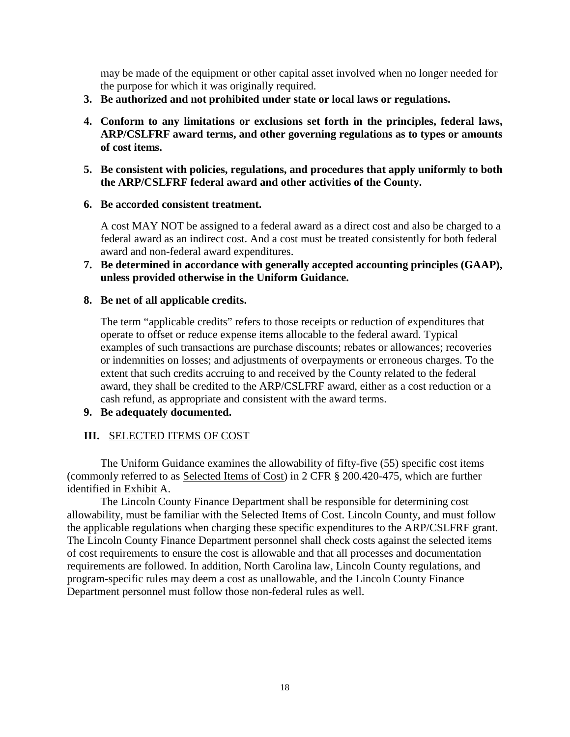may be made of the equipment or other capital asset involved when no longer needed for the purpose for which it was originally required.

- **3. Be authorized and not prohibited under state or local laws or regulations.**
- **4. Conform to any limitations or exclusions set forth in the principles, federal laws, ARP/CSLFRF award terms, and other governing regulations as to types or amounts of cost items.**
- **5. Be consistent with policies, regulations, and procedures that apply uniformly to both the ARP/CSLFRF federal award and other activities of the County.**
- **6. Be accorded consistent treatment.**

A cost MAY NOT be assigned to a federal award as a direct cost and also be charged to a federal award as an indirect cost. And a cost must be treated consistently for both federal award and non-federal award expenditures.

**7. Be determined in accordance with generally accepted accounting principles (GAAP), unless provided otherwise in the Uniform Guidance.** 

#### **8. Be net of all applicable credits.**

The term "applicable credits" refers to those receipts or reduction of expenditures that operate to offset or reduce expense items allocable to the federal award. Typical examples of such transactions are purchase discounts; rebates or allowances; recoveries or indemnities on losses; and adjustments of overpayments or erroneous charges. To the extent that such credits accruing to and received by the County related to the federal award, they shall be credited to the ARP/CSLFRF award, either as a cost reduction or a cash refund, as appropriate and consistent with the award terms.

#### **9. Be adequately documented.**

## **III.** SELECTED ITEMS OF COST

The Uniform Guidance examines the allowability of fifty-five (55) specific cost items (commonly referred to as Selected Items of Cost) in 2 CFR § 200.420-475, which are further identified in Exhibit A.

The Lincoln County Finance Department shall be responsible for determining cost allowability, must be familiar with the Selected Items of Cost. Lincoln County, and must follow the applicable regulations when charging these specific expenditures to the ARP/CSLFRF grant. The Lincoln County Finance Department personnel shall check costs against the selected items of cost requirements to ensure the cost is allowable and that all processes and documentation requirements are followed. In addition, North Carolina law, Lincoln County regulations, and program-specific rules may deem a cost as unallowable, and the Lincoln County Finance Department personnel must follow those non-federal rules as well.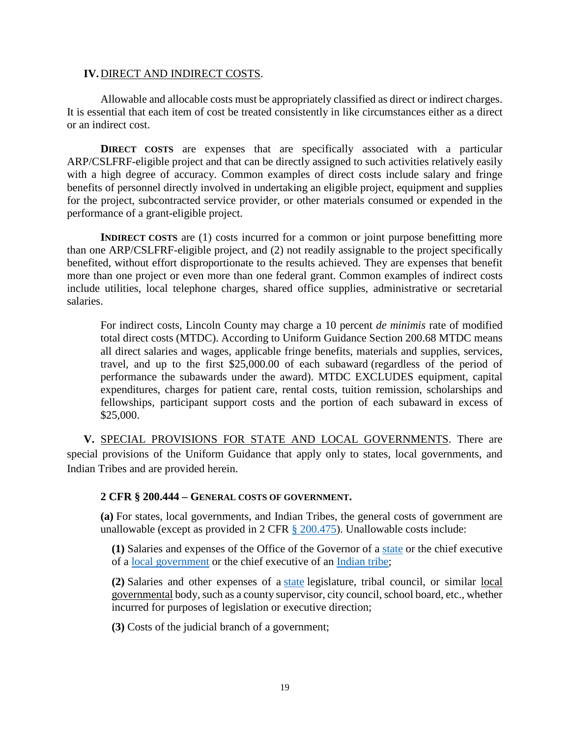#### **IV.**DIRECT AND INDIRECT COSTS.

Allowable and allocable costs must be appropriately classified as direct or indirect charges. It is essential that each item of cost be treated consistently in like circumstances either as a direct or an indirect cost.

**DIRECT** COSTS are expenses that are specifically associated with a particular ARP/CSLFRF-eligible project and that can be directly assigned to such activities relatively easily with a high degree of accuracy. Common examples of direct costs include salary and fringe benefits of personnel directly involved in undertaking an eligible project, equipment and supplies for the project, subcontracted service provider, or other materials consumed or expended in the performance of a grant-eligible project.

**INDIRECT COSTS** are (1) costs incurred for a common or joint purpose benefitting more than one ARP/CSLFRF-eligible project, and (2) not readily assignable to the project specifically benefited, without effort disproportionate to the results achieved. They are expenses that benefit more than one project or even more than one federal grant. Common examples of indirect costs include utilities, local telephone charges, shared office supplies, administrative or secretarial salaries.

For indirect costs, Lincoln County may charge a 10 percent *de minimis* rate of modified total direct costs (MTDC). According to Uniform Guidance Section 200.68 MTDC means all direct salaries and wages, applicable fringe benefits, materials and supplies, services, travel, and up to the first \$25,000.00 of each subaward (regardless of the period of performance the subawards under the award). MTDC EXCLUDES equipment, capital expenditures, charges for patient care, rental costs, tuition remission, scholarships and fellowships, participant support costs and the portion of each subaward in excess of \$25,000.

**V.** SPECIAL PROVISIONS FOR STATE AND LOCAL GOVERNMENTS. There are special provisions of the Uniform Guidance that apply only to states, local governments, and Indian Tribes and are provided herein.

#### **2 CFR § 200.444 – GENERAL COSTS OF GOVERNMENT.**

**(a)** For states, local governments, and Indian Tribes, the general costs of government are unallowable (except as provided in 2 CFR  $\S$  200.475). Unallowable costs include:

**(1)** Salaries and expenses of the Office of the Governor of a [state](https://www.law.cornell.edu/definitions/index.php?width=840&height=800&iframe=true&def_id=3d66cac5fd675bfc76ede4888b240176&term_occur=999&term_src=Title:2:Subtitle:A:Chapter:II:Part:200:Subpart:E:Subjgrp:41:200.444) or the chief executive of a [local government](https://www.law.cornell.edu/definitions/index.php?width=840&height=800&iframe=true&def_id=2351077af91a56a86cf7de12032e8194&term_occur=999&term_src=Title:2:Subtitle:A:Chapter:II:Part:200:Subpart:E:Subjgrp:41:200.444) or the chief executive of an [Indian tribe;](https://www.law.cornell.edu/definitions/index.php?width=840&height=800&iframe=true&def_id=2f3422fdfc29b5b6e44d5a6de124a7d8&term_occur=999&term_src=Title:2:Subtitle:A:Chapter:II:Part:200:Subpart:E:Subjgrp:41:200.444)

**(2)** Salaries and other expenses of a [state](https://www.law.cornell.edu/definitions/index.php?width=840&height=800&iframe=true&def_id=3d66cac5fd675bfc76ede4888b240176&term_occur=999&term_src=Title:2:Subtitle:A:Chapter:II:Part:200:Subpart:E:Subjgrp:41:200.444) legislature, tribal council, or similar local governmental body, such as a county supervisor, city council, school board, etc., whether incurred for purposes of legislation or executive direction;

**(3)** Costs of the judicial branch of a government;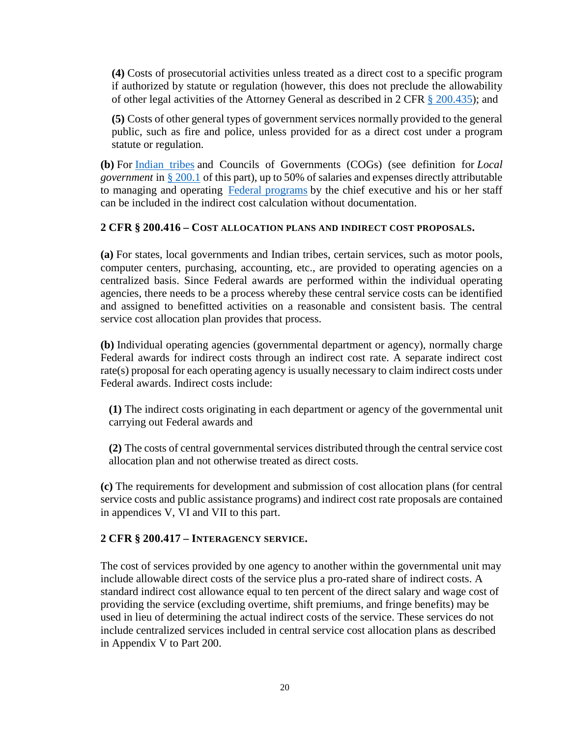**(4)** Costs of prosecutorial activities unless treated as a direct cost to a specific program if authorized by statute or regulation (however, this does not preclude the allowability of other legal activities of the Attorney General as described in 2 CFR [§ 200.435\)](https://www.law.cornell.edu/cfr/text/2/200.435); and

**(5)** Costs of other general types of government services normally provided to the general public, such as fire and police, unless provided for as a direct cost under a program statute or regulation.

**(b)** For [Indian tribes](https://www.law.cornell.edu/definitions/index.php?width=840&height=800&iframe=true&def_id=2f3422fdfc29b5b6e44d5a6de124a7d8&term_occur=999&term_src=Title:2:Subtitle:A:Chapter:II:Part:200:Subpart:E:Subjgrp:41:200.444) and Councils of Governments (COGs) (see definition for *Local government* in [§ 200.1](https://www.law.cornell.edu/cfr/text/2/200.1) of this part), up to 50% of salaries and expenses directly attributable to managing and operating [Federal programs](https://www.law.cornell.edu/definitions/index.php?width=840&height=800&iframe=true&def_id=7cbd32c5c688475f8e11a278f7b64299&term_occur=999&term_src=Title:2:Subtitle:A:Chapter:II:Part:200:Subpart:E:Subjgrp:41:200.444) by the chief executive and his or her staff can be included in the indirect cost calculation without documentation.

#### **2 CFR § 200.416 – COST ALLOCATION PLANS AND INDIRECT COST PROPOSALS.**

**(a)** For states, local governments and Indian tribes, certain services, such as motor pools, computer centers, purchasing, accounting, etc., are provided to operating agencies on a centralized basis. Since Federal awards are performed within the individual operating agencies, there needs to be a process whereby these central service costs can be identified and assigned to benefitted activities on a reasonable and consistent basis. The central service cost allocation plan provides that process.

**(b)** Individual operating agencies (governmental department or agency), normally charge Federal awards for indirect costs through an indirect cost rate. A separate indirect cost rate(s) proposal for each operating agency is usually necessary to claim indirect costs under Federal awards. Indirect costs include:

**(1)** The indirect costs originating in each department or agency of the governmental unit carrying out Federal awards and

**(2)** The costs of central governmental services distributed through the central service cost allocation plan and not otherwise treated as direct costs.

**(c)** The requirements for development and submission of cost allocation plans (for central service costs and public assistance programs) and indirect cost rate proposals are contained in appendices V, VI and VII to this part.

#### **2 CFR § 200.417 – INTERAGENCY SERVICE.**

The cost of services provided by one agency to another within the governmental unit may include allowable direct costs of the service plus a pro-rated share of indirect costs. A standard indirect cost allowance equal to ten percent of the direct salary and wage cost of providing the service (excluding overtime, shift premiums, and fringe benefits) may be used in lieu of determining the actual indirect costs of the service. These services do not include centralized services included in central service cost allocation plans as described in Appendix V to Part 200.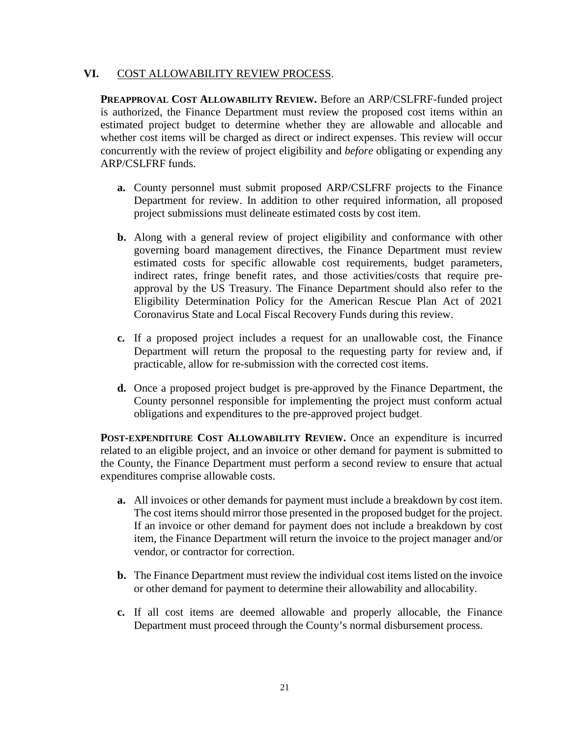#### **VI.** COST ALLOWABILITY REVIEW PROCESS.

**PREAPPROVAL COST ALLOWABILITY REVIEW.** Before an ARP/CSLFRF-funded project is authorized, the Finance Department must review the proposed cost items within an estimated project budget to determine whether they are allowable and allocable and whether cost items will be charged as direct or indirect expenses. This review will occur concurrently with the review of project eligibility and *before* obligating or expending any ARP/CSLFRF funds.

- **a.** County personnel must submit proposed ARP/CSLFRF projects to the Finance Department for review. In addition to other required information, all proposed project submissions must delineate estimated costs by cost item.
- **b.** Along with a general review of project eligibility and conformance with other governing board management directives, the Finance Department must review estimated costs for specific allowable cost requirements, budget parameters, indirect rates, fringe benefit rates, and those activities/costs that require preapproval by the US Treasury. The Finance Department should also refer to the Eligibility Determination Policy for the American Rescue Plan Act of 2021 Coronavirus State and Local Fiscal Recovery Funds during this review.
- **c.** If a proposed project includes a request for an unallowable cost, the Finance Department will return the proposal to the requesting party for review and, if practicable, allow for re-submission with the corrected cost items.
- **d.** Once a proposed project budget is pre-approved by the Finance Department, the County personnel responsible for implementing the project must conform actual obligations and expenditures to the pre-approved project budget.

**POST-EXPENDITURE COST ALLOWABILITY REVIEW.** Once an expenditure is incurred related to an eligible project, and an invoice or other demand for payment is submitted to the County, the Finance Department must perform a second review to ensure that actual expenditures comprise allowable costs.

- **a.** All invoices or other demands for payment must include a breakdown by cost item. The cost items should mirror those presented in the proposed budget for the project. If an invoice or other demand for payment does not include a breakdown by cost item, the Finance Department will return the invoice to the project manager and/or vendor, or contractor for correction.
- **b.** The Finance Department must review the individual cost items listed on the invoice or other demand for payment to determine their allowability and allocability.
- **c.** If all cost items are deemed allowable and properly allocable, the Finance Department must proceed through the County's normal disbursement process.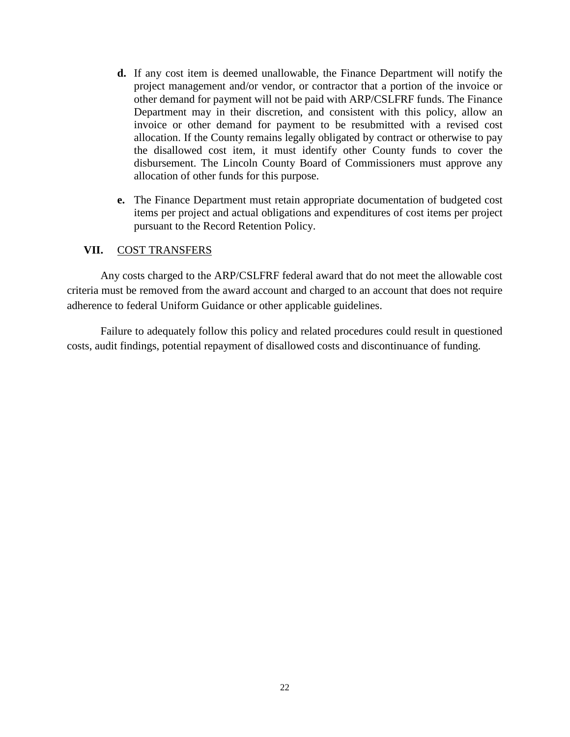- **d.** If any cost item is deemed unallowable, the Finance Department will notify the project management and/or vendor, or contractor that a portion of the invoice or other demand for payment will not be paid with ARP/CSLFRF funds. The Finance Department may in their discretion, and consistent with this policy, allow an invoice or other demand for payment to be resubmitted with a revised cost allocation. If the County remains legally obligated by contract or otherwise to pay the disallowed cost item, it must identify other County funds to cover the disbursement. The Lincoln County Board of Commissioners must approve any allocation of other funds for this purpose.
- **e.** The Finance Department must retain appropriate documentation of budgeted cost items per project and actual obligations and expenditures of cost items per project pursuant to the Record Retention Policy.

#### **VII.** COST TRANSFERS

Any costs charged to the ARP/CSLFRF federal award that do not meet the allowable cost criteria must be removed from the award account and charged to an account that does not require adherence to federal Uniform Guidance or other applicable guidelines.

Failure to adequately follow this policy and related procedures could result in questioned costs, audit findings, potential repayment of disallowed costs and discontinuance of funding.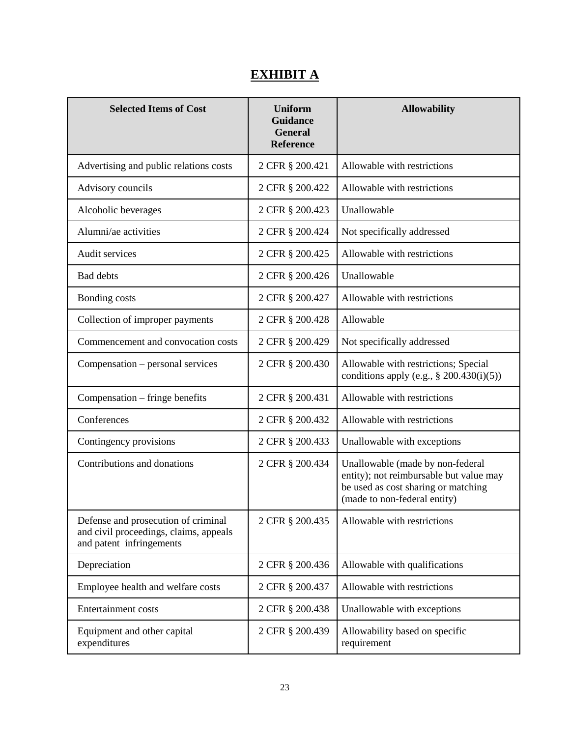# **EXHIBIT A**

| <b>Selected Items of Cost</b>                                                                             | <b>Uniform</b><br><b>Guidance</b><br><b>General</b><br><b>Reference</b> | <b>Allowability</b>                                                                                                                                |
|-----------------------------------------------------------------------------------------------------------|-------------------------------------------------------------------------|----------------------------------------------------------------------------------------------------------------------------------------------------|
| Advertising and public relations costs                                                                    | 2 CFR § 200.421                                                         | Allowable with restrictions                                                                                                                        |
| Advisory councils                                                                                         | 2 CFR § 200.422                                                         | Allowable with restrictions                                                                                                                        |
| Alcoholic beverages                                                                                       | 2 CFR § 200.423                                                         | Unallowable                                                                                                                                        |
| Alumni/ae activities                                                                                      | 2 CFR § 200.424                                                         | Not specifically addressed                                                                                                                         |
| Audit services                                                                                            | 2 CFR § 200.425                                                         | Allowable with restrictions                                                                                                                        |
| Bad debts                                                                                                 | 2 CFR § 200.426                                                         | Unallowable                                                                                                                                        |
| Bonding costs                                                                                             | 2 CFR § 200.427                                                         | Allowable with restrictions                                                                                                                        |
| Collection of improper payments                                                                           | 2 CFR § 200.428                                                         | Allowable                                                                                                                                          |
| Commencement and convocation costs                                                                        | 2 CFR § 200.429                                                         | Not specifically addressed                                                                                                                         |
| Compensation – personal services                                                                          | 2 CFR § 200.430                                                         | Allowable with restrictions; Special<br>conditions apply (e.g., $\S$ 200.430(i)(5))                                                                |
| Compensation – fringe benefits                                                                            | 2 CFR § 200.431                                                         | Allowable with restrictions                                                                                                                        |
| Conferences                                                                                               | 2 CFR § 200.432                                                         | Allowable with restrictions                                                                                                                        |
| Contingency provisions                                                                                    | 2 CFR § 200.433                                                         | Unallowable with exceptions                                                                                                                        |
| Contributions and donations                                                                               | 2 CFR § 200.434                                                         | Unallowable (made by non-federal<br>entity); not reimbursable but value may<br>be used as cost sharing or matching<br>(made to non-federal entity) |
| Defense and prosecution of criminal<br>and civil proceedings, claims, appeals<br>and patent infringements | 2 CFR § 200.435                                                         | Allowable with restrictions                                                                                                                        |
| Depreciation                                                                                              | 2 CFR § 200.436                                                         | Allowable with qualifications                                                                                                                      |
| Employee health and welfare costs                                                                         | 2 CFR § 200.437                                                         | Allowable with restrictions                                                                                                                        |
| <b>Entertainment costs</b>                                                                                | 2 CFR § 200.438                                                         | Unallowable with exceptions                                                                                                                        |
| Equipment and other capital<br>expenditures                                                               | 2 CFR § 200.439                                                         | Allowability based on specific<br>requirement                                                                                                      |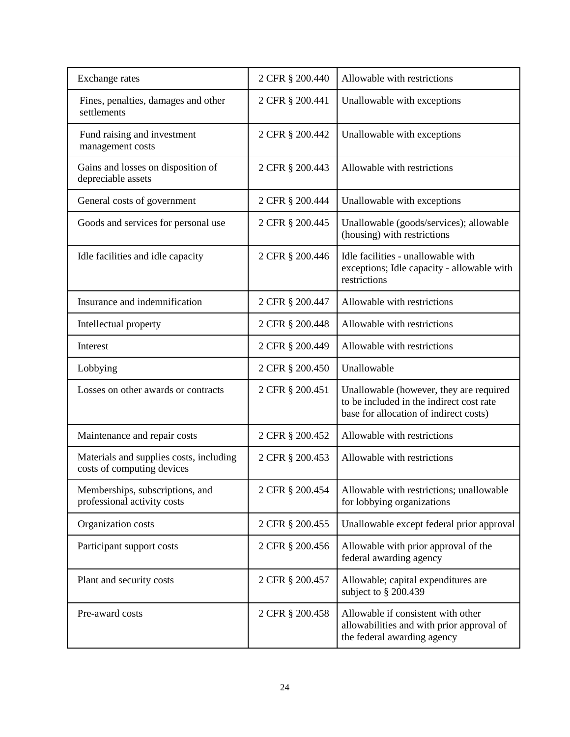| Exchange rates                                                        | 2 CFR § 200.440 | Allowable with restrictions                                                                                                   |
|-----------------------------------------------------------------------|-----------------|-------------------------------------------------------------------------------------------------------------------------------|
| Fines, penalties, damages and other<br>settlements                    | 2 CFR § 200.441 | Unallowable with exceptions                                                                                                   |
| Fund raising and investment<br>management costs                       | 2 CFR § 200.442 | Unallowable with exceptions                                                                                                   |
| Gains and losses on disposition of<br>depreciable assets              | 2 CFR § 200.443 | Allowable with restrictions                                                                                                   |
| General costs of government                                           | 2 CFR § 200.444 | Unallowable with exceptions                                                                                                   |
| Goods and services for personal use                                   | 2 CFR § 200.445 | Unallowable (goods/services); allowable<br>(housing) with restrictions                                                        |
| Idle facilities and idle capacity                                     | 2 CFR § 200.446 | Idle facilities - unallowable with<br>exceptions; Idle capacity - allowable with<br>restrictions                              |
| Insurance and indemnification                                         | 2 CFR § 200.447 | Allowable with restrictions                                                                                                   |
| Intellectual property                                                 | 2 CFR § 200.448 | Allowable with restrictions                                                                                                   |
| Interest                                                              | 2 CFR § 200.449 | Allowable with restrictions                                                                                                   |
| Lobbying                                                              | 2 CFR § 200.450 | Unallowable                                                                                                                   |
| Losses on other awards or contracts                                   | 2 CFR § 200.451 | Unallowable (however, they are required<br>to be included in the indirect cost rate<br>base for allocation of indirect costs) |
| Maintenance and repair costs                                          | 2 CFR § 200.452 | Allowable with restrictions                                                                                                   |
| Materials and supplies costs, including<br>costs of computing devices | 2 CFR § 200.453 | Allowable with restrictions                                                                                                   |
| Memberships, subscriptions, and<br>professional activity costs        | 2 CFR § 200.454 | Allowable with restrictions; unallowable<br>for lobbying organizations                                                        |
| Organization costs                                                    | 2 CFR § 200.455 | Unallowable except federal prior approval                                                                                     |
| Participant support costs                                             | 2 CFR § 200.456 | Allowable with prior approval of the<br>federal awarding agency                                                               |
| Plant and security costs                                              | 2 CFR § 200.457 | Allowable; capital expenditures are<br>subject to $\S 200.439$                                                                |
| Pre-award costs                                                       | 2 CFR § 200.458 | Allowable if consistent with other<br>allowabilities and with prior approval of<br>the federal awarding agency                |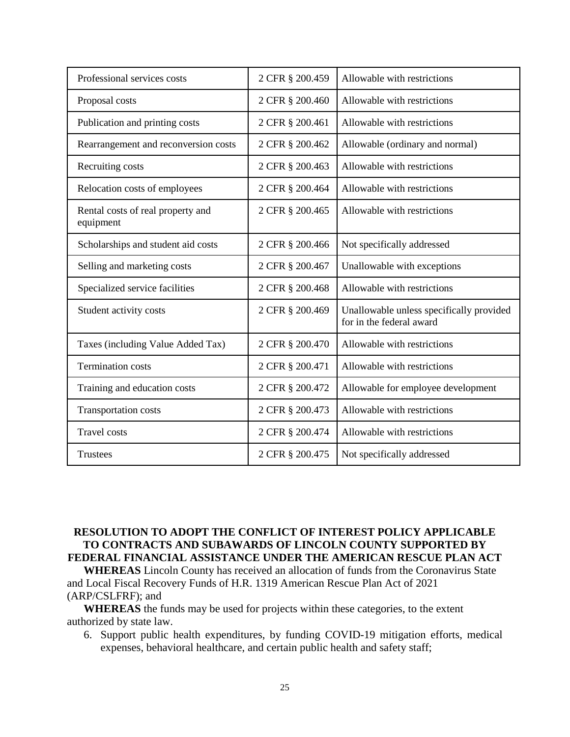| Professional services costs                    | 2 CFR § 200.459 | Allowable with restrictions                                          |
|------------------------------------------------|-----------------|----------------------------------------------------------------------|
| Proposal costs                                 | 2 CFR § 200.460 | Allowable with restrictions                                          |
| Publication and printing costs                 | 2 CFR § 200.461 | Allowable with restrictions                                          |
| Rearrangement and reconversion costs           | 2 CFR § 200.462 | Allowable (ordinary and normal)                                      |
| Recruiting costs                               | 2 CFR § 200.463 | Allowable with restrictions                                          |
| Relocation costs of employees                  | 2 CFR § 200.464 | Allowable with restrictions                                          |
| Rental costs of real property and<br>equipment | 2 CFR § 200.465 | Allowable with restrictions                                          |
| Scholarships and student aid costs             | 2 CFR § 200.466 | Not specifically addressed                                           |
| Selling and marketing costs                    | 2 CFR § 200.467 | Unallowable with exceptions                                          |
| Specialized service facilities                 | 2 CFR § 200.468 | Allowable with restrictions                                          |
| Student activity costs                         | 2 CFR § 200.469 | Unallowable unless specifically provided<br>for in the federal award |
| Taxes (including Value Added Tax)              | 2 CFR § 200.470 | Allowable with restrictions                                          |
| <b>Termination costs</b>                       | 2 CFR § 200.471 | Allowable with restrictions                                          |
| Training and education costs                   | 2 CFR § 200.472 | Allowable for employee development                                   |
| Transportation costs                           | 2 CFR § 200.473 | Allowable with restrictions                                          |
| <b>Travel</b> costs                            | 2 CFR § 200.474 | Allowable with restrictions                                          |
| <b>Trustees</b>                                | 2 CFR § 200.475 | Not specifically addressed                                           |

#### **RESOLUTION TO ADOPT THE CONFLICT OF INTEREST POLICY APPLICABLE TO CONTRACTS AND SUBAWARDS OF LINCOLN COUNTY SUPPORTED BY FEDERAL FINANCIAL ASSISTANCE UNDER THE AMERICAN RESCUE PLAN ACT**

**WHEREAS** Lincoln County has received an allocation of funds from the Coronavirus State and Local Fiscal Recovery Funds of H.R. 1319 American Rescue Plan Act of 2021 (ARP/CSLFRF); and

**WHEREAS** the funds may be used for projects within these categories, to the extent authorized by state law.

6. Support public health expenditures, by funding COVID-19 mitigation efforts, medical expenses, behavioral healthcare, and certain public health and safety staff;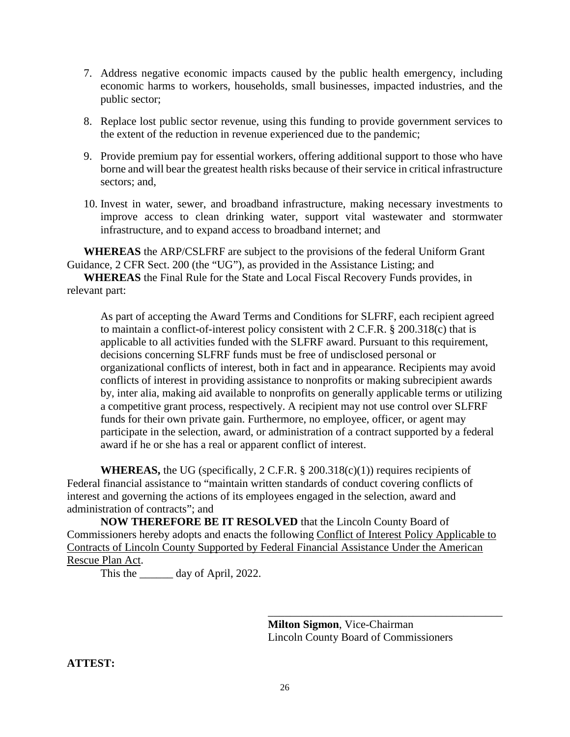- 7. Address negative economic impacts caused by the public health emergency, including economic harms to workers, households, small businesses, impacted industries, and the public sector;
- 8. Replace lost public sector revenue, using this funding to provide government services to the extent of the reduction in revenue experienced due to the pandemic;
- 9. Provide premium pay for essential workers, offering additional support to those who have borne and will bear the greatest health risks because of their service in critical infrastructure sectors; and,
- 10. Invest in water, sewer, and broadband infrastructure, making necessary investments to improve access to clean drinking water, support vital wastewater and stormwater infrastructure, and to expand access to broadband internet; and

**WHEREAS** the ARP/CSLFRF are subject to the provisions of the federal Uniform Grant Guidance, 2 CFR Sect. 200 (the "UG"), as provided in the Assistance Listing; and

**WHEREAS** the Final Rule for the State and Local Fiscal Recovery Funds provides, in relevant part:

As part of accepting the Award Terms and Conditions for SLFRF, each recipient agreed to maintain a conflict-of-interest policy consistent with 2 C.F.R. § 200.318(c) that is applicable to all activities funded with the SLFRF award. Pursuant to this requirement, decisions concerning SLFRF funds must be free of undisclosed personal or organizational conflicts of interest, both in fact and in appearance. Recipients may avoid conflicts of interest in providing assistance to nonprofits or making subrecipient awards by, inter alia, making aid available to nonprofits on generally applicable terms or utilizing a competitive grant process, respectively. A recipient may not use control over SLFRF funds for their own private gain. Furthermore, no employee, officer, or agent may participate in the selection, award, or administration of a contract supported by a federal award if he or she has a real or apparent conflict of interest.

**WHEREAS,** the UG (specifically, 2 C.F.R. § 200.318(c)(1)) requires recipients of Federal financial assistance to "maintain written standards of conduct covering conflicts of interest and governing the actions of its employees engaged in the selection, award and administration of contracts"; and

**NOW THEREFORE BE IT RESOLVED** that the Lincoln County Board of Commissioners hereby adopts and enacts the following Conflict of Interest Policy Applicable to Contracts of Lincoln County Supported by Federal Financial Assistance Under the American Rescue Plan Act.

This the day of April, 2022.

**Milton Sigmon**, Vice-Chairman Lincoln County Board of Commissioners

\_\_\_\_\_\_\_\_\_\_\_\_\_\_\_\_\_\_\_\_\_\_\_\_\_\_\_\_\_\_\_\_\_\_\_\_\_\_\_\_\_\_

**ATTEST:**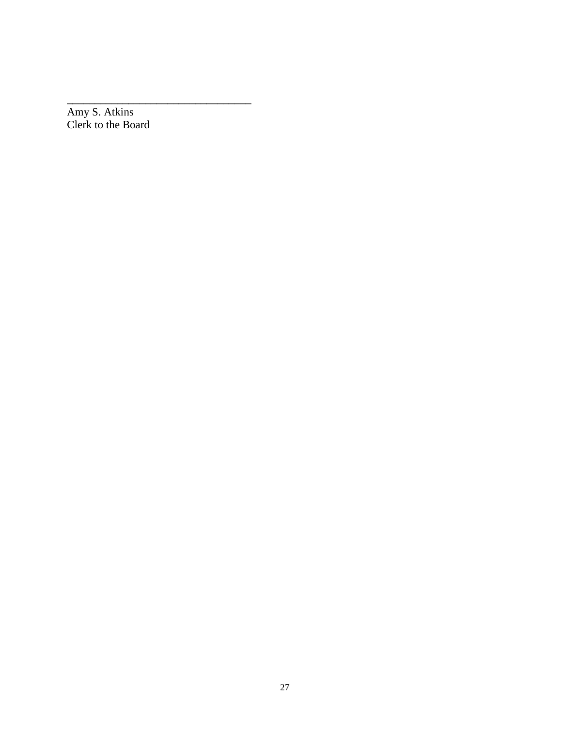Amy S. Atkins Clerk to the Board

**\_\_\_\_\_\_\_\_\_\_\_\_\_\_\_\_\_\_\_\_\_\_\_\_\_\_\_\_\_\_\_\_\_**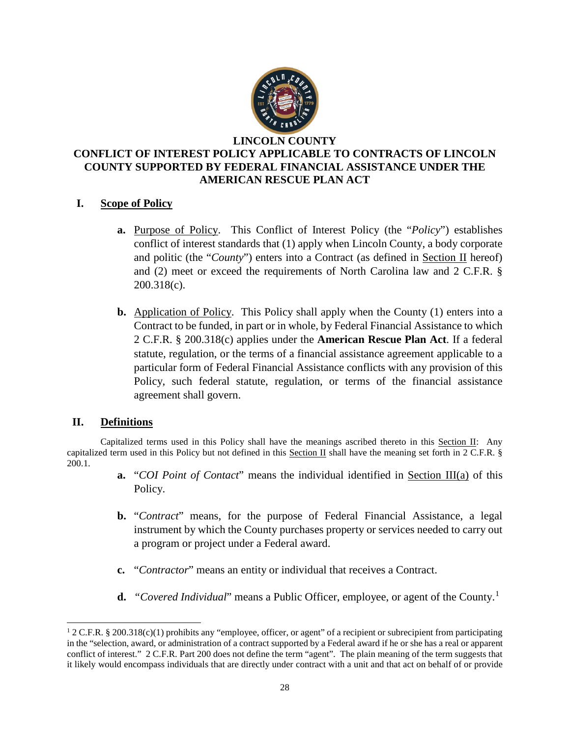

#### **LINCOLN COUNTY CONFLICT OF INTEREST POLICY APPLICABLE TO CONTRACTS OF LINCOLN COUNTY SUPPORTED BY FEDERAL FINANCIAL ASSISTANCE UNDER THE AMERICAN RESCUE PLAN ACT**

## **I. Scope of Policy**

- **a.** Purpose of Policy. This Conflict of Interest Policy (the "*Policy*") establishes conflict of interest standards that (1) apply when Lincoln County, a body corporate and politic (the "*County*") enters into a Contract (as defined in Section II hereof) and (2) meet or exceed the requirements of North Carolina law and 2 C.F.R. § 200.318(c).
- **b.** Application of Policy. This Policy shall apply when the County (1) enters into a Contract to be funded, in part or in whole, by Federal Financial Assistance to which 2 C.F.R. § 200.318(c) applies under the **American Rescue Plan Act**. If a federal statute, regulation, or the terms of a financial assistance agreement applicable to a particular form of Federal Financial Assistance conflicts with any provision of this Policy, such federal statute, regulation, or terms of the financial assistance agreement shall govern.

## **II. Definitions**

Capitalized terms used in this Policy shall have the meanings ascribed thereto in this Section II: Any capitalized term used in this Policy but not defined in this Section II shall have the meaning set forth in 2 C.F.R. § 200.1.

- **a.** "*COI Point of Contact*" means the individual identified in Section III(a) of this Policy.
- **b.** "*Contract*" means, for the purpose of Federal Financial Assistance, a legal instrument by which the County purchases property or services needed to carry out a program or project under a Federal award.
- **c.** "*Contractor*" means an entity or individual that receives a Contract.
- **d.** *"Covered Individual*" means a Public Officer, employee, or agent of the County. [1](#page-27-0)

<span id="page-27-0"></span> $12$  C.F.R. § 200.318(c)(1) prohibits any "employee, officer, or agent" of a recipient or subrecipient from participating in the "selection, award, or administration of a contract supported by a Federal award if he or she has a real or apparent conflict of interest." 2 C.F.R. Part 200 does not define the term "agent". The plain meaning of the term suggests that it likely would encompass individuals that are directly under contract with a unit and that act on behalf of or provide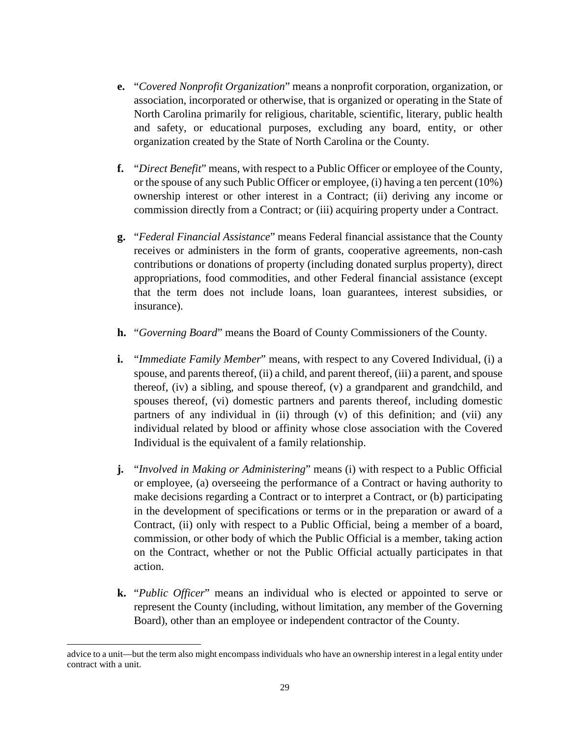- **e.** "*Covered Nonprofit Organization*" means a nonprofit corporation, organization, or association, incorporated or otherwise, that is organized or operating in the State of North Carolina primarily for religious, charitable, scientific, literary, public health and safety, or educational purposes, excluding any board, entity, or other organization created by the State of North Carolina or the County.
- **f.** "*Direct Benefit*" means, with respect to a Public Officer or employee of the County, or the spouse of any such Public Officer or employee, (i) having a ten percent (10%) ownership interest or other interest in a Contract; (ii) deriving any income or commission directly from a Contract; or (iii) acquiring property under a Contract.
- **g.** "*Federal Financial Assistance*" means Federal financial assistance that the County receives or administers in the form of grants, cooperative agreements, non-cash contributions or donations of property (including donated surplus property), direct appropriations, food commodities, and other Federal financial assistance (except that the term does not include loans, loan guarantees, interest subsidies, or insurance).
- **h.** "*Governing Board*" means the Board of County Commissioners of the County.
- **i.** "*Immediate Family Member*" means, with respect to any Covered Individual, (i) a spouse, and parents thereof, (ii) a child, and parent thereof, (iii) a parent, and spouse thereof, (iv) a sibling, and spouse thereof, (v) a grandparent and grandchild, and spouses thereof, (vi) domestic partners and parents thereof, including domestic partners of any individual in (ii) through (v) of this definition; and (vii) any individual related by blood or affinity whose close association with the Covered Individual is the equivalent of a family relationship.
- **j.** "*Involved in Making or Administering*" means (i) with respect to a Public Official or employee, (a) overseeing the performance of a Contract or having authority to make decisions regarding a Contract or to interpret a Contract, or (b) participating in the development of specifications or terms or in the preparation or award of a Contract, (ii) only with respect to a Public Official, being a member of a board, commission, or other body of which the Public Official is a member, taking action on the Contract, whether or not the Public Official actually participates in that action.
- **k.** "*Public Officer*" means an individual who is elected or appointed to serve or represent the County (including, without limitation, any member of the Governing Board), other than an employee or independent contractor of the County.

 $\overline{a}$ 

advice to a unit—but the term also might encompass individuals who have an ownership interest in a legal entity under contract with a unit.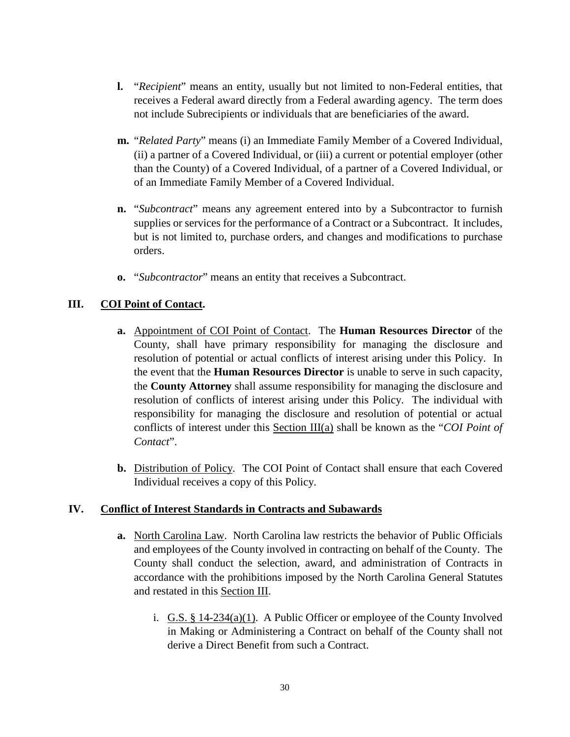- **l.** "*Recipient*" means an entity, usually but not limited to non-Federal entities, that receives a Federal award directly from a Federal awarding agency. The term does not include Subrecipients or individuals that are beneficiaries of the award.
- **m.** "*Related Party*" means (i) an Immediate Family Member of a Covered Individual, (ii) a partner of a Covered Individual, or (iii) a current or potential employer (other than the County) of a Covered Individual, of a partner of a Covered Individual, or of an Immediate Family Member of a Covered Individual.
- **n.** "*Subcontract*" means any agreement entered into by a Subcontractor to furnish supplies or services for the performance of a Contract or a Subcontract. It includes, but is not limited to, purchase orders, and changes and modifications to purchase orders.
- **o.** "*Subcontractor*" means an entity that receives a Subcontract.

## **III. COI Point of Contact.**

- **a.** Appointment of COI Point of Contact. The **Human Resources Director** of the County, shall have primary responsibility for managing the disclosure and resolution of potential or actual conflicts of interest arising under this Policy. In the event that the **Human Resources Director** is unable to serve in such capacity, the **County Attorney** shall assume responsibility for managing the disclosure and resolution of conflicts of interest arising under this Policy. The individual with responsibility for managing the disclosure and resolution of potential or actual conflicts of interest under this Section III(a) shall be known as the "*COI Point of Contact*".
- **b.** Distribution of Policy. The COI Point of Contact shall ensure that each Covered Individual receives a copy of this Policy.

## **IV. Conflict of Interest Standards in Contracts and Subawards**

- **a.** North Carolina Law. North Carolina law restricts the behavior of Public Officials and employees of the County involved in contracting on behalf of the County. The County shall conduct the selection, award, and administration of Contracts in accordance with the prohibitions imposed by the North Carolina General Statutes and restated in this Section III.
	- i. G.S. § 14-234(a)(1). A Public Officer or employee of the County Involved in Making or Administering a Contract on behalf of the County shall not derive a Direct Benefit from such a Contract.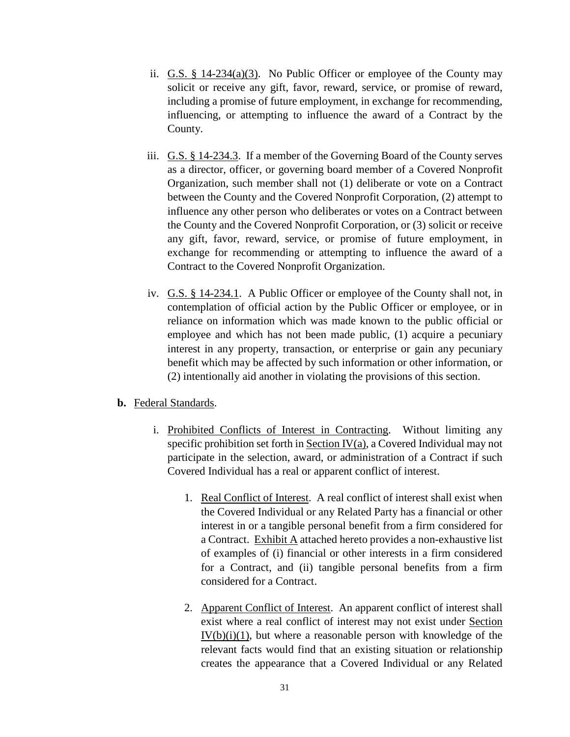- ii. G.S.  $\S$  14-234(a)(3). No Public Officer or employee of the County may solicit or receive any gift, favor, reward, service, or promise of reward, including a promise of future employment, in exchange for recommending, influencing, or attempting to influence the award of a Contract by the County.
- iii. G.S. § 14-234.3. If a member of the Governing Board of the County serves as a director, officer, or governing board member of a Covered Nonprofit Organization, such member shall not (1) deliberate or vote on a Contract between the County and the Covered Nonprofit Corporation, (2) attempt to influence any other person who deliberates or votes on a Contract between the County and the Covered Nonprofit Corporation, or (3) solicit or receive any gift, favor, reward, service, or promise of future employment, in exchange for recommending or attempting to influence the award of a Contract to the Covered Nonprofit Organization.
- iv. G.S. § 14-234.1. A Public Officer or employee of the County shall not, in contemplation of official action by the Public Officer or employee, or in reliance on information which was made known to the public official or employee and which has not been made public, (1) acquire a pecuniary interest in any property, transaction, or enterprise or gain any pecuniary benefit which may be affected by such information or other information, or (2) intentionally aid another in violating the provisions of this section.

#### **b.** Federal Standards.

- i. Prohibited Conflicts of Interest in Contracting. Without limiting any specific prohibition set forth in Section IV(a), a Covered Individual may not participate in the selection, award, or administration of a Contract if such Covered Individual has a real or apparent conflict of interest.
	- 1. Real Conflict of Interest. A real conflict of interest shall exist when the Covered Individual or any Related Party has a financial or other interest in or a tangible personal benefit from a firm considered for a Contract. Exhibit A attached hereto provides a non-exhaustive list of examples of (i) financial or other interests in a firm considered for a Contract, and (ii) tangible personal benefits from a firm considered for a Contract.
	- 2. Apparent Conflict of Interest. An apparent conflict of interest shall exist where a real conflict of interest may not exist under Section  $IV(b)(i)(1)$ , but where a reasonable person with knowledge of the relevant facts would find that an existing situation or relationship creates the appearance that a Covered Individual or any Related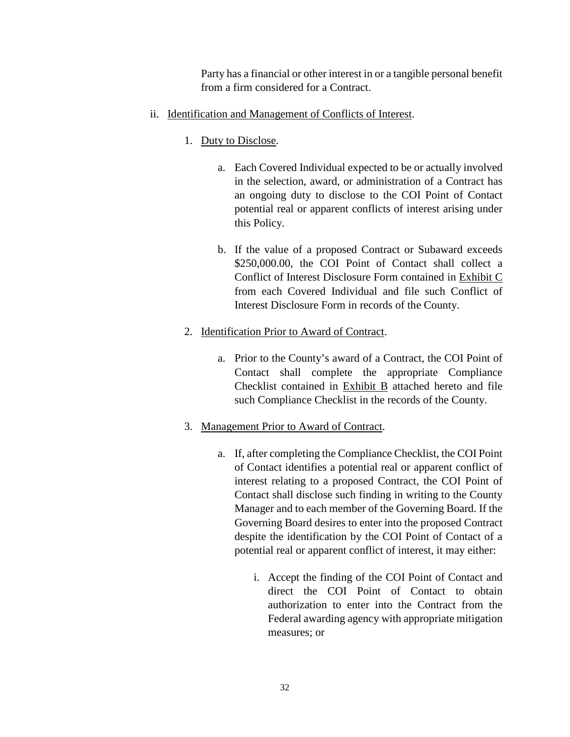Party has a financial or other interest in or a tangible personal benefit from a firm considered for a Contract.

- ii. Identification and Management of Conflicts of Interest.
	- 1. Duty to Disclose.
		- a. Each Covered Individual expected to be or actually involved in the selection, award, or administration of a Contract has an ongoing duty to disclose to the COI Point of Contact potential real or apparent conflicts of interest arising under this Policy.
		- b. If the value of a proposed Contract or Subaward exceeds \$250,000.00, the COI Point of Contact shall collect a Conflict of Interest Disclosure Form contained in Exhibit C from each Covered Individual and file such Conflict of Interest Disclosure Form in records of the County.
	- 2. Identification Prior to Award of Contract.
		- a. Prior to the County's award of a Contract, the COI Point of Contact shall complete the appropriate Compliance Checklist contained in Exhibit B attached hereto and file such Compliance Checklist in the records of the County.
	- 3. Management Prior to Award of Contract.
		- a. If, after completing the Compliance Checklist, the COI Point of Contact identifies a potential real or apparent conflict of interest relating to a proposed Contract, the COI Point of Contact shall disclose such finding in writing to the County Manager and to each member of the Governing Board. If the Governing Board desires to enter into the proposed Contract despite the identification by the COI Point of Contact of a potential real or apparent conflict of interest, it may either:
			- i. Accept the finding of the COI Point of Contact and direct the COI Point of Contact to obtain authorization to enter into the Contract from the Federal awarding agency with appropriate mitigation measures; or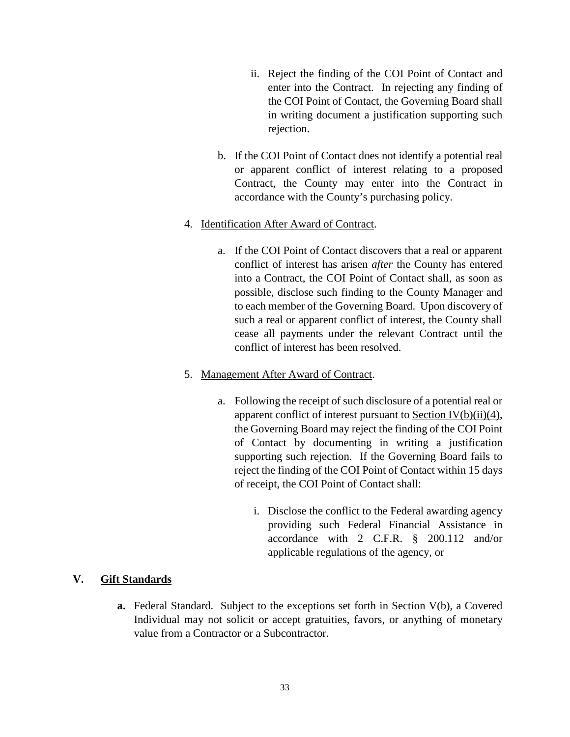- ii. Reject the finding of the COI Point of Contact and enter into the Contract. In rejecting any finding of the COI Point of Contact, the Governing Board shall in writing document a justification supporting such rejection.
- b. If the COI Point of Contact does not identify a potential real or apparent conflict of interest relating to a proposed Contract, the County may enter into the Contract in accordance with the County's purchasing policy.
- 4. Identification After Award of Contract.
	- a. If the COI Point of Contact discovers that a real or apparent conflict of interest has arisen *after* the County has entered into a Contract, the COI Point of Contact shall, as soon as possible, disclose such finding to the County Manager and to each member of the Governing Board. Upon discovery of such a real or apparent conflict of interest, the County shall cease all payments under the relevant Contract until the conflict of interest has been resolved.
- 5. Management After Award of Contract.
	- a. Following the receipt of such disclosure of a potential real or apparent conflict of interest pursuant to Section IV(b)(ii)(4), the Governing Board may reject the finding of the COI Point of Contact by documenting in writing a justification supporting such rejection. If the Governing Board fails to reject the finding of the COI Point of Contact within 15 days of receipt, the COI Point of Contact shall:
		- i. Disclose the conflict to the Federal awarding agency providing such Federal Financial Assistance in accordance with 2 C.F.R. § 200.112 and/or applicable regulations of the agency, or

## **V. Gift Standards**

**a.** Federal Standard. Subject to the exceptions set forth in Section V(b), a Covered Individual may not solicit or accept gratuities, favors, or anything of monetary value from a Contractor or a Subcontractor.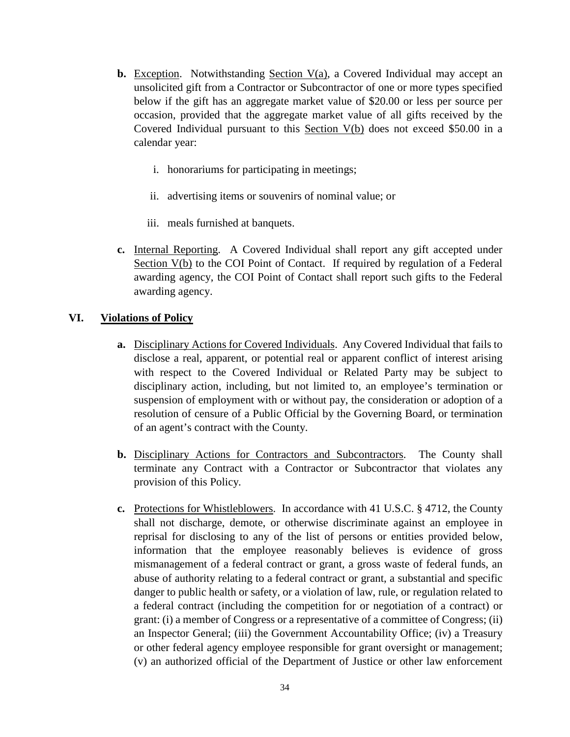- **b.** Exception. Notwithstanding Section V(a), a Covered Individual may accept an unsolicited gift from a Contractor or Subcontractor of one or more types specified below if the gift has an aggregate market value of \$20.00 or less per source per occasion, provided that the aggregate market value of all gifts received by the Covered Individual pursuant to this Section V(b) does not exceed \$50.00 in a calendar year:
	- i. honorariums for participating in meetings;
	- ii. advertising items or souvenirs of nominal value; or
	- iii. meals furnished at banquets.
- **c.** Internal Reporting. A Covered Individual shall report any gift accepted under Section  $V(b)$  to the COI Point of Contact. If required by regulation of a Federal awarding agency, the COI Point of Contact shall report such gifts to the Federal awarding agency.

## **VI. Violations of Policy**

- **a.** Disciplinary Actions for Covered Individuals. Any Covered Individual that fails to disclose a real, apparent, or potential real or apparent conflict of interest arising with respect to the Covered Individual or Related Party may be subject to disciplinary action, including, but not limited to, an employee's termination or suspension of employment with or without pay, the consideration or adoption of a resolution of censure of a Public Official by the Governing Board, or termination of an agent's contract with the County.
- **b.** Disciplinary Actions for Contractors and Subcontractors. The County shall terminate any Contract with a Contractor or Subcontractor that violates any provision of this Policy.
- **c.** Protections for Whistleblowers. In accordance with 41 U.S.C. § 4712, the County shall not discharge, demote, or otherwise discriminate against an employee in reprisal for disclosing to any of the list of persons or entities provided below, information that the employee reasonably believes is evidence of gross mismanagement of a federal contract or grant, a gross waste of federal funds, an abuse of authority relating to a federal contract or grant, a substantial and specific danger to public health or safety, or a violation of law, rule, or regulation related to a federal contract (including the competition for or negotiation of a contract) or grant: (i) a member of Congress or a representative of a committee of Congress; (ii) an Inspector General; (iii) the Government Accountability Office; (iv) a Treasury or other federal agency employee responsible for grant oversight or management; (v) an authorized official of the Department of Justice or other law enforcement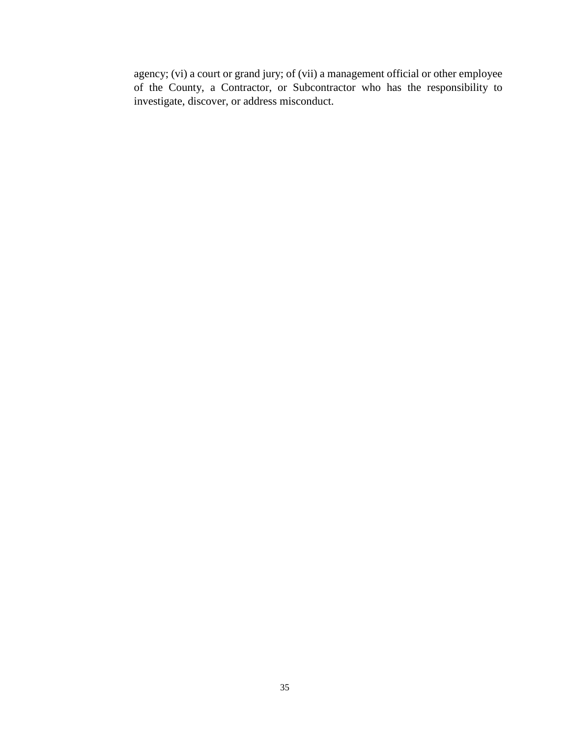agency; (vi) a court or grand jury; of (vii) a management official or other employee of the County, a Contractor, or Subcontractor who has the responsibility to investigate, discover, or address misconduct.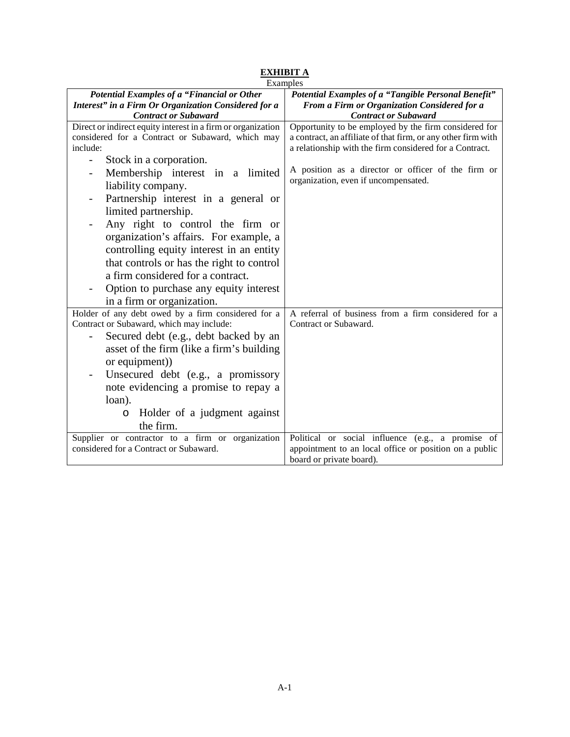#### **EXHIBIT A** Examples

| Laurence                                                     |                                                               |  |
|--------------------------------------------------------------|---------------------------------------------------------------|--|
| Potential Examples of a "Financial or Other                  | Potential Examples of a "Tangible Personal Benefit"           |  |
| Interest" in a Firm Or Organization Considered for a         | From a Firm or Organization Considered for a                  |  |
| <b>Contract or Subaward</b>                                  | <b>Contract or Subaward</b>                                   |  |
| Direct or indirect equity interest in a firm or organization | Opportunity to be employed by the firm considered for         |  |
| considered for a Contract or Subaward, which may             | a contract, an affiliate of that firm, or any other firm with |  |
| include:                                                     | a relationship with the firm considered for a Contract.       |  |
| Stock in a corporation.                                      |                                                               |  |
| Membership interest in a limited                             | A position as a director or officer of the firm or            |  |
| liability company.                                           | organization, even if uncompensated.                          |  |
| Partnership interest in a general or                         |                                                               |  |
| limited partnership.                                         |                                                               |  |
| Any right to control the firm or                             |                                                               |  |
| organization's affairs. For example, a                       |                                                               |  |
| controlling equity interest in an entity                     |                                                               |  |
| that controls or has the right to control                    |                                                               |  |
| a firm considered for a contract.                            |                                                               |  |
| Option to purchase any equity interest                       |                                                               |  |
| in a firm or organization.                                   |                                                               |  |
| Holder of any debt owed by a firm considered for a           | A referral of business from a firm considered for a           |  |
| Contract or Subaward, which may include:                     | Contract or Subaward.                                         |  |
| Secured debt (e.g., debt backed by an                        |                                                               |  |
| asset of the firm (like a firm's building                    |                                                               |  |
| or equipment))                                               |                                                               |  |
| Unsecured debt (e.g., a promissory                           |                                                               |  |
| note evidencing a promise to repay a                         |                                                               |  |
| loan).                                                       |                                                               |  |
| Holder of a judgment against<br>$\circ$                      |                                                               |  |
| the firm.                                                    |                                                               |  |
| Supplier or contractor to a firm or organization             | Political or social influence (e.g., a promise of             |  |
| considered for a Contract or Subaward.                       | appointment to an local office or position on a public        |  |
|                                                              | board or private board).                                      |  |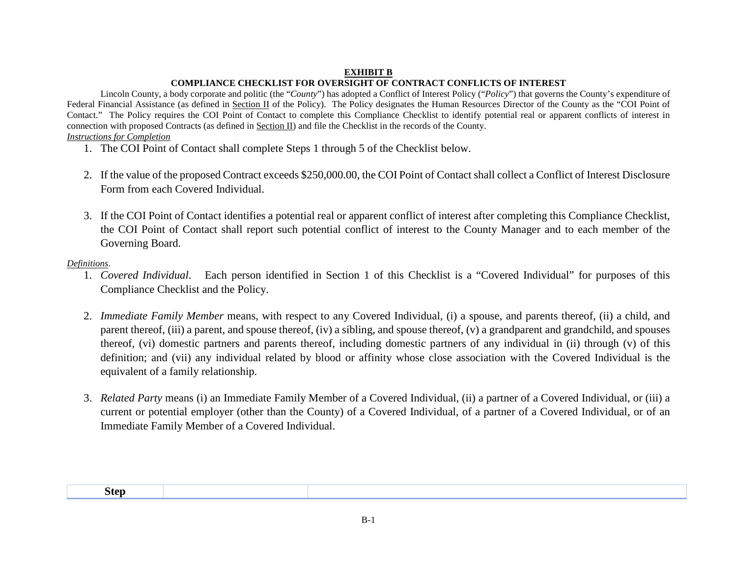#### **EXHIBIT B COMPLIANCE CHECKLIST FOR OVERSIGHT OF CONTRACT CONFLICTS OF INTEREST**

Lincoln County, a body corporate and politic (the "*County*") has adopted a Conflict of Interest Policy ("*Policy*") that governs the County's expenditure of Federal Financial Assistance (as defined in Section II of the Policy). The Policy designates the Human Resources Director of the County as the "COI Point of Contact." The Policy requires the COI Point of Contact to complete this Compliance Checklist to identify potential real or apparent conflicts of interest in connection with proposed Contracts (as defined in Section II) and file the Checklist in the records of the County. *Instructions for Completion*

- 1. The COI Point of Contact shall complete Steps 1 through 5 of the Checklist below.
- 2. If the value of the proposed Contract exceeds \$250,000.00, the COI Point of Contact shall collect a Conflict of Interest Disclosure Form from each Covered Individual.
- 3. If the COI Point of Contact identifies a potential real or apparent conflict of interest after completing this Compliance Checklist, the COI Point of Contact shall report such potential conflict of interest to the County Manager and to each member of the Governing Board.

#### *Definitions*.

- 1. *Covered Individual*.Each person identified in Section 1 of this Checklist is a "Covered Individual" for purposes of this Compliance Checklist and the Policy.
- 2. *Immediate Family Member* means, with respect to any Covered Individual, (i) a spouse, and parents thereof, (ii) a child, and parent thereof, (iii) a parent, and spouse thereof, (iv) a sibling, and spouse thereof, (v) a grandparent and grandchild, and spouses thereof, (vi) domestic partners and parents thereof, including domestic partners of any individual in (ii) through (v) of this definition; and (vii) any individual related by blood or affinity whose close association with the Covered Individual is the equivalent of a family relationship.
- 3. *Related Party* means (i) an Immediate Family Member of a Covered Individual, (ii) a partner of a Covered Individual, or (iii) a current or potential employer (other than the County) of a Covered Individual, of a partner of a Covered Individual, or of an Immediate Family Member of a Covered Individual.

| sten |  |
|------|--|
|------|--|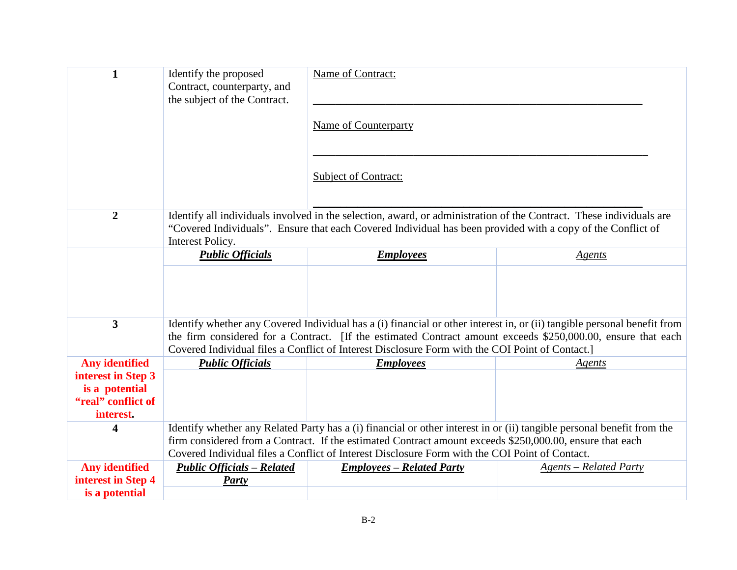| $\mathbf{1}$                                                            | Identify the proposed<br>Contract, counterparty, and<br>the subject of the Contract.                                                                                                                                                                   | Name of Contract:                                                                               |        |  |
|-------------------------------------------------------------------------|--------------------------------------------------------------------------------------------------------------------------------------------------------------------------------------------------------------------------------------------------------|-------------------------------------------------------------------------------------------------|--------|--|
|                                                                         |                                                                                                                                                                                                                                                        | Name of Counterparty                                                                            |        |  |
|                                                                         |                                                                                                                                                                                                                                                        | <b>Subject of Contract:</b>                                                                     |        |  |
| $\overline{2}$                                                          | Identify all individuals involved in the selection, award, or administration of the Contract. These individuals are<br>"Covered Individuals". Ensure that each Covered Individual has been provided with a copy of the Conflict of<br>Interest Policy. |                                                                                                 |        |  |
|                                                                         | <b>Public Officials</b>                                                                                                                                                                                                                                | <b>Employees</b>                                                                                | Agents |  |
|                                                                         |                                                                                                                                                                                                                                                        |                                                                                                 |        |  |
|                                                                         |                                                                                                                                                                                                                                                        |                                                                                                 |        |  |
| $\overline{\mathbf{3}}$                                                 | Identify whether any Covered Individual has a (i) financial or other interest in, or (ii) tangible personal benefit from<br>the firm considered for a Contract. [If the estimated Contract amount exceeds \$250,000.00, ensure that each               |                                                                                                 |        |  |
|                                                                         |                                                                                                                                                                                                                                                        | Covered Individual files a Conflict of Interest Disclosure Form with the COI Point of Contact.] |        |  |
| <b>Any identified</b>                                                   | <b>Public Officials</b>                                                                                                                                                                                                                                | <b>Employees</b>                                                                                | Agents |  |
| interest in Step 3<br>is a potential<br>"real" conflict of<br>interest. |                                                                                                                                                                                                                                                        |                                                                                                 |        |  |
| 4                                                                       | Identify whether any Related Party has a (i) financial or other interest in or (ii) tangible personal benefit from the                                                                                                                                 |                                                                                                 |        |  |
|                                                                         | firm considered from a Contract. If the estimated Contract amount exceeds \$250,000.00, ensure that each                                                                                                                                               |                                                                                                 |        |  |
|                                                                         | Covered Individual files a Conflict of Interest Disclosure Form with the COI Point of Contact.                                                                                                                                                         |                                                                                                 |        |  |
| <b>Any identified</b>                                                   | <b>Public Officials - Related</b>                                                                                                                                                                                                                      | <b>Employees - Related Party</b><br><b>Agents</b> – Related Party                               |        |  |
| interest in Step 4                                                      | <b>Party</b>                                                                                                                                                                                                                                           |                                                                                                 |        |  |
| is a potential                                                          |                                                                                                                                                                                                                                                        |                                                                                                 |        |  |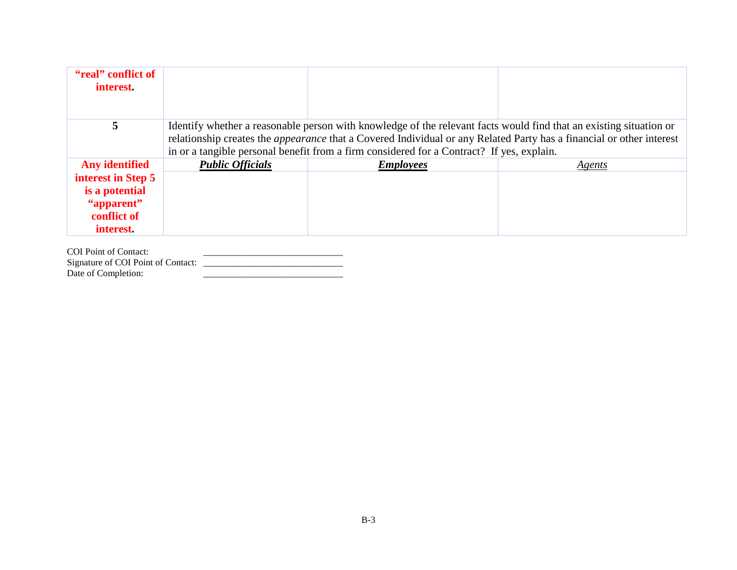| "real" conflict of<br>interest. |                                                                                                                                                                                                                                                   |  |  |  |  |
|---------------------------------|---------------------------------------------------------------------------------------------------------------------------------------------------------------------------------------------------------------------------------------------------|--|--|--|--|
|                                 |                                                                                                                                                                                                                                                   |  |  |  |  |
| 5                               | Identify whether a reasonable person with knowledge of the relevant facts would find that an existing situation or<br>relationship creates the <i>appearance</i> that a Covered Individual or any Related Party has a financial or other interest |  |  |  |  |
|                                 | in or a tangible personal benefit from a firm considered for a Contract? If yes, explain.                                                                                                                                                         |  |  |  |  |
| <b>Any identified</b>           | <b>Public Officials</b><br><b>Employees</b><br>Agents                                                                                                                                                                                             |  |  |  |  |
| interest in Step 5              |                                                                                                                                                                                                                                                   |  |  |  |  |
| is a potential                  |                                                                                                                                                                                                                                                   |  |  |  |  |
| "apparent"                      |                                                                                                                                                                                                                                                   |  |  |  |  |
| conflict of                     |                                                                                                                                                                                                                                                   |  |  |  |  |
| interest.                       |                                                                                                                                                                                                                                                   |  |  |  |  |

COI Point of Contact: \_\_\_\_\_\_\_\_\_\_\_\_\_\_\_\_\_\_\_\_\_\_\_\_\_\_\_\_\_\_ Signature of COI Point of Contact: \_\_\_\_\_\_\_\_\_\_\_\_\_\_\_\_\_\_\_\_\_\_\_\_\_\_\_\_\_\_ Date of Completion: \_\_\_\_\_\_\_\_\_\_\_\_\_\_\_\_\_\_\_\_\_\_\_\_\_\_\_\_\_\_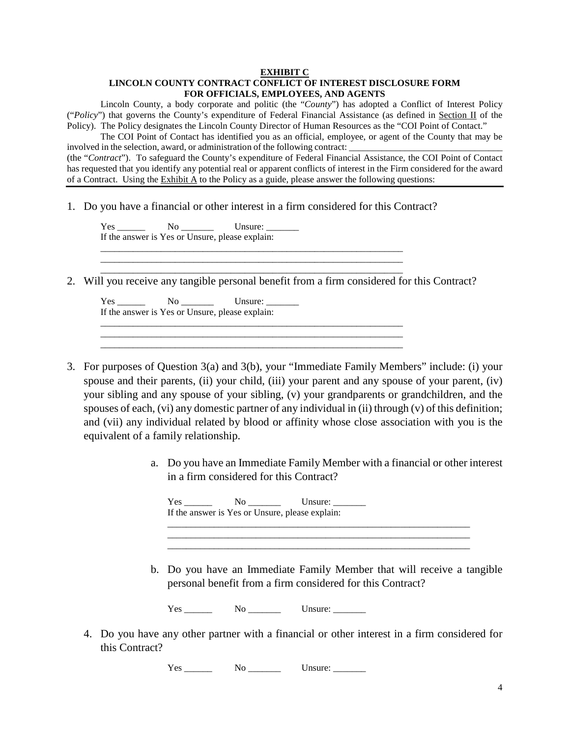#### **EXHIBIT C**

#### **LINCOLN COUNTY CONTRACT CONFLICT OF INTEREST DISCLOSURE FORM FOR OFFICIALS, EMPLOYEES, AND AGENTS**

Lincoln County, a body corporate and politic (the "*County*") has adopted a Conflict of Interest Policy ("*Policy*") that governs the County's expenditure of Federal Financial Assistance (as defined in Section II of the Policy). The Policy designates the Lincoln County Director of Human Resources as the "COI Point of Contact."

The COI Point of Contact has identified you as an official, employee, or agent of the County that may be involved in the selection, award, or administration of the following contract:

(the "*Contract*"). To safeguard the County's expenditure of Federal Financial Assistance, the COI Point of Contact has requested that you identify any potential real or apparent conflicts of interest in the Firm considered for the award of a Contract. Using the  $Exhibit A$  to the Policy as a guide, please answer the following questions:

1. Do you have a financial or other interest in a firm considered for this Contract?

\_\_\_\_\_\_\_\_\_\_\_\_\_\_\_\_\_\_\_\_\_\_\_\_\_\_\_\_\_\_\_\_\_\_\_\_\_\_\_\_\_\_\_\_\_\_\_\_\_\_\_\_\_\_\_\_\_\_\_\_\_\_\_\_\_

\_\_\_\_\_\_\_\_\_\_\_\_\_\_\_\_\_\_\_\_\_\_\_\_\_\_\_\_\_\_\_\_\_\_\_\_\_\_\_\_\_\_\_\_\_\_\_\_\_\_\_\_\_\_\_\_\_\_\_\_\_\_\_\_\_

\_\_\_\_\_\_\_\_\_\_\_\_\_\_\_\_\_\_\_\_\_\_\_\_\_\_\_\_\_\_\_\_\_\_\_\_\_\_\_\_\_\_\_\_\_\_\_\_\_\_\_\_\_\_\_\_\_\_\_\_\_\_\_\_\_ \_\_\_\_\_\_\_\_\_\_\_\_\_\_\_\_\_\_\_\_\_\_\_\_\_\_\_\_\_\_\_\_\_\_\_\_\_\_\_\_\_\_\_\_\_\_\_\_\_\_\_\_\_\_\_\_\_\_\_\_\_\_\_\_\_ \_\_\_\_\_\_\_\_\_\_\_\_\_\_\_\_\_\_\_\_\_\_\_\_\_\_\_\_\_\_\_\_\_\_\_\_\_\_\_\_\_\_\_\_\_\_\_\_\_\_\_\_\_\_\_\_\_\_\_\_\_\_\_\_\_

Yes \_\_\_\_\_\_ No \_\_\_\_\_\_\_ Unsure: \_\_\_\_\_\_\_ If the answer is Yes or Unsure, please explain:

2. Will you receive any tangible personal benefit from a firm considered for this Contract?

Yes \_\_\_\_\_\_ No \_\_\_\_\_\_\_ Unsure: \_\_\_\_\_\_\_ If the answer is Yes or Unsure, please explain:

- 3. For purposes of Question 3(a) and 3(b), your "Immediate Family Members" include: (i) your spouse and their parents, (ii) your child, (iii) your parent and any spouse of your parent, (iv) your sibling and any spouse of your sibling, (v) your grandparents or grandchildren, and the spouses of each, (vi) any domestic partner of any individual in (ii) through (v) of this definition; and (vii) any individual related by blood or affinity whose close association with you is the equivalent of a family relationship.
	- a. Do you have an Immediate Family Member with a financial or other interest in a firm considered for this Contract?

|  | $Yes \_\_\_\_\_\$ No $\_\_\_\_\_\_\$ Unsure: $\_\_\_\_\_\_\_\_\_\$<br>If the answer is Yes or Unsure, please explain:                |
|--|--------------------------------------------------------------------------------------------------------------------------------------|
|  |                                                                                                                                      |
|  | b. Do you have an Immediate Family Member that will receive a tangible<br>personal benefit from a firm considered for this Contract? |
|  | Yes No Unsure:                                                                                                                       |
|  | 4. Do you have any other partner with a financial or other interest in a firm considered for                                         |

this Contract?

 $Yes \_\_\_\_\_\_\_\$  No  $\_\_\_\_\_\_\_\_\_\_\_\_\_\_\_\_\_\_\_\_\_\_\_\_\_$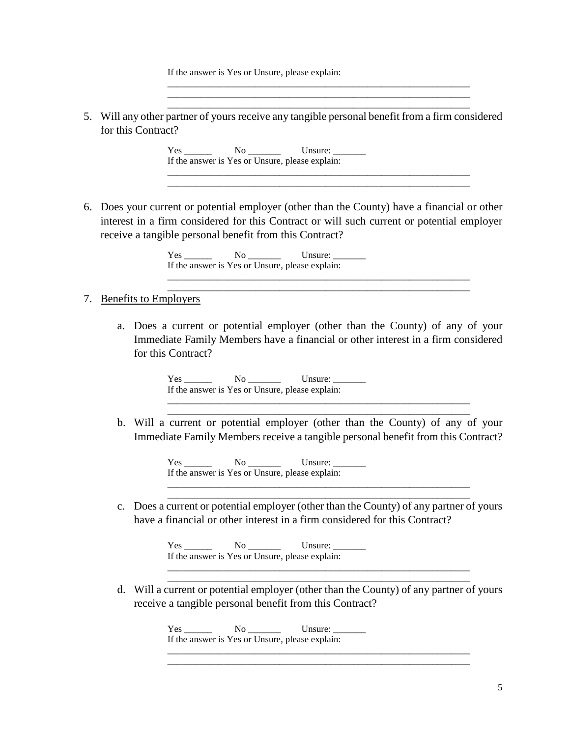If the answer is Yes or Unsure, please explain:

5. Will any other partner of yours receive any tangible personal benefit from a firm considered for this Contract?

\_\_\_\_\_\_\_\_\_\_\_\_\_\_\_\_\_\_\_\_\_\_\_\_\_\_\_\_\_\_\_\_\_\_\_\_\_\_\_\_\_\_\_\_\_\_\_\_\_\_\_\_\_\_\_\_\_\_\_\_\_\_\_\_\_ \_\_\_\_\_\_\_\_\_\_\_\_\_\_\_\_\_\_\_\_\_\_\_\_\_\_\_\_\_\_\_\_\_\_\_\_\_\_\_\_\_\_\_\_\_\_\_\_\_\_\_\_\_\_\_\_\_\_\_\_\_\_\_\_\_ \_\_\_\_\_\_\_\_\_\_\_\_\_\_\_\_\_\_\_\_\_\_\_\_\_\_\_\_\_\_\_\_\_\_\_\_\_\_\_\_\_\_\_\_\_\_\_\_\_\_\_\_\_\_\_\_\_\_\_\_\_\_\_\_\_

\_\_\_\_\_\_\_\_\_\_\_\_\_\_\_\_\_\_\_\_\_\_\_\_\_\_\_\_\_\_\_\_\_\_\_\_\_\_\_\_\_\_\_\_\_\_\_\_\_\_\_\_\_\_\_\_\_\_\_\_\_\_\_\_\_ \_\_\_\_\_\_\_\_\_\_\_\_\_\_\_\_\_\_\_\_\_\_\_\_\_\_\_\_\_\_\_\_\_\_\_\_\_\_\_\_\_\_\_\_\_\_\_\_\_\_\_\_\_\_\_\_\_\_\_\_\_\_\_\_\_

\_\_\_\_\_\_\_\_\_\_\_\_\_\_\_\_\_\_\_\_\_\_\_\_\_\_\_\_\_\_\_\_\_\_\_\_\_\_\_\_\_\_\_\_\_\_\_\_\_\_\_\_\_\_\_\_\_\_\_\_\_\_\_\_\_ \_\_\_\_\_\_\_\_\_\_\_\_\_\_\_\_\_\_\_\_\_\_\_\_\_\_\_\_\_\_\_\_\_\_\_\_\_\_\_\_\_\_\_\_\_\_\_\_\_\_\_\_\_\_\_\_\_\_\_\_\_\_\_\_\_

Yes \_\_\_\_\_\_ No \_\_\_\_\_\_\_ Unsure: \_\_\_\_\_\_\_ If the answer is Yes or Unsure, please explain:

6. Does your current or potential employer (other than the County) have a financial or other interest in a firm considered for this Contract or will such current or potential employer receive a tangible personal benefit from this Contract?

> Yes \_\_\_\_\_\_ No \_\_\_\_\_\_\_ Unsure: \_\_\_\_\_\_\_ If the answer is Yes or Unsure, please explain:

#### 7. Benefits to Employers

a. Does a current or potential employer (other than the County) of any of your Immediate Family Members have a financial or other interest in a firm considered for this Contract?

> $Yes \_\_\_\_\_\_\_\$  No  $\_\_\_\_\_\_\_\_\_\_\_\_\_\_\_\_\_\_\_\_\_\_\_\_\_...$ If the answer is Yes or Unsure, please explain:

b. Will a current or potential employer (other than the County) of any of your Immediate Family Members receive a tangible personal benefit from this Contract?

\_\_\_\_\_\_\_\_\_\_\_\_\_\_\_\_\_\_\_\_\_\_\_\_\_\_\_\_\_\_\_\_\_\_\_\_\_\_\_\_\_\_\_\_\_\_\_\_\_\_\_\_\_\_\_\_\_\_\_\_\_\_\_\_\_ \_\_\_\_\_\_\_\_\_\_\_\_\_\_\_\_\_\_\_\_\_\_\_\_\_\_\_\_\_\_\_\_\_\_\_\_\_\_\_\_\_\_\_\_\_\_\_\_\_\_\_\_\_\_\_\_\_\_\_\_\_\_\_\_\_

Yes \_\_\_\_\_\_ No \_\_\_\_\_\_\_ Unsure: \_\_\_\_\_\_\_ If the answer is Yes or Unsure, please explain:

c. Does a current or potential employer (other than the County) of any partner of yours have a financial or other interest in a firm considered for this Contract?

\_\_\_\_\_\_\_\_\_\_\_\_\_\_\_\_\_\_\_\_\_\_\_\_\_\_\_\_\_\_\_\_\_\_\_\_\_\_\_\_\_\_\_\_\_\_\_\_\_\_\_\_\_\_\_\_\_\_\_\_\_\_\_\_\_ \_\_\_\_\_\_\_\_\_\_\_\_\_\_\_\_\_\_\_\_\_\_\_\_\_\_\_\_\_\_\_\_\_\_\_\_\_\_\_\_\_\_\_\_\_\_\_\_\_\_\_\_\_\_\_\_\_\_\_\_\_\_\_\_\_

Yes \_\_\_\_\_\_ No \_\_\_\_\_\_\_ Unsure: \_\_\_\_\_\_\_ If the answer is Yes or Unsure, please explain:

d. Will a current or potential employer (other than the County) of any partner of yours receive a tangible personal benefit from this Contract?

\_\_\_\_\_\_\_\_\_\_\_\_\_\_\_\_\_\_\_\_\_\_\_\_\_\_\_\_\_\_\_\_\_\_\_\_\_\_\_\_\_\_\_\_\_\_\_\_\_\_\_\_\_\_\_\_\_\_\_\_\_\_\_\_\_ \_\_\_\_\_\_\_\_\_\_\_\_\_\_\_\_\_\_\_\_\_\_\_\_\_\_\_\_\_\_\_\_\_\_\_\_\_\_\_\_\_\_\_\_\_\_\_\_\_\_\_\_\_\_\_\_\_\_\_\_\_\_\_\_\_

\_\_\_\_\_\_\_\_\_\_\_\_\_\_\_\_\_\_\_\_\_\_\_\_\_\_\_\_\_\_\_\_\_\_\_\_\_\_\_\_\_\_\_\_\_\_\_\_\_\_\_\_\_\_\_\_\_\_\_\_\_\_\_\_\_ \_\_\_\_\_\_\_\_\_\_\_\_\_\_\_\_\_\_\_\_\_\_\_\_\_\_\_\_\_\_\_\_\_\_\_\_\_\_\_\_\_\_\_\_\_\_\_\_\_\_\_\_\_\_\_\_\_\_\_\_\_\_\_\_\_

Yes \_\_\_\_\_\_ No \_\_\_\_\_\_\_ Unsure: \_\_\_\_\_\_\_ If the answer is Yes or Unsure, please explain: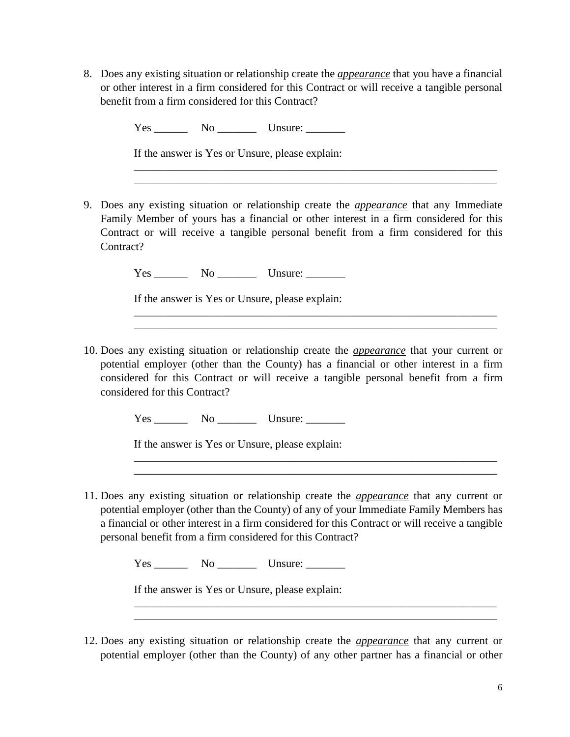8. Does any existing situation or relationship create the *appearance* that you have a financial or other interest in a firm considered for this Contract or will receive a tangible personal benefit from a firm considered for this Contract?

Yes No Unsure:

If the answer is Yes or Unsure, please explain:

9. Does any existing situation or relationship create the *appearance* that any Immediate Family Member of yours has a financial or other interest in a firm considered for this Contract or will receive a tangible personal benefit from a firm considered for this Contract?

\_\_\_\_\_\_\_\_\_\_\_\_\_\_\_\_\_\_\_\_\_\_\_\_\_\_\_\_\_\_\_\_\_\_\_\_\_\_\_\_\_\_\_\_\_\_\_\_\_\_\_\_\_\_\_\_\_\_\_\_\_\_\_\_\_ \_\_\_\_\_\_\_\_\_\_\_\_\_\_\_\_\_\_\_\_\_\_\_\_\_\_\_\_\_\_\_\_\_\_\_\_\_\_\_\_\_\_\_\_\_\_\_\_\_\_\_\_\_\_\_\_\_\_\_\_\_\_\_\_\_

\_\_\_\_\_\_\_\_\_\_\_\_\_\_\_\_\_\_\_\_\_\_\_\_\_\_\_\_\_\_\_\_\_\_\_\_\_\_\_\_\_\_\_\_\_\_\_\_\_\_\_\_\_\_\_\_\_\_\_\_\_\_\_\_\_ \_\_\_\_\_\_\_\_\_\_\_\_\_\_\_\_\_\_\_\_\_\_\_\_\_\_\_\_\_\_\_\_\_\_\_\_\_\_\_\_\_\_\_\_\_\_\_\_\_\_\_\_\_\_\_\_\_\_\_\_\_\_\_\_\_

\_\_\_\_\_\_\_\_\_\_\_\_\_\_\_\_\_\_\_\_\_\_\_\_\_\_\_\_\_\_\_\_\_\_\_\_\_\_\_\_\_\_\_\_\_\_\_\_\_\_\_\_\_\_\_\_\_\_\_\_\_\_\_\_\_ \_\_\_\_\_\_\_\_\_\_\_\_\_\_\_\_\_\_\_\_\_\_\_\_\_\_\_\_\_\_\_\_\_\_\_\_\_\_\_\_\_\_\_\_\_\_\_\_\_\_\_\_\_\_\_\_\_\_\_\_\_\_\_\_\_

\_\_\_\_\_\_\_\_\_\_\_\_\_\_\_\_\_\_\_\_\_\_\_\_\_\_\_\_\_\_\_\_\_\_\_\_\_\_\_\_\_\_\_\_\_\_\_\_\_\_\_\_\_\_\_\_\_\_\_\_\_\_\_\_\_ \_\_\_\_\_\_\_\_\_\_\_\_\_\_\_\_\_\_\_\_\_\_\_\_\_\_\_\_\_\_\_\_\_\_\_\_\_\_\_\_\_\_\_\_\_\_\_\_\_\_\_\_\_\_\_\_\_\_\_\_\_\_\_\_\_

Yes \_\_\_\_\_\_\_\_\_\_ No \_\_\_\_\_\_\_\_\_\_\_ Unsure: \_\_\_\_\_\_\_\_\_

If the answer is Yes or Unsure, please explain:

10. Does any existing situation or relationship create the *appearance* that your current or potential employer (other than the County) has a financial or other interest in a firm considered for this Contract or will receive a tangible personal benefit from a firm considered for this Contract?

Yes \_\_\_\_\_\_\_\_ No \_\_\_\_\_\_\_\_ Unsure: \_\_\_\_\_\_\_\_

If the answer is Yes or Unsure, please explain:

11. Does any existing situation or relationship create the *appearance* that any current or potential employer (other than the County) of any of your Immediate Family Members has a financial or other interest in a firm considered for this Contract or will receive a tangible personal benefit from a firm considered for this Contract?

Yes No Unsure:

If the answer is Yes or Unsure, please explain:

12. Does any existing situation or relationship create the *appearance* that any current or potential employer (other than the County) of any other partner has a financial or other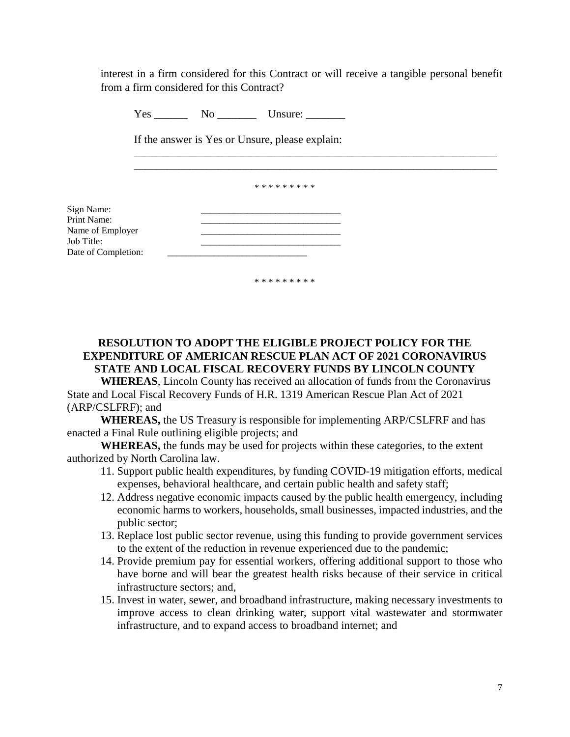interest in a firm considered for this Contract or will receive a tangible personal benefit from a firm considered for this Contract?

|                                                                                    | Yes | No Unsure:                                      |  |
|------------------------------------------------------------------------------------|-----|-------------------------------------------------|--|
|                                                                                    |     | If the answer is Yes or Unsure, please explain: |  |
|                                                                                    |     |                                                 |  |
|                                                                                    |     | * * * * * * * * *                               |  |
| Sign Name:<br>Print Name:<br>Name of Employer<br>Job Title:<br>Date of Completion: |     |                                                 |  |

**RESOLUTION TO ADOPT THE ELIGIBLE PROJECT POLICY FOR THE EXPENDITURE OF AMERICAN RESCUE PLAN ACT OF 2021 CORONAVIRUS STATE AND LOCAL FISCAL RECOVERY FUNDS BY LINCOLN COUNTY WHEREAS**, Lincoln County has received an allocation of funds from the Coronavirus

\* \* \* \* \* \* \* \* \*

State and Local Fiscal Recovery Funds of H.R. 1319 American Rescue Plan Act of 2021 (ARP/CSLFRF); and

**WHEREAS,** the US Treasury is responsible for implementing ARP/CSLFRF and has enacted a Final Rule outlining eligible projects; and

**WHEREAS,** the funds may be used for projects within these categories, to the extent authorized by North Carolina law.

- 11. Support public health expenditures, by funding COVID-19 mitigation efforts, medical expenses, behavioral healthcare, and certain public health and safety staff;
- 12. Address negative economic impacts caused by the public health emergency, including economic harms to workers, households, small businesses, impacted industries, and the public sector;
- 13. Replace lost public sector revenue, using this funding to provide government services to the extent of the reduction in revenue experienced due to the pandemic;
- 14. Provide premium pay for essential workers, offering additional support to those who have borne and will bear the greatest health risks because of their service in critical infrastructure sectors; and,
- 15. Invest in water, sewer, and broadband infrastructure, making necessary investments to improve access to clean drinking water, support vital wastewater and stormwater infrastructure, and to expand access to broadband internet; and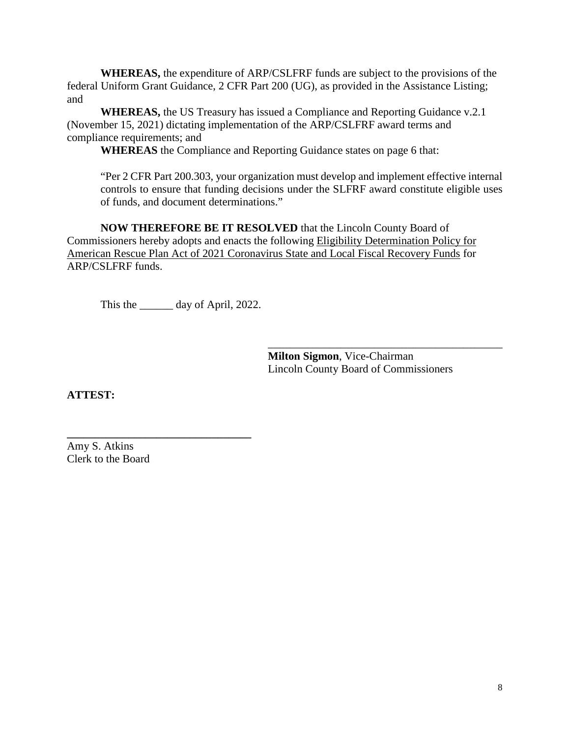**WHEREAS,** the expenditure of ARP/CSLFRF funds are subject to the provisions of the federal Uniform Grant Guidance, 2 CFR Part 200 (UG), as provided in the Assistance Listing; and

**WHEREAS,** the US Treasury has issued a Compliance and Reporting Guidance v.2.1 (November 15, 2021) dictating implementation of the ARP/CSLFRF award terms and compliance requirements; and

**WHEREAS** the Compliance and Reporting Guidance states on page 6 that:

"Per 2 CFR Part 200.303, your organization must develop and implement effective internal controls to ensure that funding decisions under the SLFRF award constitute eligible uses of funds, and document determinations."

**NOW THEREFORE BE IT RESOLVED** that the Lincoln County Board of Commissioners hereby adopts and enacts the following Eligibility Determination Policy for American Rescue Plan Act of 2021 Coronavirus State and Local Fiscal Recovery Funds for ARP/CSLFRF funds.

This the <u>equal</u> day of April, 2022.

**\_\_\_\_\_\_\_\_\_\_\_\_\_\_\_\_\_\_\_\_\_\_\_\_\_\_\_\_\_\_\_\_\_**

**Milton Sigmon**, Vice-Chairman Lincoln County Board of Commissioners

\_\_\_\_\_\_\_\_\_\_\_\_\_\_\_\_\_\_\_\_\_\_\_\_\_\_\_\_\_\_\_\_\_\_\_\_\_\_\_\_\_\_

**ATTEST:**

Amy S. Atkins Clerk to the Board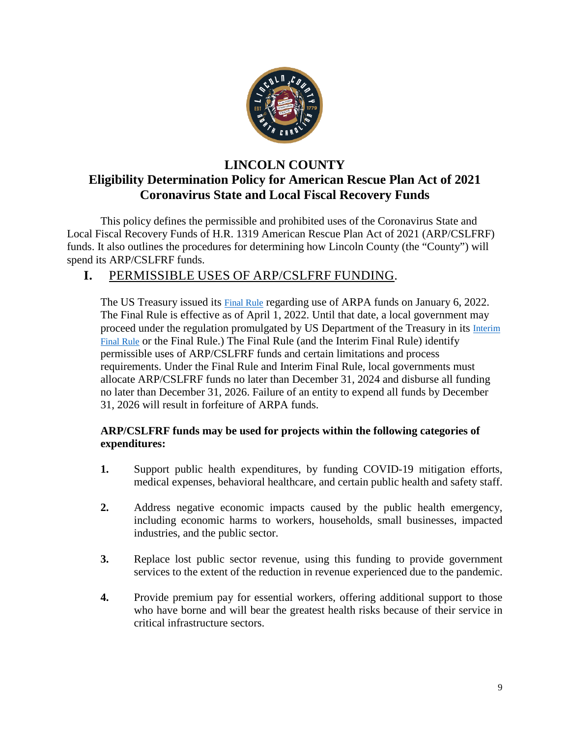

# **LINCOLN COUNTY**

# **Eligibility Determination Policy for American Rescue Plan Act of 2021 Coronavirus State and Local Fiscal Recovery Funds**

This policy defines the permissible and prohibited uses of the Coronavirus State and Local Fiscal Recovery Funds of H.R. 1319 American Rescue Plan Act of 2021 (ARP/CSLFRF) funds. It also outlines the procedures for determining how Lincoln County (the "County") will spend its ARP/CSLFRF funds.

# **I.** PERMISSIBLE USES OF ARP/CSLFRF FUNDING.

The US Treasury issued its **Final Rule** regarding use of ARPA funds on January 6, 2022. The Final Rule is effective as of April 1, 2022. Until that date, a local government may proceed under the regulation promulgated by US Department of the Treasury in its [Interim](https://www.govinfo.gov/content/pkg/FR-2021-05-17/pdf/2021-10283.pdf)  [Final Rule](https://www.govinfo.gov/content/pkg/FR-2021-05-17/pdf/2021-10283.pdf) or the Final Rule.) The Final Rule (and the Interim Final Rule) identify permissible uses of ARP/CSLFRF funds and certain limitations and process requirements. Under the Final Rule and Interim Final Rule, local governments must allocate ARP/CSLFRF funds no later than December 31, 2024 and disburse all funding no later than December 31, 2026. Failure of an entity to expend all funds by December 31, 2026 will result in forfeiture of ARPA funds.

## **ARP/CSLFRF funds may be used for projects within the following categories of expenditures:**

- **1.** Support public health expenditures, by funding COVID-19 mitigation efforts, medical expenses, behavioral healthcare, and certain public health and safety staff.
- **2.** Address negative economic impacts caused by the public health emergency, including economic harms to workers, households, small businesses, impacted industries, and the public sector.
- **3.** Replace lost public sector revenue, using this funding to provide government services to the extent of the reduction in revenue experienced due to the pandemic.
- **4.** Provide premium pay for essential workers, offering additional support to those who have borne and will bear the greatest health risks because of their service in critical infrastructure sectors.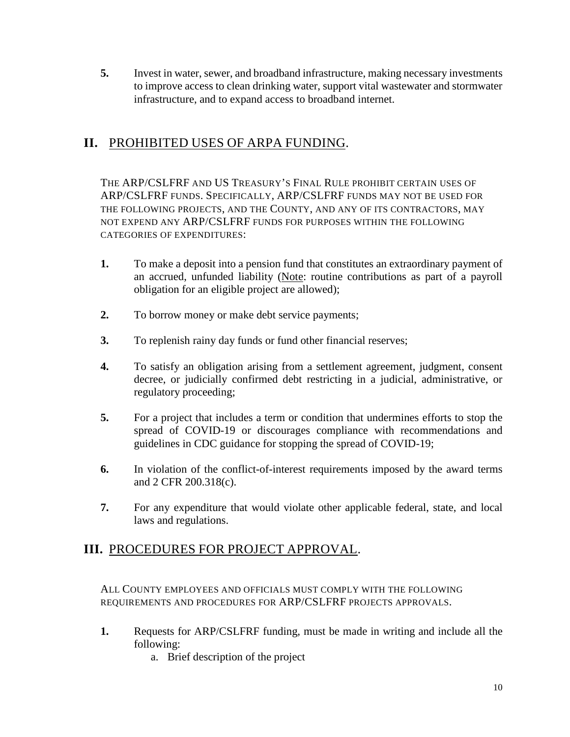**5.** Invest in water, sewer, and broadband infrastructure, making necessary investments to improve access to clean drinking water, support vital wastewater and stormwater infrastructure, and to expand access to broadband internet.

# **II.** PROHIBITED USES OF ARPA FUNDING.

THE ARP/CSLFRF AND US TREASURY'S FINAL RULE PROHIBIT CERTAIN USES OF ARP/CSLFRF FUNDS. SPECIFICALLY, ARP/CSLFRF FUNDS MAY NOT BE USED FOR THE FOLLOWING PROJECTS, AND THE COUNTY, AND ANY OF ITS CONTRACTORS, MAY NOT EXPEND ANY ARP/CSLFRF FUNDS FOR PURPOSES WITHIN THE FOLLOWING CATEGORIES OF EXPENDITURES:

- **1.** To make a deposit into a pension fund that constitutes an extraordinary payment of an accrued, unfunded liability (Note: routine contributions as part of a payroll obligation for an eligible project are allowed);
- **2.** To borrow money or make debt service payments;
- **3.** To replenish rainy day funds or fund other financial reserves;
- **4.** To satisfy an obligation arising from a settlement agreement, judgment, consent decree, or judicially confirmed debt restricting in a judicial, administrative, or regulatory proceeding;
- **5.** For a project that includes a term or condition that undermines efforts to stop the spread of COVID-19 or discourages compliance with recommendations and guidelines in CDC guidance for stopping the spread of COVID-19;
- **6.** In violation of the conflict-of-interest requirements imposed by the award terms and 2 CFR 200.318(c).
- **7.** For any expenditure that would violate other applicable federal, state, and local laws and regulations.

# **III.** PROCEDURES FOR PROJECT APPROVAL.

ALL COUNTY EMPLOYEES AND OFFICIALS MUST COMPLY WITH THE FOLLOWING REQUIREMENTS AND PROCEDURES FOR ARP/CSLFRF PROJECTS APPROVALS.

- **1.** Requests for ARP/CSLFRF funding, must be made in writing and include all the following:
	- a. Brief description of the project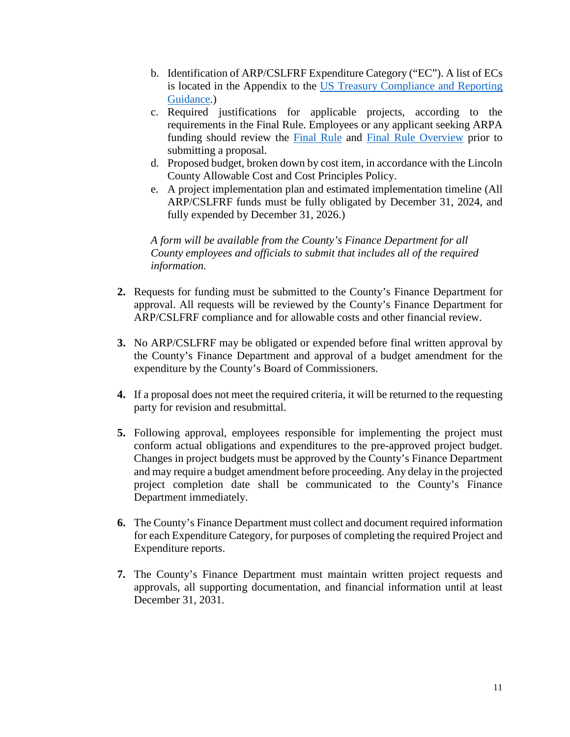- b. Identification of ARP/CSLFRF Expenditure Category ("EC"). A list of ECs is located in the Appendix to the [US Treasury Compliance and Reporting](https://home.treasury.gov/system/files/136/SLFRF-Compliance-and-Reporting-Guidance.pdf)  [Guidance.](https://home.treasury.gov/system/files/136/SLFRF-Compliance-and-Reporting-Guidance.pdf))
- c. Required justifications for applicable projects, according to the requirements in the Final Rule. Employees or any applicant seeking ARPA funding should review the [Final Rule](https://home.treasury.gov/system/files/136/SLFRF-Final-Rule.pdf) and [Final Rule Overview](https://home.treasury.gov/system/files/136/SLFRF-Final-Rule-Overview.pdf) prior to submitting a proposal.
- d. Proposed budget, broken down by cost item, in accordance with the Lincoln County Allowable Cost and Cost Principles Policy.
- e. A project implementation plan and estimated implementation timeline (All ARP/CSLFRF funds must be fully obligated by December 31, 2024, and fully expended by December 31, 2026.)

*A form will be available from the County's Finance Department for all County employees and officials to submit that includes all of the required information.*

- **2.** Requests for funding must be submitted to the County's Finance Department for approval. All requests will be reviewed by the County's Finance Department for ARP/CSLFRF compliance and for allowable costs and other financial review.
- **3.** No ARP/CSLFRF may be obligated or expended before final written approval by the County's Finance Department and approval of a budget amendment for the expenditure by the County's Board of Commissioners.
- **4.** If a proposal does not meet the required criteria, it will be returned to the requesting party for revision and resubmittal.
- **5.** Following approval, employees responsible for implementing the project must conform actual obligations and expenditures to the pre-approved project budget. Changes in project budgets must be approved by the County's Finance Department and may require a budget amendment before proceeding. Any delay in the projected project completion date shall be communicated to the County's Finance Department immediately.
- **6.** The County's Finance Department must collect and document required information for each Expenditure Category, for purposes of completing the required Project and Expenditure reports.
- **7.** The County's Finance Department must maintain written project requests and approvals, all supporting documentation, and financial information until at least December 31, 2031.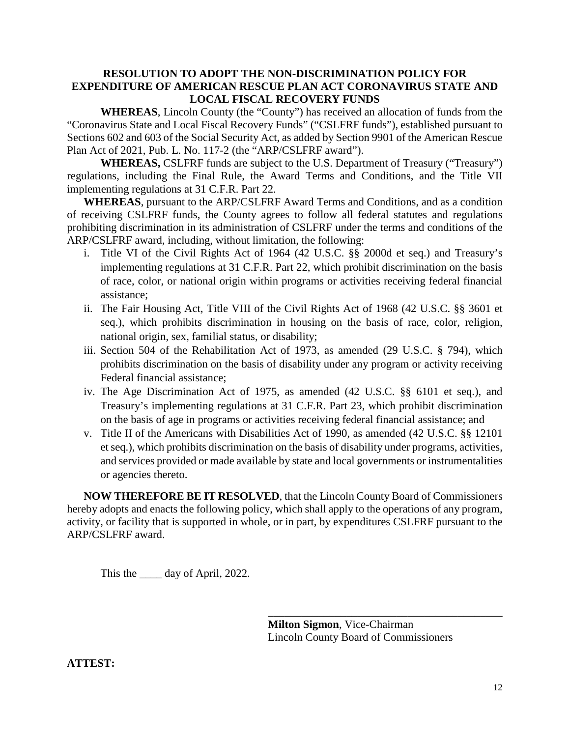#### **RESOLUTION TO ADOPT THE NON-DISCRIMINATION POLICY FOR EXPENDITURE OF AMERICAN RESCUE PLAN ACT CORONAVIRUS STATE AND LOCAL FISCAL RECOVERY FUNDS**

**WHEREAS**, Lincoln County (the "County") has received an allocation of funds from the "Coronavirus State and Local Fiscal Recovery Funds" ("CSLFRF funds"), established pursuant to Sections 602 and 603 of the Social Security Act, as added by Section 9901 of the American Rescue Plan Act of 2021, Pub. L. No. 117-2 (the "ARP/CSLFRF award").

**WHEREAS,** CSLFRF funds are subject to the U.S. Department of Treasury ("Treasury") regulations, including the Final Rule, the Award Terms and Conditions, and the Title VII implementing regulations at 31 C.F.R. Part 22.

**WHEREAS**, pursuant to the ARP/CSLFRF Award Terms and Conditions, and as a condition of receiving CSLFRF funds, the County agrees to follow all federal statutes and regulations prohibiting discrimination in its administration of CSLFRF under the terms and conditions of the ARP/CSLFRF award, including, without limitation, the following:

- i. Title VI of the Civil Rights Act of 1964 (42 U.S.C. §§ 2000d et seq.) and Treasury's implementing regulations at 31 C.F.R. Part 22, which prohibit discrimination on the basis of race, color, or national origin within programs or activities receiving federal financial assistance;
- ii. The Fair Housing Act, Title VIII of the Civil Rights Act of 1968 (42 U.S.C. §§ 3601 et seq.), which prohibits discrimination in housing on the basis of race, color, religion, national origin, sex, familial status, or disability;
- iii. Section 504 of the Rehabilitation Act of 1973, as amended (29 U.S.C. § 794), which prohibits discrimination on the basis of disability under any program or activity receiving Federal financial assistance;
- iv. The Age Discrimination Act of 1975, as amended (42 U.S.C. §§ 6101 et seq.), and Treasury's implementing regulations at 31 C.F.R. Part 23, which prohibit discrimination on the basis of age in programs or activities receiving federal financial assistance; and
- v. Title II of the Americans with Disabilities Act of 1990, as amended (42 U.S.C. §§ 12101 et seq.), which prohibits discrimination on the basis of disability under programs, activities, and services provided or made available by state and local governments or instrumentalities or agencies thereto.

**NOW THEREFORE BE IT RESOLVED**, that the Lincoln County Board of Commissioners hereby adopts and enacts the following policy, which shall apply to the operations of any program, activity, or facility that is supported in whole, or in part, by expenditures CSLFRF pursuant to the ARP/CSLFRF award.

This the <u>come day of April</u>, 2022.

**Milton Sigmon**, Vice-Chairman Lincoln County Board of Commissioners

\_\_\_\_\_\_\_\_\_\_\_\_\_\_\_\_\_\_\_\_\_\_\_\_\_\_\_\_\_\_\_\_\_\_\_\_\_\_\_\_\_\_

**ATTEST:**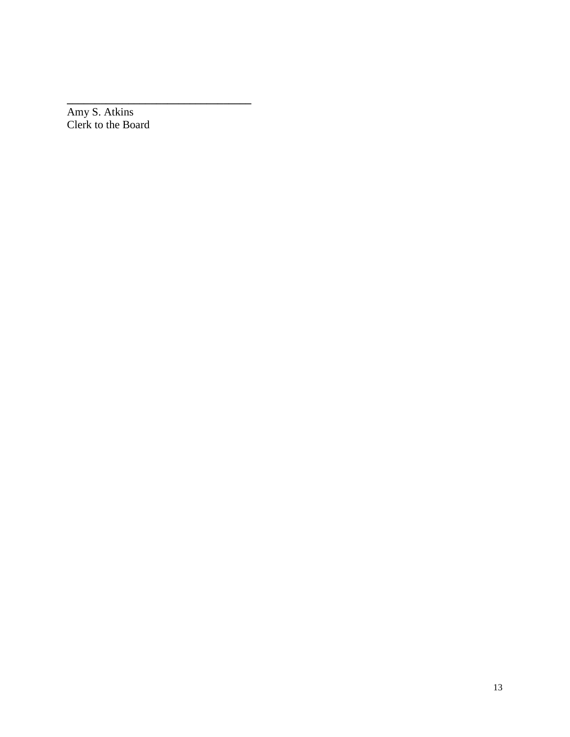Amy S. Atkins Clerk to the Board

**\_\_\_\_\_\_\_\_\_\_\_\_\_\_\_\_\_\_\_\_\_\_\_\_\_\_\_\_\_\_\_\_\_**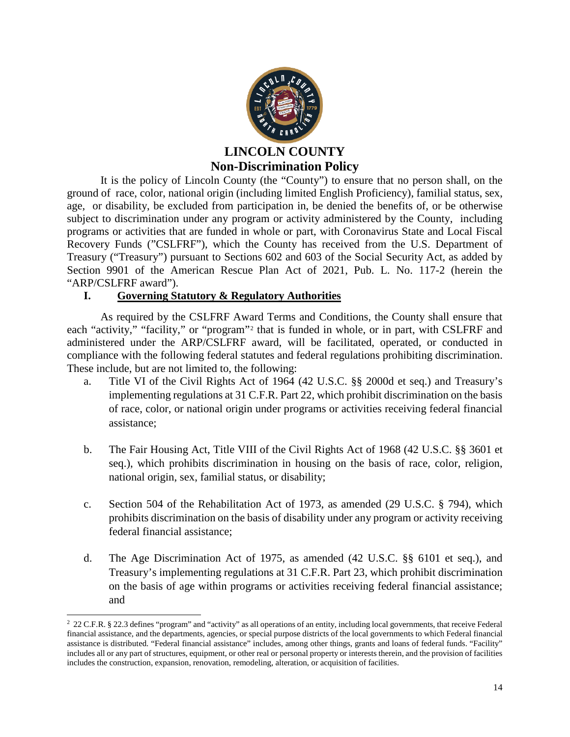

# **Non-Discrimination Policy**

It is the policy of Lincoln County (the "County") to ensure that no person shall, on the ground of race, color, national origin (including limited English Proficiency), familial status, sex, age, or disability, be excluded from participation in, be denied the benefits of, or be otherwise subject to discrimination under any program or activity administered by the County, including programs or activities that are funded in whole or part, with Coronavirus State and Local Fiscal Recovery Funds ("CSLFRF"), which the County has received from the U.S. Department of Treasury ("Treasury") pursuant to Sections 602 and 603 of the Social Security Act, as added by Section 9901 of the American Rescue Plan Act of 2021, Pub. L. No. 117-2 (herein the "ARP/CSLFRF award").

## **I. Governing Statutory & Regulatory Authorities**

As required by the CSLFRF Award Terms and Conditions, the County shall ensure that each "activity," "facility," or "program"<sup>[2](#page-49-0)</sup> that is funded in whole, or in part, with CSLFRF and administered under the ARP/CSLFRF award, will be facilitated, operated, or conducted in compliance with the following federal statutes and federal regulations prohibiting discrimination. These include, but are not limited to, the following:

- a. Title VI of the Civil Rights Act of 1964 (42 U.S.C. §§ 2000d et seq.) and Treasury's implementing regulations at 31 C.F.R. Part 22, which prohibit discrimination on the basis of race, color, or national origin under programs or activities receiving federal financial assistance;
- b. The Fair Housing Act, Title VIII of the Civil Rights Act of 1968 (42 U.S.C. §§ 3601 et seq.), which prohibits discrimination in housing on the basis of race, color, religion, national origin, sex, familial status, or disability;
- c. Section 504 of the Rehabilitation Act of 1973, as amended (29 U.S.C. § 794), which prohibits discrimination on the basis of disability under any program or activity receiving federal financial assistance;
- d. The Age Discrimination Act of 1975, as amended (42 U.S.C. §§ 6101 et seq.), and Treasury's implementing regulations at 31 C.F.R. Part 23, which prohibit discrimination on the basis of age within programs or activities receiving federal financial assistance; and

<span id="page-49-0"></span> <sup>2 22</sup> C.F.R. § 22.3 defines "program" and "activity" as all operations of an entity, including local governments, that receive Federal financial assistance, and the departments, agencies, or special purpose districts of the local governments to which Federal financial assistance is distributed. "Federal financial assistance" includes, among other things, grants and loans of federal funds. "Facility" includes all or any part of structures, equipment, or other real or personal property or interests therein, and the provision of facilities includes the construction, expansion, renovation, remodeling, alteration, or acquisition of facilities.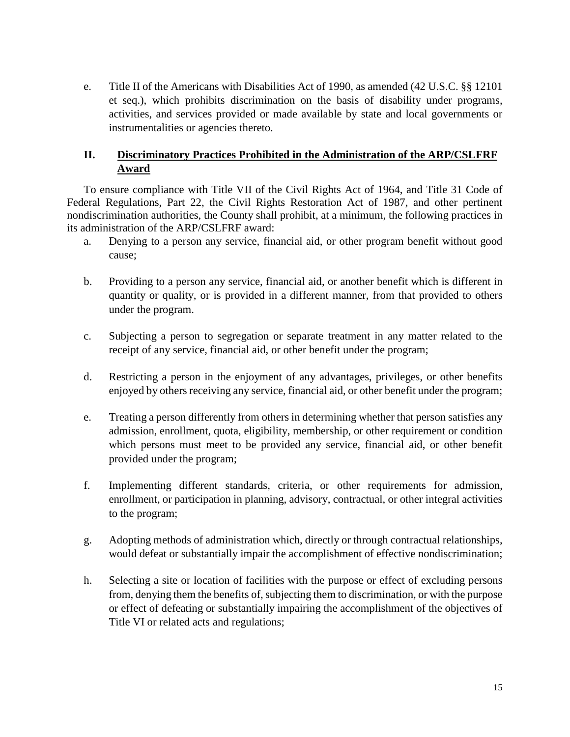e. Title II of the Americans with Disabilities Act of 1990, as amended (42 U.S.C. §§ 12101 et seq.), which prohibits discrimination on the basis of disability under programs, activities, and services provided or made available by state and local governments or instrumentalities or agencies thereto.

## **II. Discriminatory Practices Prohibited in the Administration of the ARP/CSLFRF Award**

To ensure compliance with Title VII of the Civil Rights Act of 1964, and Title 31 Code of Federal Regulations, Part 22, the Civil Rights Restoration Act of 1987, and other pertinent nondiscrimination authorities, the County shall prohibit, at a minimum, the following practices in its administration of the ARP/CSLFRF award:

- a. Denying to a person any service, financial aid, or other program benefit without good cause;
- b. Providing to a person any service, financial aid, or another benefit which is different in quantity or quality, or is provided in a different manner, from that provided to others under the program.
- c. Subjecting a person to segregation or separate treatment in any matter related to the receipt of any service, financial aid, or other benefit under the program;
- d. Restricting a person in the enjoyment of any advantages, privileges, or other benefits enjoyed by others receiving any service, financial aid, or other benefit under the program;
- e. Treating a person differently from others in determining whether that person satisfies any admission, enrollment, quota, eligibility, membership, or other requirement or condition which persons must meet to be provided any service, financial aid, or other benefit provided under the program;
- f. Implementing different standards, criteria, or other requirements for admission, enrollment, or participation in planning, advisory, contractual, or other integral activities to the program;
- g. Adopting methods of administration which, directly or through contractual relationships, would defeat or substantially impair the accomplishment of effective nondiscrimination;
- h. Selecting a site or location of facilities with the purpose or effect of excluding persons from, denying them the benefits of, subjecting them to discrimination, or with the purpose or effect of defeating or substantially impairing the accomplishment of the objectives of Title VI or related acts and regulations;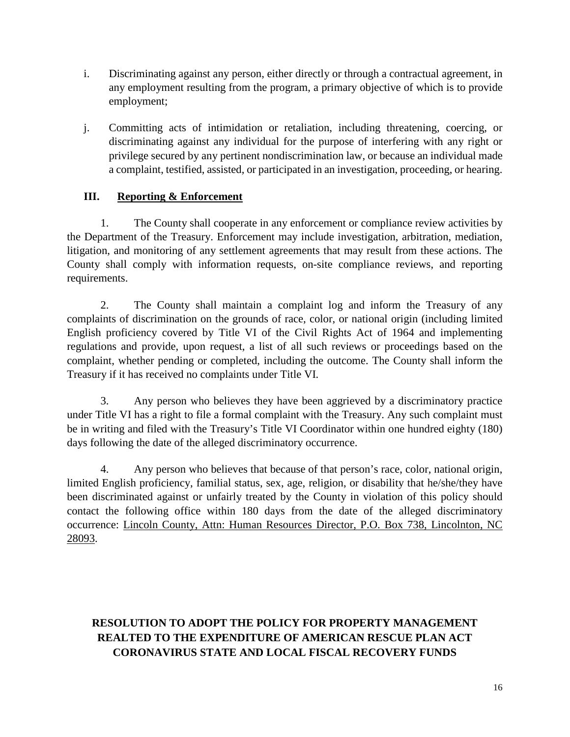- i. Discriminating against any person, either directly or through a contractual agreement, in any employment resulting from the program, a primary objective of which is to provide employment;
- j. Committing acts of intimidation or retaliation, including threatening, coercing, or discriminating against any individual for the purpose of interfering with any right or privilege secured by any pertinent nondiscrimination law, or because an individual made a complaint, testified, assisted, or participated in an investigation, proceeding, or hearing.

## **III. Reporting & Enforcement**

1. The County shall cooperate in any enforcement or compliance review activities by the Department of the Treasury. Enforcement may include investigation, arbitration, mediation, litigation, and monitoring of any settlement agreements that may result from these actions. The County shall comply with information requests, on-site compliance reviews, and reporting requirements.

2. The County shall maintain a complaint log and inform the Treasury of any complaints of discrimination on the grounds of race, color, or national origin (including limited English proficiency covered by Title VI of the Civil Rights Act of 1964 and implementing regulations and provide, upon request, a list of all such reviews or proceedings based on the complaint, whether pending or completed, including the outcome. The County shall inform the Treasury if it has received no complaints under Title VI.

3. Any person who believes they have been aggrieved by a discriminatory practice under Title VI has a right to file a formal complaint with the Treasury. Any such complaint must be in writing and filed with the Treasury's Title VI Coordinator within one hundred eighty (180) days following the date of the alleged discriminatory occurrence.

4. Any person who believes that because of that person's race, color, national origin, limited English proficiency, familial status, sex, age, religion, or disability that he/she/they have been discriminated against or unfairly treated by the County in violation of this policy should contact the following office within 180 days from the date of the alleged discriminatory occurrence: Lincoln County, Attn: Human Resources Director, P.O. Box 738, Lincolnton, NC 28093.

# **RESOLUTION TO ADOPT THE POLICY FOR PROPERTY MANAGEMENT REALTED TO THE EXPENDITURE OF AMERICAN RESCUE PLAN ACT CORONAVIRUS STATE AND LOCAL FISCAL RECOVERY FUNDS**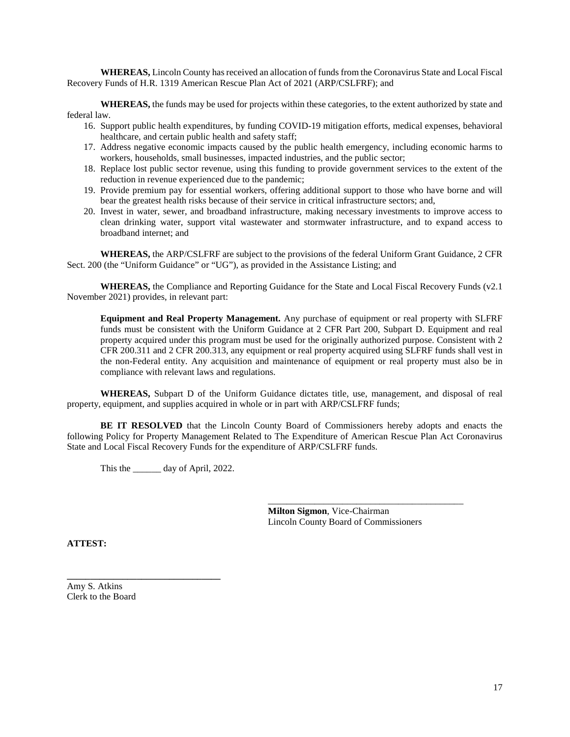**WHEREAS,** Lincoln County has received an allocation of funds from the Coronavirus State and Local Fiscal Recovery Funds of H.R. 1319 American Rescue Plan Act of 2021 (ARP/CSLFRF); and

**WHEREAS,** the funds may be used for projects within these categories, to the extent authorized by state and federal law.

- 16. Support public health expenditures, by funding COVID-19 mitigation efforts, medical expenses, behavioral healthcare, and certain public health and safety staff;
- 17. Address negative economic impacts caused by the public health emergency, including economic harms to workers, households, small businesses, impacted industries, and the public sector;
- 18. Replace lost public sector revenue, using this funding to provide government services to the extent of the reduction in revenue experienced due to the pandemic;
- 19. Provide premium pay for essential workers, offering additional support to those who have borne and will bear the greatest health risks because of their service in critical infrastructure sectors; and,
- 20. Invest in water, sewer, and broadband infrastructure, making necessary investments to improve access to clean drinking water, support vital wastewater and stormwater infrastructure, and to expand access to broadband internet; and

**WHEREAS,** the ARP/CSLFRF are subject to the provisions of the federal Uniform Grant Guidance, 2 CFR Sect. 200 (the "Uniform Guidance" or "UG"), as provided in the Assistance Listing; and

**WHEREAS,** the Compliance and Reporting Guidance for the State and Local Fiscal Recovery Funds (v2.1 November 2021) provides, in relevant part:

**Equipment and Real Property Management.** Any purchase of equipment or real property with SLFRF funds must be consistent with the Uniform Guidance at 2 CFR Part 200, Subpart D. Equipment and real property acquired under this program must be used for the originally authorized purpose. Consistent with 2 CFR 200.311 and 2 CFR 200.313, any equipment or real property acquired using SLFRF funds shall vest in the non-Federal entity. Any acquisition and maintenance of equipment or real property must also be in compliance with relevant laws and regulations.

**WHEREAS,** Subpart D of the Uniform Guidance dictates title, use, management, and disposal of real property, equipment, and supplies acquired in whole or in part with ARP/CSLFRF funds;

**BE IT RESOLVED** that the Lincoln County Board of Commissioners hereby adopts and enacts the following Policy for Property Management Related to The Expenditure of American Rescue Plan Act Coronavirus State and Local Fiscal Recovery Funds for the expenditure of ARP/CSLFRF funds.

This the <u>contained</u> day of April, 2022.

**\_\_\_\_\_\_\_\_\_\_\_\_\_\_\_\_\_\_\_\_\_\_\_\_\_\_\_\_\_\_\_\_\_**

**Milton Sigmon**, Vice-Chairman Lincoln County Board of Commissioners

\_\_\_\_\_\_\_\_\_\_\_\_\_\_\_\_\_\_\_\_\_\_\_\_\_\_\_\_\_\_\_\_\_\_\_\_\_\_\_\_\_\_

**ATTEST:**

Amy S. Atkins Clerk to the Board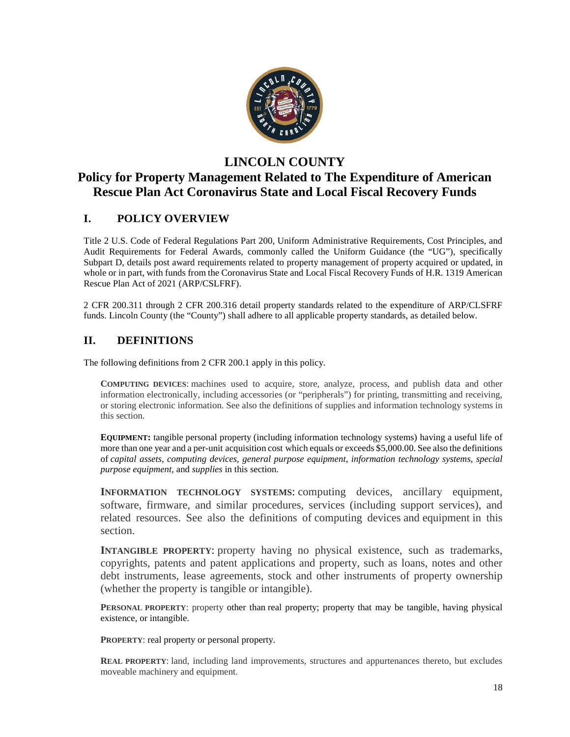

# **LINCOLN COUNTY**

# **Policy for Property Management Related to The Expenditure of American Rescue Plan Act Coronavirus State and Local Fiscal Recovery Funds**

## **I. POLICY OVERVIEW**

Title 2 U.S. Code of Federal Regulations Part 200, Uniform Administrative Requirements, Cost Principles, and Audit Requirements for Federal Awards, commonly called the Uniform Guidance (the "UG"), specifically Subpart D, details post award requirements related to property management of property acquired or updated, in whole or in part, with funds from the Coronavirus State and Local Fiscal Recovery Funds of H.R. 1319 American Rescue Plan Act of 2021 (ARP/CSLFRF).

2 CFR 200.311 through 2 CFR 200.316 detail property standards related to the expenditure of ARP/CLSFRF funds. Lincoln County (the "County") shall adhere to all applicable property standards, as detailed below.

## **II. DEFINITIONS**

The following definitions from 2 CFR 200.1 apply in this policy.

**COMPUTING DEVICES**: machines used to acquire, store, analyze, process, and publish data and other information electronically, including accessories (or "peripherals") for printing, transmitting and receiving, or storing electronic information. See also the definitions of supplies and information technology systems in this section.

**EQUIPMENT:** tangible personal property (including information technology systems) having a useful life of more than one year and a per-unit acquisition cost which equals or exceeds \$5,000.00. See also the definitions of *capital assets, computing devices, general purpose equipment, information technology systems, special purpose equipment,* and *supplies* in this section.

**INFORMATION TECHNOLOGY SYSTEMS**: computing devices, ancillary equipment, software, firmware, and similar procedures, services (including support services), and related resources. See also the definitions of computing devices and equipment in this section.

**INTANGIBLE PROPERTY**: property having no physical existence, such as trademarks, copyrights, patents and patent applications and property, such as loans, notes and other debt instruments, lease agreements, stock and other instruments of property ownership (whether the property is tangible or intangible).

**PERSONAL PROPERTY**: property other than real property; property that may be tangible, having physical existence, or intangible.

**PROPERTY**: real property or personal property.

**REAL PROPERTY**: land, including land improvements, structures and appurtenances thereto, but excludes moveable machinery and equipment.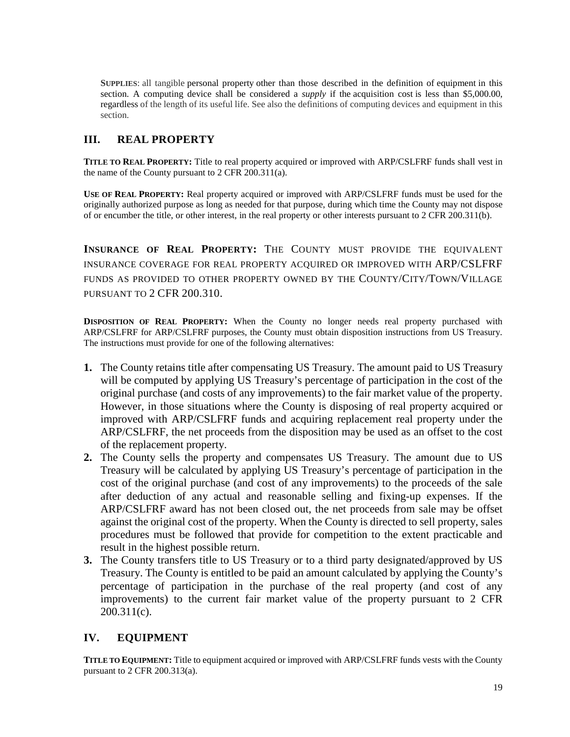**SUPPLIES**: all tangible personal property other than those described in the definition of equipment in this section. A computing device shall be considered a *supply* if the acquisition cost is less than \$5,000.00, regardless of the length of its useful life. See also the definitions of computing devices and equipment in this section.

## **III. REAL PROPERTY**

**TITLE TO REAL PROPERTY:** Title to real property acquired or improved with ARP/CSLFRF funds shall vest in the name of the County pursuant to 2 CFR 200.311(a).

**USE OF REAL PROPERTY:** Real property acquired or improved with ARP/CSLFRF funds must be used for the originally authorized purpose as long as needed for that purpose, during which time the County may not dispose of or encumber the title, or other interest, in the real property or other interests pursuant to 2 CFR 200.311(b).

**INSURANCE OF REAL PROPERTY:** THE COUNTY MUST PROVIDE THE EQUIVALENT INSURANCE COVERAGE FOR REAL PROPERTY ACQUIRED OR IMPROVED WITH ARP/CSLFRF FUNDS AS PROVIDED TO OTHER PROPERTY OWNED BY THE COUNTY/CITY/TOWN/VILLAGE PURSUANT TO 2 CFR 200.310.

**DISPOSITION OF REAL PROPERTY:** When the County no longer needs real property purchased with ARP/CSLFRF for ARP/CSLFRF purposes, the County must obtain disposition instructions from US Treasury. The instructions must provide for one of the following alternatives:

- **1.** The County retains title after compensating US Treasury. The amount paid to US Treasury will be computed by applying US Treasury's percentage of participation in the cost of the original purchase (and costs of any improvements) to the fair market value of the property. However, in those situations where the County is disposing of real property acquired or improved with ARP/CSLFRF funds and acquiring replacement real property under the ARP/CSLFRF, the net proceeds from the disposition may be used as an offset to the cost of the replacement property.
- **2.** The County sells the property and compensates US Treasury. The amount due to US Treasury will be calculated by applying US Treasury's percentage of participation in the cost of the original purchase (and cost of any improvements) to the proceeds of the sale after deduction of any actual and reasonable selling and fixing-up expenses. If the ARP/CSLFRF award has not been closed out, the net proceeds from sale may be offset against the original cost of the property. When the County is directed to sell property, sales procedures must be followed that provide for competition to the extent practicable and result in the highest possible return.
- **3.** The County transfers title to US Treasury or to a third party designated/approved by US Treasury. The County is entitled to be paid an amount calculated by applying the County's percentage of participation in the purchase of the real property (and cost of any improvements) to the current fair market value of the property pursuant to 2 CFR 200.311(c).

## **IV. EQUIPMENT**

**TITLE TO EQUIPMENT:** Title to equipment acquired or improved with ARP/CSLFRF funds vests with the County pursuant to 2 CFR 200.313(a).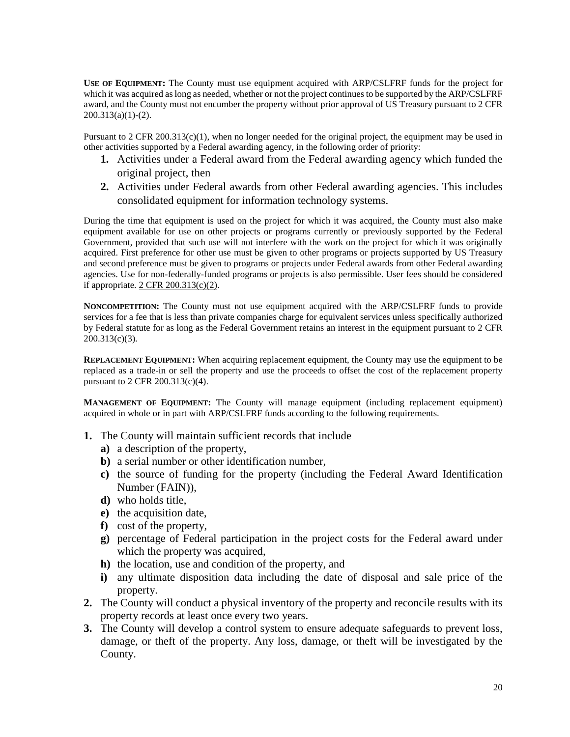**USE OF EQUIPMENT:** The County must use equipment acquired with ARP/CSLFRF funds for the project for which it was acquired as long as needed, whether or not the project continues to be supported by the ARP/CSLFRF award, and the County must not encumber the property without prior approval of US Treasury pursuant to 2 CFR  $200.313(a)(1)-(2)$ .

Pursuant to 2 CFR 200.313(c)(1), when no longer needed for the original project, the equipment may be used in other activities supported by a Federal awarding agency, in the following order of priority:

- **1.** Activities under a Federal award from the Federal awarding agency which funded the original project, then
- **2.** Activities under Federal awards from other Federal awarding agencies. This includes consolidated equipment for information technology systems.

During the time that equipment is used on the project for which it was acquired, the County must also make equipment available for use on other projects or programs currently or previously supported by the Federal Government, provided that such use will not interfere with the work on the project for which it was originally acquired. First preference for other use must be given to other programs or projects supported by US Treasury and second preference must be given to programs or projects under Federal awards from other Federal awarding agencies. Use for non-federally-funded programs or projects is also permissible. User fees should be considered if appropriate. 2 CFR 200.313(c)(2).

**NONCOMPETITION:** The County must not use equipment acquired with the ARP/CSLFRF funds to provide services for a fee that is less than private companies charge for equivalent services unless specifically authorized by Federal statute for as long as the Federal Government retains an interest in the equipment pursuant to 2 CFR 200.313(c)(3).

**REPLACEMENT EQUIPMENT:** When acquiring replacement equipment, the County may use the equipment to be replaced as a trade-in or sell the property and use the proceeds to offset the cost of the replacement property pursuant to 2 CFR 200.313(c)(4).

**MANAGEMENT OF EQUIPMENT:** The County will manage equipment (including replacement equipment) acquired in whole or in part with ARP/CSLFRF funds according to the following requirements.

- **1.** The County will maintain sufficient records that include
	- **a)** a description of the property,
	- **b)** a serial number or other identification number,
	- **c)** the source of funding for the property (including the Federal Award Identification Number (FAIN)),
	- **d)** who holds title,
	- **e)** the acquisition date,
	- **f)** cost of the property,
	- **g)** percentage of Federal participation in the project costs for the Federal award under which the property was acquired,
	- **h)** the location, use and condition of the property, and
	- **i)** any ultimate disposition data including the date of disposal and sale price of the property.
- **2.** The County will conduct a physical inventory of the property and reconcile results with its property records at least once every two years.
- **3.** The County will develop a control system to ensure adequate safeguards to prevent loss, damage, or theft of the property. Any loss, damage, or theft will be investigated by the County.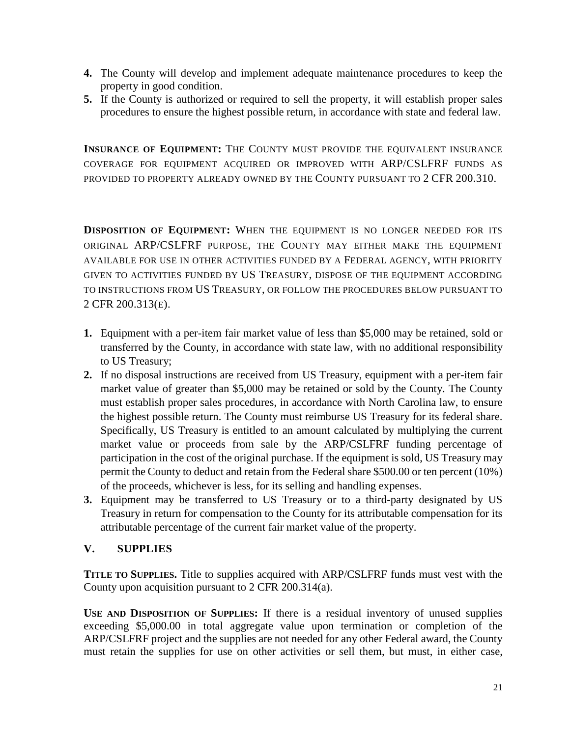- **4.** The County will develop and implement adequate maintenance procedures to keep the property in good condition.
- **5.** If the County is authorized or required to sell the property, it will establish proper sales procedures to ensure the highest possible return, in accordance with state and federal law.

**INSURANCE OF EQUIPMENT:** THE COUNTY MUST PROVIDE THE EQUIVALENT INSURANCE COVERAGE FOR EQUIPMENT ACQUIRED OR IMPROVED WITH ARP/CSLFRF FUNDS AS PROVIDED TO PROPERTY ALREADY OWNED BY THE COUNTY PURSUANT TO 2 CFR 200.310.

**DISPOSITION OF EQUIPMENT:** WHEN THE EQUIPMENT IS NO LONGER NEEDED FOR ITS ORIGINAL ARP/CSLFRF PURPOSE, THE COUNTY MAY EITHER MAKE THE EQUIPMENT AVAILABLE FOR USE IN OTHER ACTIVITIES FUNDED BY A FEDERAL AGENCY, WITH PRIORITY GIVEN TO ACTIVITIES FUNDED BY US TREASURY, DISPOSE OF THE EQUIPMENT ACCORDING TO INSTRUCTIONS FROM US TREASURY, OR FOLLOW THE PROCEDURES BELOW PURSUANT TO 2 CFR 200.313(E).

- **1.** Equipment with a per-item fair market value of less than \$5,000 may be retained, sold or transferred by the County, in accordance with state law, with no additional responsibility to US Treasury;
- **2.** If no disposal instructions are received from US Treasury, equipment with a per-item fair market value of greater than \$5,000 may be retained or sold by the County. The County must establish proper sales procedures, in accordance with North Carolina law, to ensure the highest possible return. The County must reimburse US Treasury for its federal share. Specifically, US Treasury is entitled to an amount calculated by multiplying the current market value or proceeds from sale by the ARP/CSLFRF funding percentage of participation in the cost of the original purchase. If the equipment is sold, US Treasury may permit the County to deduct and retain from the Federal share \$500.00 or ten percent (10%) of the proceeds, whichever is less, for its selling and handling expenses.
- **3.** Equipment may be transferred to US Treasury or to a third-party designated by US Treasury in return for compensation to the County for its attributable compensation for its attributable percentage of the current fair market value of the property.

## **V. SUPPLIES**

**TITLE TO SUPPLIES.** Title to supplies acquired with ARP/CSLFRF funds must vest with the County upon acquisition pursuant to 2 CFR 200.314(a).

**USE AND DISPOSITION OF SUPPLIES:** If there is a residual inventory of unused supplies exceeding \$5,000.00 in total aggregate value upon termination or completion of the ARP/CSLFRF project and the supplies are not needed for any other Federal award, the County must retain the supplies for use on other activities or sell them, but must, in either case,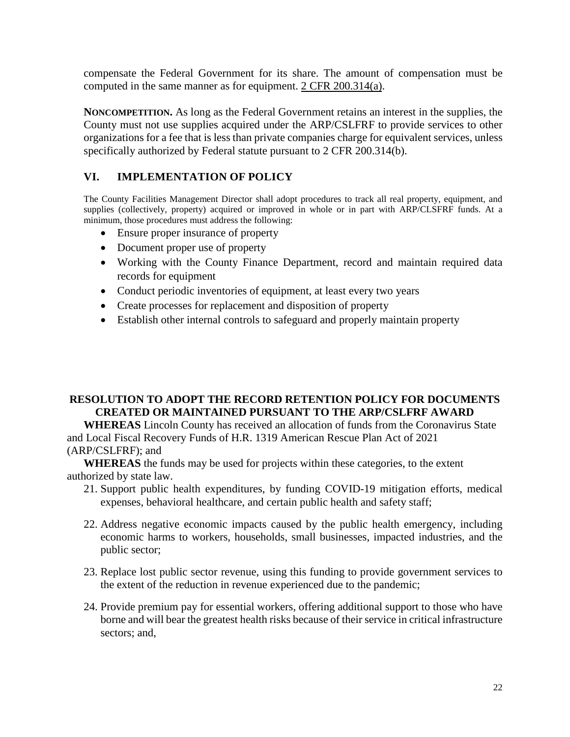compensate the Federal Government for its share. The amount of compensation must be computed in the same manner as for equipment. 2 CFR 200.314(a).

**NONCOMPETITION.** As long as the Federal Government retains an interest in the supplies, the County must not use supplies acquired under the ARP/CSLFRF to provide services to other organizations for a fee that is less than private companies charge for equivalent services, unless specifically authorized by Federal statute pursuant to 2 CFR 200.314(b).

# **VI. IMPLEMENTATION OF POLICY**

The County Facilities Management Director shall adopt procedures to track all real property, equipment, and supplies (collectively, property) acquired or improved in whole or in part with ARP/CLSFRF funds. At a minimum, those procedures must address the following:

- Ensure proper insurance of property
- Document proper use of property
- Working with the County Finance Department, record and maintain required data records for equipment
- Conduct periodic inventories of equipment, at least every two years
- Create processes for replacement and disposition of property
- Establish other internal controls to safeguard and properly maintain property

## **RESOLUTION TO ADOPT THE RECORD RETENTION POLICY FOR DOCUMENTS CREATED OR MAINTAINED PURSUANT TO THE ARP/CSLFRF AWARD**

**WHEREAS** Lincoln County has received an allocation of funds from the Coronavirus State and Local Fiscal Recovery Funds of H.R. 1319 American Rescue Plan Act of 2021 (ARP/CSLFRF); and

**WHEREAS** the funds may be used for projects within these categories, to the extent authorized by state law.

- 21. Support public health expenditures, by funding COVID-19 mitigation efforts, medical expenses, behavioral healthcare, and certain public health and safety staff;
- 22. Address negative economic impacts caused by the public health emergency, including economic harms to workers, households, small businesses, impacted industries, and the public sector;
- 23. Replace lost public sector revenue, using this funding to provide government services to the extent of the reduction in revenue experienced due to the pandemic;
- 24. Provide premium pay for essential workers, offering additional support to those who have borne and will bear the greatest health risks because of their service in critical infrastructure sectors; and,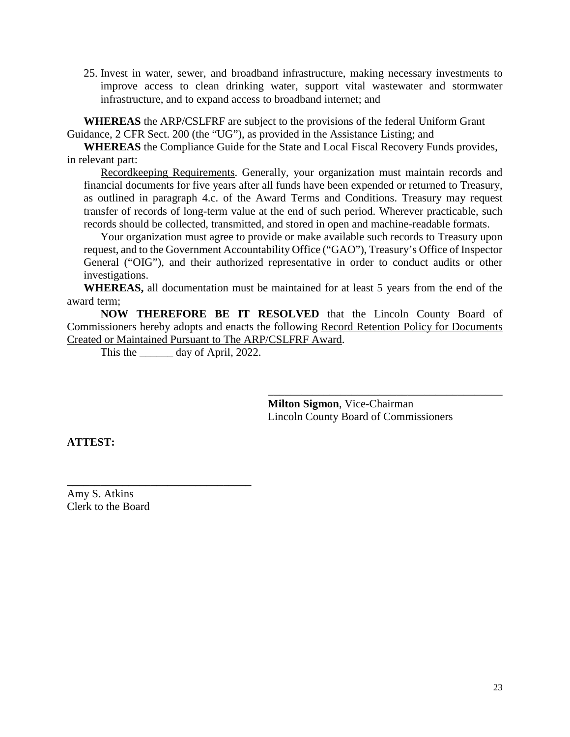25. Invest in water, sewer, and broadband infrastructure, making necessary investments to improve access to clean drinking water, support vital wastewater and stormwater infrastructure, and to expand access to broadband internet; and

**WHEREAS** the ARP/CSLFRF are subject to the provisions of the federal Uniform Grant Guidance, 2 CFR Sect. 200 (the "UG"), as provided in the Assistance Listing; and

**WHEREAS** the Compliance Guide for the State and Local Fiscal Recovery Funds provides, in relevant part:

Recordkeeping Requirements. Generally, your organization must maintain records and financial documents for five years after all funds have been expended or returned to Treasury, as outlined in paragraph 4.c. of the Award Terms and Conditions. Treasury may request transfer of records of long-term value at the end of such period. Wherever practicable, such records should be collected, transmitted, and stored in open and machine-readable formats.

Your organization must agree to provide or make available such records to Treasury upon request, and to the Government Accountability Office ("GAO"), Treasury's Office of Inspector General ("OIG"), and their authorized representative in order to conduct audits or other investigations.

**WHEREAS,** all documentation must be maintained for at least 5 years from the end of the award term;

**NOW THEREFORE BE IT RESOLVED** that the Lincoln County Board of Commissioners hereby adopts and enacts the following Record Retention Policy for Documents Created or Maintained Pursuant to The ARP/CSLFRF Award.

This the <u>equal</u> day of April, 2022.

**\_\_\_\_\_\_\_\_\_\_\_\_\_\_\_\_\_\_\_\_\_\_\_\_\_\_\_\_\_\_\_\_\_**

**Milton Sigmon**, Vice-Chairman Lincoln County Board of Commissioners

\_\_\_\_\_\_\_\_\_\_\_\_\_\_\_\_\_\_\_\_\_\_\_\_\_\_\_\_\_\_\_\_\_\_\_\_\_\_\_\_\_\_

**ATTEST:**

Amy S. Atkins Clerk to the Board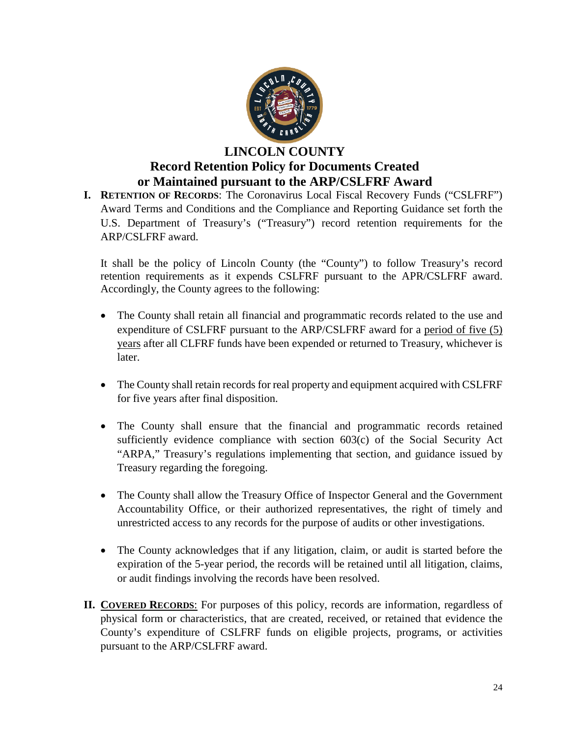

# **LINCOLN COUNTY**

# **Record Retention Policy for Documents Created or Maintained pursuant to the ARP/CSLFRF Award**

**I. RETENTION OF RECORDS**: The Coronavirus Local Fiscal Recovery Funds ("CSLFRF") Award Terms and Conditions and the Compliance and Reporting Guidance set forth the U.S. Department of Treasury's ("Treasury") record retention requirements for the ARP/CSLFRF award.

It shall be the policy of Lincoln County (the "County") to follow Treasury's record retention requirements as it expends CSLFRF pursuant to the APR/CSLFRF award. Accordingly, the County agrees to the following:

- The County shall retain all financial and programmatic records related to the use and expenditure of CSLFRF pursuant to the ARP/CSLFRF award for a period of five (5) years after all CLFRF funds have been expended or returned to Treasury, whichever is later.
- The County shall retain records for real property and equipment acquired with CSLFRF for five years after final disposition.
- The County shall ensure that the financial and programmatic records retained sufficiently evidence compliance with section 603(c) of the Social Security Act "ARPA," Treasury's regulations implementing that section, and guidance issued by Treasury regarding the foregoing.
- The County shall allow the Treasury Office of Inspector General and the Government Accountability Office, or their authorized representatives, the right of timely and unrestricted access to any records for the purpose of audits or other investigations.
- The County acknowledges that if any litigation, claim, or audit is started before the expiration of the 5-year period, the records will be retained until all litigation, claims, or audit findings involving the records have been resolved.
- **II. COVERED RECORDS**: For purposes of this policy, records are information, regardless of physical form or characteristics, that are created, received, or retained that evidence the County's expenditure of CSLFRF funds on eligible projects, programs, or activities pursuant to the ARP/CSLFRF award.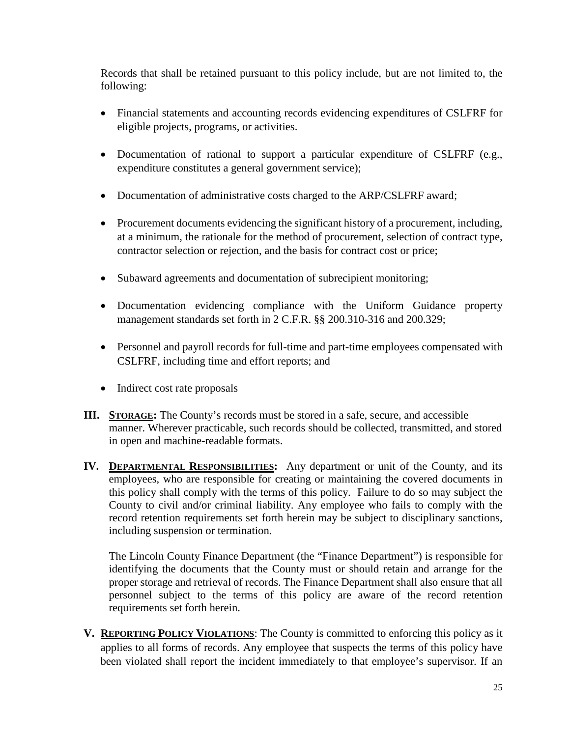Records that shall be retained pursuant to this policy include, but are not limited to, the following:

- Financial statements and accounting records evidencing expenditures of CSLFRF for eligible projects, programs, or activities.
- Documentation of rational to support a particular expenditure of CSLFRF (e.g., expenditure constitutes a general government service);
- Documentation of administrative costs charged to the ARP/CSLFRF award;
- Procurement documents evidencing the significant history of a procurement, including, at a minimum, the rationale for the method of procurement, selection of contract type, contractor selection or rejection, and the basis for contract cost or price;
- Subaward agreements and documentation of subrecipient monitoring;
- Documentation evidencing compliance with the Uniform Guidance property management standards set forth in 2 C.F.R. §§ 200.310-316 and 200.329;
- Personnel and payroll records for full-time and part-time employees compensated with CSLFRF, including time and effort reports; and
- Indirect cost rate proposals
- **III. STORAGE:** The County's records must be stored in a safe, secure, and accessible manner. Wherever practicable, such records should be collected, transmitted, and stored in open and machine-readable formats.
- **IV. DEPARTMENTAL RESPONSIBILITIES:** Any department or unit of the County, and its employees, who are responsible for creating or maintaining the covered documents in this policy shall comply with the terms of this policy. Failure to do so may subject the County to civil and/or criminal liability. Any employee who fails to comply with the record retention requirements set forth herein may be subject to disciplinary sanctions, including suspension or termination.

The Lincoln County Finance Department (the "Finance Department") is responsible for identifying the documents that the County must or should retain and arrange for the proper storage and retrieval of records. The Finance Department shall also ensure that all personnel subject to the terms of this policy are aware of the record retention requirements set forth herein.

**V. REPORTING POLICY VIOLATIONS**: The County is committed to enforcing this policy as it applies to all forms of records. Any employee that suspects the terms of this policy have been violated shall report the incident immediately to that employee's supervisor. If an